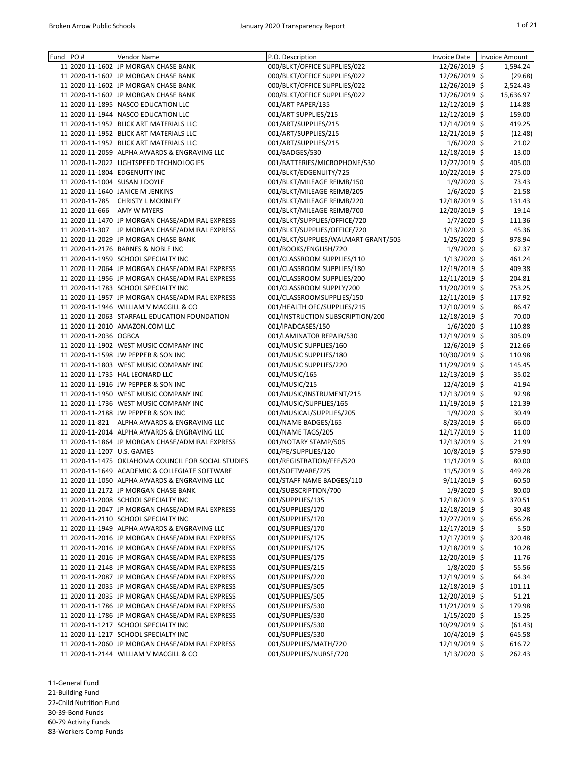| Fund | PO#                        | <b>Vendor Name</b>                                  | P.O. Description                    | <b>Invoice Date</b> | <b>Invoice Amount</b> |
|------|----------------------------|-----------------------------------------------------|-------------------------------------|---------------------|-----------------------|
|      |                            | 11 2020-11-1602 JP MORGAN CHASE BANK                | 000/BLKT/OFFICE SUPPLIES/022        | 12/26/2019 \$       | 1,594.24              |
|      |                            | 11 2020-11-1602 JP MORGAN CHASE BANK                | 000/BLKT/OFFICE SUPPLIES/022        | 12/26/2019 \$       | (29.68)               |
|      |                            | 11 2020-11-1602 JP MORGAN CHASE BANK                | 000/BLKT/OFFICE SUPPLIES/022        | 12/26/2019 \$       | 2,524.43              |
|      |                            | 11 2020-11-1602 JP MORGAN CHASE BANK                | 000/BLKT/OFFICE SUPPLIES/022        | 12/26/2019 \$       | 15,636.97             |
|      |                            | 11 2020-11-1895 NASCO EDUCATION LLC                 | 001/ART PAPER/135                   | 12/12/2019 \$       | 114.88                |
|      |                            | 11 2020-11-1944 NASCO EDUCATION LLC                 | 001/ART SUPPLIES/215                | 12/12/2019 \$       | 159.00                |
|      |                            | 11 2020-11-1952 BLICK ART MATERIALS LLC             | 001/ART/SUPPLIES/215                | 12/14/2019 \$       | 419.25                |
|      |                            | 11 2020-11-1952 BLICK ART MATERIALS LLC             | 001/ART/SUPPLIES/215                | 12/21/2019 \$       | (12.48)               |
|      |                            | 11 2020-11-1952 BLICK ART MATERIALS LLC             | 001/ART/SUPPLIES/215                | $1/6/2020$ \$       | 21.02                 |
|      |                            | 11 2020-11-2059 ALPHA AWARDS & ENGRAVING LLC        | 001/BADGES/530                      | 12/18/2019 \$       | 13.00                 |
|      |                            | 11 2020-11-2022 LIGHTSPEED TECHNOLOGIES             | 001/BATTERIES/MICROPHONE/530        | 12/27/2019 \$       | 405.00                |
|      |                            | 11 2020-11-1804 EDGENUITY INC                       | 001/BLKT/EDGENUITY/725              | 10/22/2019 \$       | 275.00                |
|      |                            | 11 2020-11-1004 SUSAN J DOYLE                       | 001/BLKT/MILEAGE REIMB/150          | $1/9/2020$ \$       | 73.43                 |
|      |                            | 11 2020-11-1640 JANICE M JENKINS                    | 001/BLKT/MILEAGE REIMB/205          | $1/6/2020$ \$       | 21.58                 |
|      | 11 2020-11-785             | <b>CHRISTY L MCKINLEY</b>                           |                                     | 12/18/2019 \$       |                       |
|      |                            |                                                     | 001/BLKT/MILEAGE REIMB/220          |                     | 131.43                |
|      | 11 2020-11-666             | <b>AMY W MYERS</b>                                  | 001/BLKT/MILEAGE REIMB/700          | 12/20/2019 \$       | 19.14                 |
|      |                            | 11 2020-11-1470 JP MORGAN CHASE/ADMIRAL EXPRESS     | 001/BLKT/SUPPLIES/OFFICE/720        | $1/7/2020$ \$       | 111.36                |
|      |                            | 11 2020-11-307 JP MORGAN CHASE/ADMIRAL EXPRESS      | 001/BLKT/SUPPLIES/OFFICE/720        | $1/13/2020$ \$      | 45.36                 |
|      |                            | 11 2020-11-2029 JP MORGAN CHASE BANK                | 001/BLKT/SUPPLIES/WALMART GRANT/505 | $1/25/2020$ \$      | 978.94                |
|      |                            | 11 2020-11-2176 BARNES & NOBLE INC                  | 001/BOOKS/ENGLISH/720               | $1/9/2020$ \$       | 62.37                 |
|      |                            | 11 2020-11-1959 SCHOOL SPECIALTY INC                | 001/CLASSROOM SUPPLIES/110          | $1/13/2020$ \$      | 461.24                |
|      |                            | 11 2020-11-2064 JP MORGAN CHASE/ADMIRAL EXPRESS     | 001/CLASSROOM SUPPLIES/180          | 12/19/2019 \$       | 409.38                |
|      |                            | 11 2020-11-1956 JP MORGAN CHASE/ADMIRAL EXPRESS     | 001/CLASSROOM SUPPLIES/200          | 12/11/2019 \$       | 204.81                |
|      |                            | 11 2020-11-1783 SCHOOL SPECIALTY INC                | 001/CLASSROOM SUPPLY/200            | 11/20/2019 \$       | 753.25                |
|      |                            | 11 2020-11-1957 JP MORGAN CHASE/ADMIRAL EXPRESS     | 001/CLASSROOMSUPPLIES/150           | 12/11/2019 \$       | 117.92                |
|      |                            | 11 2020-11-1946 WILLIAM V MACGILL & CO              | 001/HEALTH OFC/SUPPLIES/215         | 12/10/2019 \$       | 86.47                 |
|      |                            | 11 2020-11-2063 STARFALL EDUCATION FOUNDATION       | 001/INSTRUCTION SUBSCRIPTION/200    | 12/18/2019 \$       | 70.00                 |
|      |                            | 11 2020-11-2010 AMAZON.COM LLC                      | 001/IPADCASES/150                   | $1/6/2020$ \$       | 110.88                |
|      | 11 2020-11-2036 OGBCA      |                                                     | 001/LAMINATOR REPAIR/530            | 12/19/2019 \$       | 305.09                |
|      |                            | 11 2020-11-1902 WEST MUSIC COMPANY INC              | 001/MUSIC SUPPLIES/160              | 12/6/2019 \$        | 212.66                |
|      |                            | 11 2020-11-1598 JW PEPPER & SON INC                 | 001/MUSIC SUPPLIES/180              | 10/30/2019 \$       | 110.98                |
|      |                            | 11 2020-11-1803 WEST MUSIC COMPANY INC              | 001/MUSIC SUPPLIES/220              | 11/29/2019 \$       | 145.45                |
|      |                            | 11 2020-11-1735 HAL LEONARD LLC                     | 001/MUSIC/165                       | 12/13/2019 \$       | 35.02                 |
|      |                            | 11 2020-11-1916 JW PEPPER & SON INC                 | 001/MUSIC/215                       | 12/4/2019 \$        | 41.94                 |
|      |                            | 11 2020-11-1950 WEST MUSIC COMPANY INC              |                                     |                     |                       |
|      |                            |                                                     | 001/MUSIC/INSTRUMENT/215            | 12/13/2019 \$       | 92.98                 |
|      |                            | 11 2020-11-1736 WEST MUSIC COMPANY INC              | 001/MUSIC/SUPPLIES/165              | 11/19/2019 \$       | 121.39                |
|      |                            | 11 2020-11-2188 JW PEPPER & SON INC                 | 001/MUSICAL/SUPPLIES/205            | $1/9/2020$ \$       | 30.49                 |
|      |                            | 11 2020-11-821 ALPHA AWARDS & ENGRAVING LLC         | 001/NAME BADGES/165                 | 8/23/2019 \$        | 66.00                 |
|      |                            | 11 2020-11-2014 ALPHA AWARDS & ENGRAVING LLC        | 001/NAME TAGS/205                   | 12/17/2019 \$       | 11.00                 |
|      |                            | 11 2020-11-1864 JP MORGAN CHASE/ADMIRAL EXPRESS     | 001/NOTARY STAMP/505                | 12/13/2019 \$       | 21.99                 |
|      | 11 2020-11-1207 U.S. GAMES |                                                     | 001/PE/SUPPLIES/120                 | 10/8/2019 \$        | 579.90                |
|      |                            | 11 2020-11-1475 OKLAHOMA COUNCIL FOR SOCIAL STUDIES | 001/REGISTRATION/FEE/520            | $11/1/2019$ \$      | 80.00                 |
|      |                            | 11 2020-11-1649 ACADEMIC & COLLEGIATE SOFTWARE      | 001/SOFTWARE/725                    | $11/5/2019$ \$      | 449.28                |
|      |                            | 11 2020-11-1050 ALPHA AWARDS & ENGRAVING LLC        | 001/STAFF NAME BADGES/110           | $9/11/2019$ \$      | 60.50                 |
|      |                            | 11 2020-11-2172 JP MORGAN CHASE BANK                | 001/SUBSCRIPTION/700                | $1/9/2020$ \$       | 80.00                 |
|      |                            | 11 2020-11-2008 SCHOOL SPECIALTY INC                | 001/SUPPLIES/135                    | 12/18/2019 \$       | 370.51                |
|      |                            | 11 2020-11-2047 JP MORGAN CHASE/ADMIRAL EXPRESS     | 001/SUPPLIES/170                    | 12/18/2019 \$       | 30.48                 |
|      |                            | 11 2020-11-2110 SCHOOL SPECIALTY INC                | 001/SUPPLIES/170                    | 12/27/2019 \$       | 656.28                |
|      |                            | 11 2020-11-1949 ALPHA AWARDS & ENGRAVING LLC        | 001/SUPPLIES/170                    | 12/17/2019 \$       | 5.50                  |
|      |                            | 11 2020-11-2016 JP MORGAN CHASE/ADMIRAL EXPRESS     | 001/SUPPLIES/175                    | 12/17/2019 \$       | 320.48                |
|      |                            | 11 2020-11-2016 JP MORGAN CHASE/ADMIRAL EXPRESS     | 001/SUPPLIES/175                    | 12/18/2019 \$       | 10.28                 |
|      |                            | 11 2020-11-2016 JP MORGAN CHASE/ADMIRAL EXPRESS     | 001/SUPPLIES/175                    | 12/20/2019 \$       | 11.76                 |
|      |                            | 11 2020-11-2148 JP MORGAN CHASE/ADMIRAL EXPRESS     | 001/SUPPLIES/215                    | $1/8/2020$ \$       | 55.56                 |
|      |                            | 11 2020-11-2087 JP MORGAN CHASE/ADMIRAL EXPRESS     | 001/SUPPLIES/220                    | 12/19/2019 \$       | 64.34                 |
|      |                            | 11 2020-11-2035 JP MORGAN CHASE/ADMIRAL EXPRESS     | 001/SUPPLIES/505                    | 12/18/2019 \$       | 101.11                |
|      |                            |                                                     | 001/SUPPLIES/505                    |                     | 51.21                 |
|      |                            | 11 2020-11-2035 JP MORGAN CHASE/ADMIRAL EXPRESS     |                                     | 12/20/2019 \$       |                       |
|      |                            | 11 2020-11-1786 JP MORGAN CHASE/ADMIRAL EXPRESS     | 001/SUPPLIES/530                    | 11/21/2019 \$       | 179.98                |
|      |                            | 11 2020-11-1786 JP MORGAN CHASE/ADMIRAL EXPRESS     | 001/SUPPLIES/530                    | $1/15/2020$ \$      | 15.25                 |
|      |                            | 11 2020-11-1217 SCHOOL SPECIALTY INC                | 001/SUPPLIES/530                    | 10/29/2019 \$       | (61.43)               |
|      |                            | 11 2020-11-1217 SCHOOL SPECIALTY INC                | 001/SUPPLIES/530                    | 10/4/2019 \$        | 645.58                |
|      |                            | 11 2020-11-2060 JP MORGAN CHASE/ADMIRAL EXPRESS     | 001/SUPPLIES/MATH/720               | 12/19/2019 \$       | 616.72                |
|      |                            | 11 2020-11-2144 WILLIAM V MACGILL & CO              | 001/SUPPLIES/NURSE/720              | 1/13/2020 \$        | 262.43                |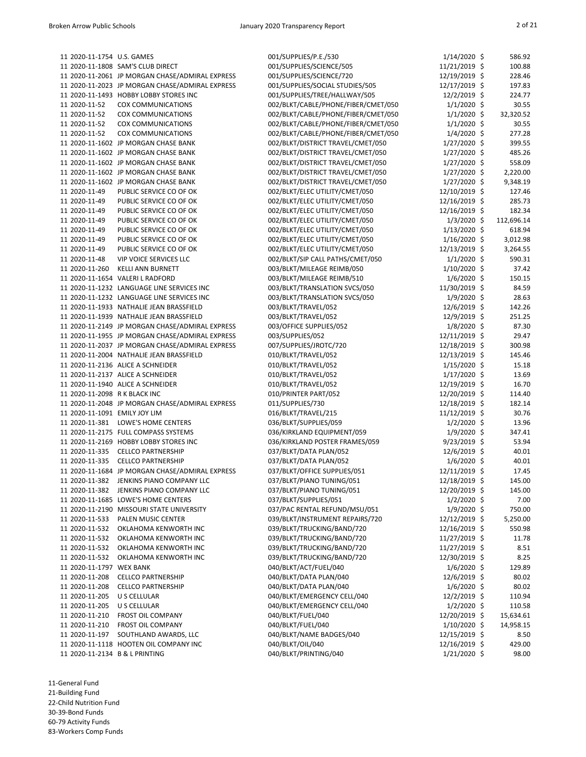| 11 2020-11-1754 U.S. GAMES       |                                                 | 001/SUPPLIES/P.E./530                                  | $1/14/2020$ \$                 | 586.92           |
|----------------------------------|-------------------------------------------------|--------------------------------------------------------|--------------------------------|------------------|
|                                  | 11 2020-11-1808 SAM'S CLUB DIRECT               | 001/SUPPLIES/SCIENCE/505                               | 11/21/2019 \$                  | 100.88           |
|                                  | 11 2020-11-2061 JP MORGAN CHASE/ADMIRAL EXPRESS | 001/SUPPLIES/SCIENCE/720                               | 12/19/2019 \$                  | 228.46           |
|                                  | 11 2020-11-2023 JP MORGAN CHASE/ADMIRAL EXPRESS | 001/SUPPLIES/SOCIAL STUDIES/505                        | 12/17/2019 \$                  | 197.83           |
|                                  | 11 2020-11-1493 HOBBY LOBBY STORES INC          | 001/SUPPLIES/TREE/HALLWAY/505                          | 12/2/2019 \$                   | 224.77           |
| 11 2020-11-52                    | <b>COX COMMUNICATIONS</b>                       | 002/BLKT/CABLE/PHONE/FIBER/CMET/050                    | $1/1/2020$ \$                  | 30.55            |
| 11 2020-11-52                    | <b>COX COMMUNICATIONS</b>                       | 002/BLKT/CABLE/PHONE/FIBER/CMET/050                    | $1/1/2020$ \$                  | 32,320.52        |
| 11 2020-11-52                    | <b>COX COMMUNICATIONS</b>                       | 002/BLKT/CABLE/PHONE/FIBER/CMET/050                    | $1/1/2020$ \$                  | 30.55            |
| 11 2020-11-52                    | <b>COX COMMUNICATIONS</b>                       | 002/BLKT/CABLE/PHONE/FIBER/CMET/050                    | $1/4/2020$ \$                  | 277.28           |
|                                  | 11 2020-11-1602 JP MORGAN CHASE BANK            | 002/BLKT/DISTRICT TRAVEL/CMET/050                      | $1/27/2020$ \$                 | 399.55           |
|                                  | 11 2020-11-1602 JP MORGAN CHASE BANK            | 002/BLKT/DISTRICT TRAVEL/CMET/050                      | $1/27/2020$ \$                 | 485.26           |
|                                  | 11 2020-11-1602 JP MORGAN CHASE BANK            | 002/BLKT/DISTRICT TRAVEL/CMET/050                      | $1/27/2020$ \$                 | 558.09           |
|                                  | 11 2020-11-1602 JP MORGAN CHASE BANK            | 002/BLKT/DISTRICT TRAVEL/CMET/050                      | $1/27/2020$ \$                 | 2,220.00         |
|                                  | 11 2020-11-1602 JP MORGAN CHASE BANK            | 002/BLKT/DISTRICT TRAVEL/CMET/050                      | $1/27/2020$ \$                 | 9,348.19         |
| 11 2020-11-49                    | PUBLIC SERVICE CO OF OK                         | 002/BLKT/ELEC UTILITY/CMET/050                         | 12/10/2019 \$                  | 127.46           |
| 11 2020-11-49                    | PUBLIC SERVICE CO OF OK                         | 002/BLKT/ELEC UTILITY/CMET/050                         | 12/16/2019 \$                  | 285.73           |
| 11 2020-11-49                    | PUBLIC SERVICE CO OF OK                         | 002/BLKT/ELEC UTILITY/CMET/050                         | 12/16/2019 \$                  | 182.34           |
| 11 2020-11-49                    | PUBLIC SERVICE CO OF OK                         | 002/BLKT/ELEC UTILITY/CMET/050                         | $1/3/2020$ \$                  | 112,696.14       |
| 11 2020-11-49                    | PUBLIC SERVICE CO OF OK                         | 002/BLKT/ELEC UTILITY/CMET/050                         | $1/13/2020$ \$                 | 618.94           |
| 11 2020-11-49                    | PUBLIC SERVICE CO OF OK                         | 002/BLKT/ELEC UTILITY/CMET/050                         | $1/16/2020$ \$                 | 3,012.98         |
| 11 2020-11-49                    | PUBLIC SERVICE CO OF OK                         | 002/BLKT/ELEC UTILITY/CMET/050                         | 12/13/2019 \$                  |                  |
|                                  |                                                 |                                                        |                                | 3,264.55         |
| 11 2020-11-48                    | VIP VOICE SERVICES LLC                          | 002/BLKT/SIP CALL PATHS/CMET/050                       | $1/1/2020$ \$                  | 590.31           |
| 11 2020-11-260                   | <b>KELLI ANN BURNETT</b>                        | 003/BLKT/MILEAGE REIMB/050                             | $1/10/2020$ \$                 | 37.42            |
|                                  | 11 2020-11-1654 VALERI L RADFORD                | 003/BLKT/MILEAGE REIMB/510                             | $1/6/2020$ \$                  | 150.15           |
|                                  | 11 2020-11-1232 LANGUAGE LINE SERVICES INC      | 003/BLKT/TRANSLATION SVCS/050                          | 11/30/2019 \$                  | 84.59            |
|                                  | 11 2020-11-1232 LANGUAGE LINE SERVICES INC      | 003/BLKT/TRANSLATION SVCS/050                          | 1/9/2020 \$                    | 28.63            |
|                                  | 11 2020-11-1933 NATHALIE JEAN BRASSFIELD        | 003/BLKT/TRAVEL/052                                    | 12/6/2019 \$                   | 142.26           |
|                                  | 11 2020-11-1939 NATHALIE JEAN BRASSFIELD        | 003/BLKT/TRAVEL/052                                    | 12/9/2019 \$                   | 251.25           |
|                                  | 11 2020-11-2149 JP MORGAN CHASE/ADMIRAL EXPRESS | 003/OFFICE SUPPLIES/052                                | $1/8/2020$ \$                  | 87.30            |
|                                  | 11 2020-11-1955 JP MORGAN CHASE/ADMIRAL EXPRESS | 003/SUPPLIES/052                                       | 12/11/2019 \$                  | 29.47            |
|                                  | 11 2020-11-2037 JP MORGAN CHASE/ADMIRAL EXPRESS | 007/SUPPLIES/JROTC/720                                 | 12/18/2019 \$                  | 300.98           |
|                                  | 11 2020-11-2004 NATHALIE JEAN BRASSFIELD        | 010/BLKT/TRAVEL/052                                    | 12/13/2019 \$                  | 145.46           |
|                                  | 11 2020-11-2136 ALICE A SCHNEIDER               | 010/BLKT/TRAVEL/052                                    | $1/15/2020$ \$                 | 15.18            |
|                                  | 11 2020-11-2137 ALICE A SCHNEIDER               | 010/BLKT/TRAVEL/052                                    | $1/17/2020$ \$                 | 13.69            |
|                                  | 11 2020-11-1940 ALICE A SCHNEIDER               | 010/BLKT/TRAVEL/052                                    | 12/19/2019 \$                  | 16.70            |
| 11 2020-11-2098 R K BLACK INC    |                                                 | 010/PRINTER PART/052                                   | 12/20/2019 \$                  | 114.40           |
|                                  | 11 2020-11-2048 JP MORGAN CHASE/ADMIRAL EXPRESS | 011/SUPPLIES/730                                       | 12/18/2019 \$                  | 182.14           |
| 11 2020-11-1091 EMILY JOY LIM    |                                                 | 016/BLKT/TRAVEL/215                                    | 11/12/2019 \$                  | 30.76            |
|                                  | 11 2020-11-381 LOWE'S HOME CENTERS              | 036/BLKT/SUPPLIES/059                                  | $1/2/2020$ \$                  | 13.96            |
|                                  | 11 2020-11-2175 FULL COMPASS SYSTEMS            | 036/KIRKLAND EQUIPMENT/059                             | $1/9/2020$ \$                  | 347.41           |
|                                  | 11 2020-11-2169 HOBBY LOBBY STORES INC          | 036/KIRKLAND POSTER FRAMES/059                         | $9/23/2019$ \$                 | 53.94            |
| 11 2020-11-335                   | <b>CELLCO PARTNERSHIP</b>                       | 037/BLKT/DATA PLAN/052                                 | 12/6/2019 \$                   | 40.01            |
| 11 2020-11-335                   | <b>CELLCO PARTNERSHIP</b>                       | 037/BLKT/DATA PLAN/052                                 | $1/6/2020$ \$                  | 40.01            |
|                                  | 11 2020-11-1684 JP MORGAN CHASE/ADMIRAL EXPRESS | 037/BLKT/OFFICE SUPPLIES/051                           | 12/11/2019 \$                  | 17.45            |
|                                  | JENKINS PIANO COMPANY LLC                       |                                                        |                                |                  |
| 11 2020-11-382<br>11 2020-11-382 | JENKINS PIANO COMPANY LLC                       | 037/BLKT/PIANO TUNING/051<br>037/BLKT/PIANO TUNING/051 | 12/18/2019 \$<br>12/20/2019 \$ | 145.00<br>145.00 |
|                                  |                                                 |                                                        |                                |                  |
|                                  | 11 2020-11-1685 LOWE'S HOME CENTERS             | 037/BLKT/SUPPLIES/051                                  | $1/2/2020$ \$                  | 7.00             |
|                                  | 11 2020-11-2190 MISSOURI STATE UNIVERSITY       | 037/PAC RENTAL REFUND/MSU/051                          | $1/9/2020$ \$                  | 750.00           |
|                                  | 11 2020-11-533 PALEN MUSIC CENTER               | 039/BLKT/INSTRUMENT REPAIRS/720                        | 12/12/2019 \$                  | 5,250.00         |
| 11 2020-11-532                   | OKLAHOMA KENWORTH INC                           | 039/BLKT/TRUCKING/BAND/720                             | 12/16/2019 \$                  | 550.98           |
| 11 2020-11-532                   | OKLAHOMA KENWORTH INC                           | 039/BLKT/TRUCKING/BAND/720                             | 11/27/2019 \$                  | 11.78            |
| 11 2020-11-532                   | OKLAHOMA KENWORTH INC                           | 039/BLKT/TRUCKING/BAND/720                             | 11/27/2019 \$                  | 8.51             |
| 11 2020-11-532                   | OKLAHOMA KENWORTH INC                           | 039/BLKT/TRUCKING/BAND/720                             | 12/30/2019 \$                  | 8.25             |
| 11 2020-11-1797 WEX BANK         |                                                 | 040/BLKT/ACT/FUEL/040                                  | $1/6/2020$ \$                  | 129.89           |
| 11 2020-11-208                   | <b>CELLCO PARTNERSHIP</b>                       | 040/BLKT/DATA PLAN/040                                 | 12/6/2019 \$                   | 80.02            |
| 11 2020-11-208                   | <b>CELLCO PARTNERSHIP</b>                       | 040/BLKT/DATA PLAN/040                                 | $1/6/2020$ \$                  | 80.02            |
| 11 2020-11-205                   | U S CELLULAR                                    | 040/BLKT/EMERGENCY CELL/040                            | 12/2/2019 \$                   | 110.94           |
| 11 2020-11-205                   | U S CELLULAR                                    | 040/BLKT/EMERGENCY CELL/040                            | $1/2/2020$ \$                  | 110.58           |
| 11 2020-11-210                   | <b>FROST OIL COMPANY</b>                        | 040/BLKT/FUEL/040                                      | 12/20/2019 \$                  | 15,634.61        |
| 11 2020-11-210                   | FROST OIL COMPANY                               | 040/BLKT/FUEL/040                                      | $1/10/2020$ \$                 | 14,958.15        |
| 11 2020-11-197                   | SOUTHLAND AWARDS, LLC                           | 040/BLKT/NAME BADGES/040                               | 12/15/2019 \$                  | 8.50             |
|                                  | 11 2020-11-1118 HOOTEN OIL COMPANY INC          | 040/BLKT/OIL/040                                       | 12/16/2019 \$                  | 429.00           |
| 11 2020-11-2134 B & L PRINTING   |                                                 | 040/BLKT/PRINTING/040                                  | $1/21/2020$ \$                 | 98.00            |
|                                  |                                                 |                                                        |                                |                  |

| IES/P.E./530                                         | $1/14/2020$ \$                 |         | 586.92               |
|------------------------------------------------------|--------------------------------|---------|----------------------|
| IES/SCIENCE/505                                      | 11/21/2019                     | \$      | 100.88               |
| IES/SCIENCE/720                                      | 12/19/2019 \$                  |         | 228.46               |
| IES/SOCIAL STUDIES/505                               | 12/17/2019                     | \$      | 197.83               |
| IES/TREE/HALLWAY/505                                 | 12/2/2019                      | \$      | 224.77               |
| CABLE/PHONE/FIBER/CMET/050                           | 1/1/2020 \$                    |         | 30.55                |
| CABLE/PHONE/FIBER/CMET/050                           | 1/1/2020                       | \$      | 32,320.52            |
| CABLE/PHONE/FIBER/CMET/050                           | $1/1/2020$ \$                  |         | 30.55                |
| CABLE/PHONE/FIBER/CMET/050                           | 1/4/2020 \$                    |         | 277.28               |
| DISTRICT TRAVEL/CMET/050                             | 1/27/2020                      | \$      | 399.55               |
| DISTRICT TRAVEL/CMET/050                             | 1/27/2020                      | \$      | 485.26               |
| DISTRICT TRAVEL/CMET/050<br>DISTRICT TRAVEL/CMET/050 | 1/27/2020 \$                   |         | 558.09               |
| DISTRICT TRAVEL/CMET/050                             | 1/27/2020<br>1/27/2020 \$      | \$      | 2,220.00<br>9,348.19 |
| <b>ELEC UTILITY/CMET/050</b>                         | 12/10/2019                     | \$      | 127.46               |
| <b>ELEC UTILITY/CMET/050</b>                         | 12/16/2019                     | \$      | 285.73               |
| <b>ELEC UTILITY/CMET/050</b>                         | 12/16/2019 \$                  |         | 182.34               |
| <b>ELEC UTILITY/CMET/050</b>                         | 1/3/2020 \$                    |         | 112,696.14           |
| <b>ELEC UTILITY/CMET/050</b>                         | 1/13/2020 \$                   |         | 618.94               |
| <b>ELEC UTILITY/CMET/050</b>                         | 1/16/2020 \$                   |         | 3,012.98             |
| <b>ELEC UTILITY/CMET/050</b>                         | 12/13/2019                     | \$      | 3,264.55             |
| SIP CALL PATHS/CMET/050                              | 1/1/2020                       | \$      | 590.31               |
| <b>MILEAGE REIMB/050</b>                             | 1/10/2020 \$                   |         | 37.42                |
| <b>MILEAGE REIMB/510</b>                             | 1/6/2020                       | \$      | 150.15               |
| <b>FRANSLATION SVCS/050</b>                          | 11/30/2019 \$                  |         | 84.59                |
| <b>FRANSLATION SVCS/050</b>                          | 1/9/2020                       | \$      | 28.63                |
| FRAVEL/052                                           | 12/6/2019                      | \$      | 142.26               |
| FRAVEL/052                                           | 12/9/2019 \$                   |         | 251.25               |
| E SUPPLIES/052                                       | 1/8/2020                       | \$      | 87.30                |
| IES/052                                              | 12/11/2019                     | $\zeta$ | 29.47                |
| IES/JROTC/720                                        | 12/18/2019                     | \$      | 300.98               |
| FRAVEL/052                                           | 12/13/2019 \$                  |         | 145.46               |
| FRAVEL/052                                           | 1/15/2020 \$                   |         | 15.18                |
| FRAVEL/052                                           | 1/17/2020 \$                   |         | 13.69                |
| FRAVEL/052                                           | 12/19/2019 \$                  |         | 16.70                |
| ER PART/052<br>IES/730                               | 12/20/2019 \$<br>12/18/2019 \$ |         | 114.40<br>182.14     |
| FRAVEL/215                                           | 11/12/2019 \$                  |         | 30.76                |
| SUPPLIES/059                                         | $1/2/2020$ \$                  |         | 13.96                |
| <b>ND EQUIPMENT/059</b>                              | 1/9/2020 \$                    |         | 347.41               |
| <b>ND POSTER FRAMES/059</b>                          | 9/23/2019 \$                   |         | 53.94                |
| DATA PLAN/052                                        | 12/6/2019 \$                   |         | 40.01                |
| DATA PLAN/052                                        | 1/6/2020 \$                    |         | 40.01                |
| OFFICE SUPPLIES/051                                  | 12/11/2019 \$                  |         | 17.45                |
| PIANO TUNING/051                                     | 12/18/2019 \$                  |         | 145.00               |
| PIANO TUNING/051                                     | 12/20/2019 \$                  |         | 145.00               |
| SUPPLIES/051                                         | $1/2/2020$ \$                  |         | 7.00                 |
| ENTAL REFUND/MSU/051                                 | 1/9/2020 \$                    |         | 750.00               |
| NSTRUMENT REPAIRS/720                                | 12/12/2019 \$                  |         | 5,250.00             |
| <b>FRUCKING/BAND/720</b>                             | 12/16/2019 \$                  |         | 550.98               |
| <b>FRUCKING/BAND/720</b>                             | 11/27/2019                     | \$      | 11.78                |
| <b>FRUCKING/BAND/720</b>                             | 11/27/2019 \$                  |         | 8.51                 |
| <b>FRUCKING/BAND/720</b>                             | 12/30/2019 \$                  |         | 8.25                 |
| ACT/FUEL/040                                         | $1/6/2020$ \$                  |         | 129.89               |
| DATA PLAN/040                                        | 12/6/2019 \$                   |         | 80.02                |
| DATA PLAN/040                                        | 1/6/2020 \$                    |         | 80.02                |
| <b>EMERGENCY CELL/040</b>                            | 12/2/2019 \$                   |         | 110.94               |
| <b>EMERGENCY CELL/040</b>                            | $1/2/2020$ \$                  |         | 110.58               |
| UEL/040                                              | 12/20/2019 \$                  |         | 15,634.61            |
| UEL/040<br>VAME BADGES/040                           | 1/10/2020 \$<br>12/15/2019 \$  |         | 14,958.15<br>8.50    |
| OIL/040                                              | 12/16/2019 \$                  |         | 429.00               |
| <b>PRINTING/040</b>                                  | $1/21/2020$ \$                 |         | 98.00                |
|                                                      |                                |         |                      |
|                                                      |                                |         |                      |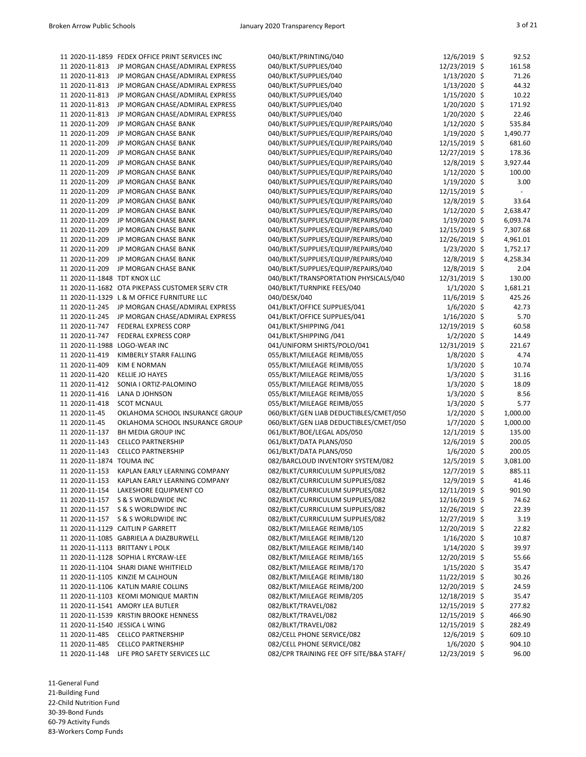|                                | 11 2020-11-1859 FEDEX OFFICE PRINT SERVICES INC | 040/BLKT/PRINTING/040                    | 12/6/2019 \$   | 92.52    |
|--------------------------------|-------------------------------------------------|------------------------------------------|----------------|----------|
| 11 2020-11-813                 | JP MORGAN CHASE/ADMIRAL EXPRESS                 | 040/BLKT/SUPPLIES/040                    | 12/23/2019 \$  | 161.58   |
| 11 2020-11-813                 | JP MORGAN CHASE/ADMIRAL EXPRESS                 | 040/BLKT/SUPPLIES/040                    | 1/13/2020 \$   | 71.26    |
| 11 2020-11-813                 | JP MORGAN CHASE/ADMIRAL EXPRESS                 | 040/BLKT/SUPPLIES/040                    | 1/13/2020 \$   | 44.32    |
| 11 2020-11-813                 | JP MORGAN CHASE/ADMIRAL EXPRESS                 | 040/BLKT/SUPPLIES/040                    | 1/15/2020 \$   | 10.22    |
| 11 2020-11-813                 | JP MORGAN CHASE/ADMIRAL EXPRESS                 | 040/BLKT/SUPPLIES/040                    | 1/20/2020 \$   | 171.92   |
| 11 2020-11-813                 | JP MORGAN CHASE/ADMIRAL EXPRESS                 | 040/BLKT/SUPPLIES/040                    | 1/20/2020 \$   | 22.46    |
| 11 2020-11-209                 | JP MORGAN CHASE BANK                            | 040/BLKT/SUPPLIES/EQUIP/REPAIRS/040      | $1/12/2020$ \$ | 535.84   |
| 11 2020-11-209                 | JP MORGAN CHASE BANK                            | 040/BLKT/SUPPLIES/EQUIP/REPAIRS/040      | $1/19/2020$ \$ | 1,490.77 |
| 11 2020-11-209                 | JP MORGAN CHASE BANK                            | 040/BLKT/SUPPLIES/EQUIP/REPAIRS/040      | 12/15/2019 \$  | 681.60   |
| 11 2020-11-209                 | JP MORGAN CHASE BANK                            | 040/BLKT/SUPPLIES/EQUIP/REPAIRS/040      | 12/27/2019 \$  | 178.36   |
| 11 2020-11-209                 | JP MORGAN CHASE BANK                            | 040/BLKT/SUPPLIES/EQUIP/REPAIRS/040      | 12/8/2019 \$   | 3,927.44 |
| 11 2020-11-209                 | JP MORGAN CHASE BANK                            | 040/BLKT/SUPPLIES/EQUIP/REPAIRS/040      | $1/12/2020$ \$ | 100.00   |
| 11 2020-11-209                 | JP MORGAN CHASE BANK                            | 040/BLKT/SUPPLIES/EQUIP/REPAIRS/040      | 1/19/2020 \$   | 3.00     |
| 11 2020-11-209                 | JP MORGAN CHASE BANK                            | 040/BLKT/SUPPLIES/EQUIP/REPAIRS/040      | 12/15/2019 \$  |          |
| 11 2020-11-209                 | JP MORGAN CHASE BANK                            | 040/BLKT/SUPPLIES/EQUIP/REPAIRS/040      | 12/8/2019 \$   | 33.64    |
| 11 2020-11-209                 | JP MORGAN CHASE BANK                            | 040/BLKT/SUPPLIES/EQUIP/REPAIRS/040      | $1/12/2020$ \$ | 2,638.47 |
| 11 2020-11-209                 | JP MORGAN CHASE BANK                            | 040/BLKT/SUPPLIES/EQUIP/REPAIRS/040      | $1/19/2020$ \$ | 6,093.74 |
| 11 2020-11-209                 | JP MORGAN CHASE BANK                            | 040/BLKT/SUPPLIES/EQUIP/REPAIRS/040      | 12/15/2019 \$  | 7,307.68 |
| 11 2020-11-209                 | JP MORGAN CHASE BANK                            | 040/BLKT/SUPPLIES/EQUIP/REPAIRS/040      | 12/26/2019 \$  | 4,961.01 |
| 11 2020-11-209                 | JP MORGAN CHASE BANK                            | 040/BLKT/SUPPLIES/EQUIP/REPAIRS/040      | 1/23/2020 \$   | 1,752.17 |
|                                |                                                 |                                          |                |          |
| 11 2020-11-209                 | JP MORGAN CHASE BANK                            | 040/BLKT/SUPPLIES/EQUIP/REPAIRS/040      | 12/8/2019 \$   | 4,258.34 |
| 11 2020-11-209                 | JP MORGAN CHASE BANK                            | 040/BLKT/SUPPLIES/EQUIP/REPAIRS/040      | 12/8/2019 \$   | 2.04     |
| 11 2020-11-1848                | <b>TDT KNOX LLC</b>                             | 040/BLKT/TRANSPORTATION PHYSICALS/040    | 12/31/2019 \$  | 130.00   |
|                                | 11 2020-11-1682 OTA PIKEPASS CUSTOMER SERV CTR  | 040/BLKT/TURNPIKE FEES/040               | $1/1/2020$ \$  | 1,681.21 |
|                                | 11 2020-11-1329 L & M OFFICE FURNITURE LLC      | 040/DESK/040                             | 11/6/2019 \$   | 425.26   |
| 11 2020-11-245                 | JP MORGAN CHASE/ADMIRAL EXPRESS                 | 041/BLKT/OFFICE SUPPLIES/041             | $1/6/2020$ \$  | 42.73    |
| 11 2020-11-245                 | JP MORGAN CHASE/ADMIRAL EXPRESS                 | 041/BLKT/OFFICE SUPPLIES/041             | 1/16/2020 \$   | 5.70     |
| 11 2020-11-747                 | <b>FEDERAL EXPRESS CORP</b>                     | 041/BLKT/SHIPPING /041                   | 12/19/2019 \$  | 60.58    |
| 11 2020-11-747                 | <b>FEDERAL EXPRESS CORP</b>                     | 041/BLKT/SHIPPING /041                   | $1/2/2020$ \$  | 14.49    |
| 11 2020-11-1988 LOGO-WEAR INC  |                                                 | 041/UNIFORM SHIRTS/POLO/041              | 12/31/2019 \$  | 221.67   |
| 11 2020-11-419                 | KIMBERLY STARR FALLING                          | 055/BLKT/MILEAGE REIMB/055               | $1/8/2020$ \$  | 4.74     |
| 11 2020-11-409                 | <b>KIM E NORMAN</b>                             | 055/BLKT/MILEAGE REIMB/055               | $1/3/2020$ \$  | 10.74    |
| 11 2020-11-420                 | KELLIE JO HAYES                                 | 055/BLKT/MILEAGE REIMB/055               | $1/3/2020$ \$  | 31.16    |
| 11 2020-11-412                 | SONIA I ORTIZ-PALOMINO                          | 055/BLKT/MILEAGE REIMB/055               | $1/3/2020$ \$  | 18.09    |
| 11 2020-11-416                 | LANA D JOHNSON                                  | 055/BLKT/MILEAGE REIMB/055               | $1/3/2020$ \$  | 8.56     |
| 11 2020-11-418                 | <b>SCOT MCNAUL</b>                              | 055/BLKT/MILEAGE REIMB/055               | 1/3/2020 \$    | 5.77     |
| 11 2020-11-45                  | OKLAHOMA SCHOOL INSURANCE GROUP                 | 060/BLKT/GEN LIAB DEDUCTIBLES/CMET/050   | $1/2/2020$ \$  | 1,000.00 |
| 11 2020-11-45                  | OKLAHOMA SCHOOL INSURANCE GROUP                 | 060/BLKT/GEN LIAB DEDUCTIBLES/CMET/050   | $1/7/2020$ \$  | 1,000.00 |
| 11 2020-11-137                 | BH MEDIA GROUP INC                              | 061/BLKT/BOE/LEGAL ADS/050               | 12/1/2019 \$   | 135.00   |
| 11 2020-11-143                 | <b>CELLCO PARTNERSHIP</b>                       | 061/BLKT/DATA PLANS/050                  | 12/6/2019 \$   | 200.05   |
| 11 2020-11-143                 | <b>CELLCO PARTNERSHIP</b>                       | 061/BLKT/DATA PLANS/050                  | $1/6/2020$ \$  | 200.05   |
| 11 2020-11-1874 TOUMA INC      |                                                 | 082/BARCLOUD INVENTORY SYSTEM/082        | 12/5/2019 \$   | 3,081.00 |
| 11 2020-11-153                 | KAPLAN EARLY LEARNING COMPANY                   | 082/BLKT/CURRICULUM SUPPLIES/082         | 12/7/2019 \$   | 885.11   |
| 11 2020-11-153                 | KAPLAN EARLY LEARNING COMPANY                   | 082/BLKT/CURRICULUM SUPPLIES/082         | 12/9/2019 \$   | 41.46    |
| 11 2020-11-154                 | LAKESHORE EQUIPMENT CO                          | 082/BLKT/CURRICULUM SUPPLIES/082         | 12/11/2019 \$  | 901.90   |
| 11 2020-11-157                 | S & S WORLDWIDE INC                             | 082/BLKT/CURRICULUM SUPPLIES/082         | 12/16/2019 \$  | 74.62    |
| 11 2020-11-157                 | S & S WORLDWIDE INC                             | 082/BLKT/CURRICULUM SUPPLIES/082         | 12/26/2019 \$  | 22.39    |
| 11 2020-11-157                 | S & S WORLDWIDE INC                             | 082/BLKT/CURRICULUM SUPPLIES/082         | 12/27/2019 \$  | 3.19     |
|                                | 11 2020-11-1129 CAITLIN P GARRETT               | 082/BLKT/MILEAGE REIMB/105               | 12/20/2019 \$  | 22.82    |
|                                | 11 2020-11-1085 GABRIELA A DIAZBURWELL          | 082/BLKT/MILEAGE REIMB/120               | $1/16/2020$ \$ | 10.87    |
|                                | 11 2020-11-1113 BRITTANY L POLK                 | 082/BLKT/MILEAGE REIMB/140               | $1/14/2020$ \$ | 39.97    |
|                                | 11 2020-11-1128 SOPHIA L RYCRAW-LEE             | 082/BLKT/MILEAGE REIMB/165               | 12/20/2019 \$  | 55.66    |
|                                | 11 2020-11-1104 SHARI DIANE WHITFIELD           | 082/BLKT/MILEAGE REIMB/170               | $1/15/2020$ \$ | 35.47    |
|                                | 11 2020-11-1105 KINZIE M CALHOUN                | 082/BLKT/MILEAGE REIMB/180               | 11/22/2019 \$  | 30.26    |
|                                | 11 2020-11-1106 KATLIN MARIE COLLINS            | 082/BLKT/MILEAGE REIMB/200               | 12/20/2019 \$  | 24.59    |
|                                |                                                 |                                          | 12/18/2019 \$  |          |
|                                | 11 2020-11-1103 KEOMI MONIQUE MARTIN            | 082/BLKT/MILEAGE REIMB/205               |                | 35.47    |
|                                | 11 2020-11-1541 AMORY LEA BUTLER                | 082/BLKT/TRAVEL/082                      | 12/15/2019 \$  | 277.82   |
|                                | 11 2020-11-1539 KRISTIN BROOKE HENNESS          | 082/BLKT/TRAVEL/082                      | 12/15/2019 \$  | 466.90   |
| 11 2020-11-1540 JESSICA L WING |                                                 | 082/BLKT/TRAVEL/082                      | 12/15/2019 \$  | 282.49   |
| 11 2020-11-485                 | <b>CELLCO PARTNERSHIP</b>                       | 082/CELL PHONE SERVICE/082               | 12/6/2019 \$   | 609.10   |
| 11 2020-11-485                 | <b>CELLCO PARTNERSHIP</b>                       | 082/CELL PHONE SERVICE/082               | $1/6/2020$ \$  | 904.10   |
| 11 2020-11-148                 | LIFE PRO SAFETY SERVICES LLC                    | 082/CPR TRAINING FEE OFF SITE/B&A STAFF/ | 12/23/2019 \$  | 96.00    |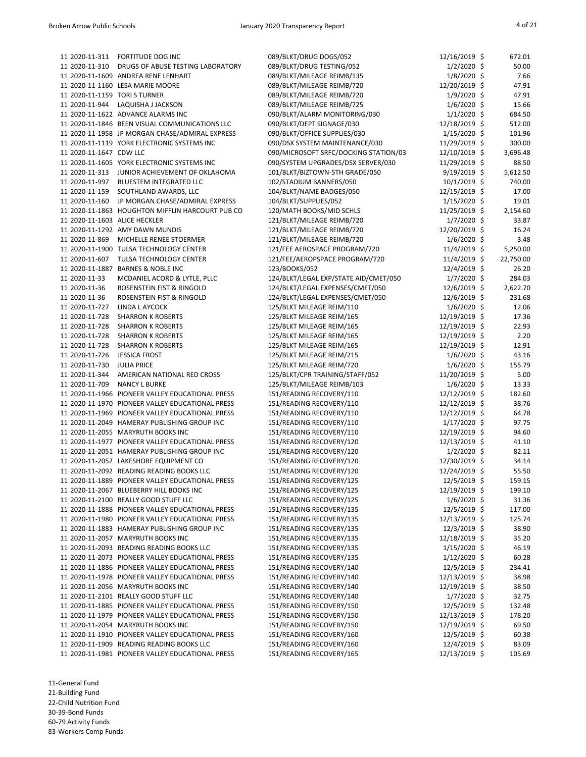| 11 2020-11-311                | FORTITUDE DOG INC                                | 089/BLKT/DRUG DOGS/052                | 12/16/2019 \$  | 672.01    |
|-------------------------------|--------------------------------------------------|---------------------------------------|----------------|-----------|
| 11 2020-11-310                | DRUGS OF ABUSE TESTING LABORATORY                | 089/BLKT/DRUG TESTING/052             | $1/2/2020$ \$  | 50.00     |
|                               | 11 2020-11-1609 ANDREA RENE LENHART              | 089/BLKT/MILEAGE REIMB/135            | $1/8/2020$ \$  | 7.66      |
|                               | 11 2020-11-1160 LESA MARIE MOORE                 | 089/BLKT/MILEAGE REIMB/720            | 12/20/2019 \$  | 47.91     |
| 11 2020-11-1159 TORI S TURNER |                                                  | 089/BLKT/MILEAGE REIMB/720            | $1/9/2020$ \$  | 47.91     |
| 11 2020-11-944                | LAQUISHA J JACKSON                               | 089/BLKT/MILEAGE REIMB/725            | $1/6/2020$ \$  | 15.66     |
|                               | 11 2020-11-1622 ADVANCE ALARMS INC               | 090/BLKT/ALARM MONITORING/030         | $1/1/2020$ \$  | 684.50    |
|                               | 11 2020-11-1846 BEEN VISUAL COMMUNICATIONS LLC   | 090/BLKT/DEPT SIGNAGE/030             | 12/18/2019 \$  | 512.00    |
|                               | 11 2020-11-1958 JP MORGAN CHASE/ADMIRAL EXPRESS  | 090/BLKT/OFFICE SUPPLIES/030          | $1/15/2020$ \$ | 101.96    |
|                               | 11 2020-11-1119 YORK ELECTRONIC SYSTEMS INC      | 090/DSX SYSTEM MAINTENANCE/030        | 11/29/2019 \$  | 300.00    |
| 11 2020-11-1647 CDW LLC       |                                                  | 090/MICROSOFT SRFC/DOCKING STATION/03 | 12/10/2019 \$  | 3,696.48  |
|                               | 11 2020-11-1605 YORK ELECTRONIC SYSTEMS INC      | 090/SYSTEM UPGRADES/DSX SERVER/030    | 11/29/2019 \$  | 88.50     |
| 11 2020-11-313                | JUNIOR ACHIEVEMENT OF OKLAHOMA                   | 101/BLKT/BIZTOWN-5TH GRADE/050        | $9/19/2019$ \$ | 5,612.50  |
| 11 2020-11-997                | BLUESTEM INTEGRATED LLC                          | 102/STADIUM BANNERS/050               | $10/1/2019$ \$ | 740.00    |
| 11 2020-11-159                | SOUTHLAND AWARDS, LLC                            | 104/BLKT/NAME BADGES/050              | 12/15/2019 \$  | 17.00     |
| 11 2020-11-160                | JP MORGAN CHASE/ADMIRAL EXPRESS                  | 104/BLKT/SUPPLIES/052                 | $1/15/2020$ \$ | 19.01     |
|                               | 11 2020-11-1863 HOUGHTON MIFFLIN HARCOURT PUB CO | 120/MATH BOOKS/MID SCHLS              | 11/25/2019 \$  | 2,154.60  |
| 11 2020-11-1603 ALICE HECKLER |                                                  | 121/BLKT/MILEAGE REIMB/720            | $1/7/2020$ \$  | 33.87     |
|                               | 11 2020-11-1292 AMY DAWN MUNDIS                  | 121/BLKT/MILEAGE REIMB/720            | 12/20/2019 \$  | 16.24     |
| 11 2020-11-869                | MICHELLE RENEE STOERMER                          | 121/BLKT/MILEAGE REIMB/720            | $1/6/2020$ \$  | 3.48      |
|                               | 11 2020-11-1900 TULSA TECHNOLOGY CENTER          | 121/FEE AEROSPACE PROGRAM/720         | $11/4/2019$ \$ | 5,250.00  |
| 11 2020-11-607                | TULSA TECHNOLOGY CENTER                          | 121/FEE/AEROPSPACE PROGRAM/720        | $11/4/2019$ \$ | 22,750.00 |
| 11 2020-11-1887               | <b>BARNES &amp; NOBLE INC</b>                    | 123/BOOKS/052                         | $12/4/2019$ \$ | 26.20     |
| 11 2020-11-33                 | MCDANIEL ACORD & LYTLE, PLLC                     | 124/BLKT/LEGAL EXP/STATE AID/CMET/050 | $1/7/2020$ \$  | 284.03    |
| 11 2020-11-36                 | ROSENSTEIN FIST & RINGOLD                        | 124/BLKT/LEGAL EXPENSES/CMET/050      | 12/6/2019 \$   | 2,622.70  |
| 11 2020-11-36                 | ROSENSTEIN FIST & RINGOLD                        | 124/BLKT/LEGAL EXPENSES/CMET/050      | 12/6/2019 \$   | 231.68    |
| 11 2020-11-727                | LINDA L AYCOCK                                   | 125/BLKT MILEAGE REIM/110             | $1/6/2020$ \$  | 12.06     |
| 11 2020-11-728                | <b>SHARRON K ROBERTS</b>                         | 125/BLKT MILEAGE REIM/165             | 12/19/2019 \$  | 17.36     |
| 11 2020-11-728                | <b>SHARRON K ROBERTS</b>                         | 125/BLKT MILEAGE REIM/165             | 12/19/2019 \$  | 22.93     |
| 11 2020-11-728                | <b>SHARRON K ROBERTS</b>                         | 125/BLKT MILEAGE REIM/165             | 12/19/2019 \$  | 2.20      |
| 11 2020-11-728                | <b>SHARRON K ROBERTS</b>                         | 125/BLKT MILEAGE REIM/165             | 12/19/2019 \$  | 12.91     |
| 11 2020-11-726 JESSICA FROST  |                                                  | 125/BLKT MILEAGE REIM/215             | $1/6/2020$ \$  | 43.16     |
| 11 2020-11-730                | <b>JULIA PRICE</b>                               | 125/BLKT MILEAGE REIM/720             | $1/6/2020$ \$  | 155.79    |
| 11 2020-11-344                | AMERICAN NATIONAL RED CROSS                      | 125/BLKT/CPR TRAINING/STAFF/052       | 11/20/2019 \$  | 5.00      |
| 11 2020-11-709                | <b>NANCY L BURKE</b>                             | 125/BLKT/MILEAGE REIMB/103            | $1/6/2020$ \$  | 13.33     |
|                               | 11 2020-11-1966 PIONEER VALLEY EDUCATIONAL PRESS | 151/READING RECOVERY/110              | 12/12/2019 \$  | 182.60    |
|                               | 11 2020-11-1970 PIONEER VALLEY EDUCATIONAL PRESS | 151/READING RECOVERY/110              | 12/12/2019 \$  | 38.76     |
|                               | 11 2020-11-1969 PIONEER VALLEY EDUCATIONAL PRESS | 151/READING RECOVERY/110              | 12/12/2019 \$  | 64.78     |
|                               | 11 2020-11-2049 HAMERAY PUBLISHING GROUP INC     | 151/READING RECOVERY/110              | $1/17/2020$ \$ | 97.75     |
|                               | 11 2020-11-2055 MARYRUTH BOOKS INC               | 151/READING RECOVERY/110              | 12/19/2019 \$  | 94.60     |
|                               | 11 2020-11-1977 PIONEER VALLEY EDUCATIONAL PRESS | 151/READING RECOVERY/120              | 12/13/2019 \$  | 41.10     |
|                               | 11 2020-11-2051 HAMERAY PUBLISHING GROUP INC     | 151/READING RECOVERY/120              | $1/2/2020$ \$  | 82.11     |
|                               | 11 2020-11-2052 LAKESHORE EQUIPMENT CO           | 151/READING RECOVERY/120              | 12/30/2019 \$  | 34.14     |
|                               | 11 2020-11-2092 READING READING BOOKS LLC        | 151/READING RECOVERY/120              |                | 55.50     |
|                               | 11 2020-11-1889 PIONEER VALLEY EDUCATIONAL PRESS |                                       | 12/24/2019 \$  | 159.15    |
|                               | 11 2020-11-2067 BLUEBERRY HILL BOOKS INC         | 151/READING RECOVERY/125              | $12/5/2019$ \$ |           |
|                               |                                                  | 151/READING RECOVERY/125              | 12/19/2019 \$  | 199.10    |
|                               | 11 2020-11-2100 REALLY GOOD STUFF LLC            | 151/READING RECOVERY/125              | $1/6/2020$ \$  | 31.36     |
|                               | 11 2020-11-1888 PIONEER VALLEY EDUCATIONAL PRESS | 151/READING RECOVERY/135              | 12/5/2019 \$   | 117.00    |
|                               | 11 2020-11-1980 PIONEER VALLEY EDUCATIONAL PRESS | 151/READING RECOVERY/135              | 12/13/2019 \$  | 125.74    |
|                               | 11 2020-11-1883 HAMERAY PUBLISHING GROUP INC     | 151/READING RECOVERY/135              | $12/3/2019$ \$ | 38.90     |
|                               | 11 2020-11-2057 MARYRUTH BOOKS INC               | 151/READING RECOVERY/135              | 12/18/2019 \$  | 35.20     |
|                               | 11 2020-11-2093 READING READING BOOKS LLC        | 151/READING RECOVERY/135              | $1/15/2020$ \$ | 46.19     |
|                               | 11 2020-11-2073 PIONEER VALLEY EDUCATIONAL PRESS | 151/READING RECOVERY/135              | $1/12/2020$ \$ | 60.28     |
|                               | 11 2020-11-1886 PIONEER VALLEY EDUCATIONAL PRESS | 151/READING RECOVERY/140              | 12/5/2019 \$   | 234.41    |
|                               | 11 2020-11-1978 PIONEER VALLEY EDUCATIONAL PRESS | 151/READING RECOVERY/140              | 12/13/2019 \$  | 38.98     |
|                               | 11 2020-11-2056 MARYRUTH BOOKS INC               | 151/READING RECOVERY/140              | 12/19/2019 \$  | 38.50     |
|                               | 11 2020-11-2101 REALLY GOOD STUFF LLC            | 151/READING RECOVERY/140              | $1/7/2020$ \$  | 32.75     |
|                               | 11 2020-11-1885 PIONEER VALLEY EDUCATIONAL PRESS | 151/READING RECOVERY/150              | 12/5/2019 \$   | 132.48    |
|                               | 11 2020-11-1979 PIONEER VALLEY EDUCATIONAL PRESS | 151/READING RECOVERY/150              | 12/13/2019 \$  | 178.20    |
|                               | 11 2020-11-2054 MARYRUTH BOOKS INC               | 151/READING RECOVERY/150              | 12/19/2019 \$  | 69.50     |
|                               | 11 2020-11-1910 PIONEER VALLEY EDUCATIONAL PRESS | 151/READING RECOVERY/160              | $12/5/2019$ \$ | 60.38     |
|                               | 11 2020-11-1909 READING READING BOOKS LLC        | 151/READING RECOVERY/160              | 12/4/2019 \$   | 83.09     |
|                               | 11 2020-11-1981 PIONEER VALLEY EDUCATIONAL PRESS | 151/READING RECOVERY/165              | 12/13/2019 \$  | 105.69    |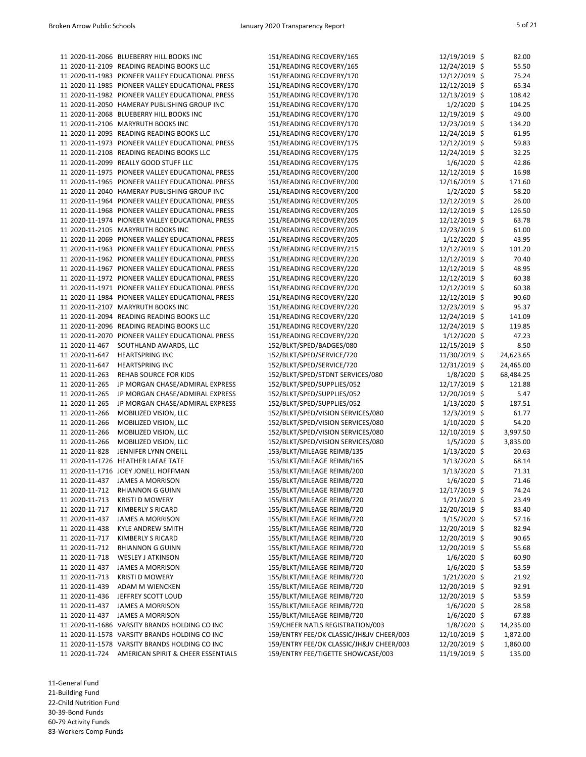|                | 11 2020-11-2066 BLUEBERRY HILL BOOKS INC         | 151/READING RECOVERY/165                                               | 12/19/2019 \$                    | 82.00          |
|----------------|--------------------------------------------------|------------------------------------------------------------------------|----------------------------------|----------------|
|                | 11 2020-11-2109 READING READING BOOKS LLC        | 151/READING RECOVERY/165                                               | 12/24/2019 \$                    | 55.50          |
|                | 11 2020-11-1983 PIONEER VALLEY EDUCATIONAL PRESS | 151/READING RECOVERY/170                                               | 12/12/2019 \$                    | 75.24          |
|                | 11 2020-11-1985 PIONEER VALLEY EDUCATIONAL PRESS | 151/READING RECOVERY/170                                               | 12/12/2019 \$                    | 65.34          |
|                | 11 2020-11-1982 PIONEER VALLEY EDUCATIONAL PRESS | 151/READING RECOVERY/170                                               | 12/13/2019 \$                    | 108.42         |
|                | 11 2020-11-2050 HAMERAY PUBLISHING GROUP INC     | 151/READING RECOVERY/170                                               | $1/2/2020$ \$                    | 104.25         |
|                | 11 2020-11-2068 BLUEBERRY HILL BOOKS INC         | 151/READING RECOVERY/170                                               | 12/19/2019 \$                    | 49.00          |
|                | 11 2020-11-2106 MARYRUTH BOOKS INC               | 151/READING RECOVERY/170                                               | 12/23/2019 \$                    | 134.20         |
|                | 11 2020-11-2095 READING READING BOOKS LLC        | 151/READING RECOVERY/170                                               | 12/24/2019 \$                    | 61.95          |
|                | 11 2020-11-1973 PIONEER VALLEY EDUCATIONAL PRESS | 151/READING RECOVERY/175                                               | 12/12/2019 \$                    | 59.83          |
|                | 11 2020-11-2108 READING READING BOOKS LLC        | 151/READING RECOVERY/175                                               | 12/24/2019 \$                    | 32.25          |
|                | 11 2020-11-2099 REALLY GOOD STUFF LLC            | 151/READING RECOVERY/175                                               | $1/6/2020$ \$                    | 42.86          |
|                | 11 2020-11-1975 PIONEER VALLEY EDUCATIONAL PRESS | 151/READING RECOVERY/200                                               | 12/12/2019 \$                    | 16.98          |
|                | 11 2020-11-1965 PIONEER VALLEY EDUCATIONAL PRESS | 151/READING RECOVERY/200                                               | 12/16/2019 \$                    | 171.60         |
|                | 11 2020-11-2040 HAMERAY PUBLISHING GROUP INC     | 151/READING RECOVERY/200                                               | $1/2/2020$ \$                    | 58.20          |
|                | 11 2020-11-1964 PIONEER VALLEY EDUCATIONAL PRESS | 151/READING RECOVERY/205                                               | 12/12/2019 \$                    | 26.00          |
|                | 11 2020-11-1968 PIONEER VALLEY EDUCATIONAL PRESS | 151/READING RECOVERY/205                                               | 12/12/2019 \$                    | 126.50         |
|                | 11 2020-11-1974 PIONEER VALLEY EDUCATIONAL PRESS | 151/READING RECOVERY/205                                               | 12/12/2019 \$                    | 63.78          |
|                | 11 2020-11-2105 MARYRUTH BOOKS INC               | 151/READING RECOVERY/205                                               | 12/23/2019 \$                    | 61.00          |
|                | 11 2020-11-2069 PIONEER VALLEY EDUCATIONAL PRESS | 151/READING RECOVERY/205                                               | $1/12/2020$ \$                   | 43.95          |
|                | 11 2020-11-1963 PIONEER VALLEY EDUCATIONAL PRESS | 151/READING RECOVERY/215                                               | 12/12/2019 \$                    | 101.20         |
|                | 11 2020-11-1962 PIONEER VALLEY EDUCATIONAL PRESS | 151/READING RECOVERY/220                                               | 12/12/2019 \$                    | 70.40          |
|                | 11 2020-11-1967 PIONEER VALLEY EDUCATIONAL PRESS | 151/READING RECOVERY/220                                               | 12/12/2019 \$                    | 48.95          |
|                | 11 2020-11-1972 PIONEER VALLEY EDUCATIONAL PRESS | 151/READING RECOVERY/220                                               | 12/12/2019 \$                    | 60.38          |
|                | 11 2020-11-1971 PIONEER VALLEY EDUCATIONAL PRESS | 151/READING RECOVERY/220                                               | 12/12/2019 \$                    | 60.38          |
|                | 11 2020-11-1984 PIONEER VALLEY EDUCATIONAL PRESS | 151/READING RECOVERY/220                                               | 12/12/2019 \$                    | 90.60          |
|                | 11 2020-11-2107 MARYRUTH BOOKS INC               | 151/READING RECOVERY/220                                               | 12/23/2019 \$                    | 95.37          |
|                | 11 2020-11-2094 READING READING BOOKS LLC        | 151/READING RECOVERY/220                                               | 12/24/2019 \$                    | 141.09         |
|                | 11 2020-11-2096 READING READING BOOKS LLC        | 151/READING RECOVERY/220                                               | 12/24/2019 \$                    | 119.85         |
|                | 11 2020-11-2070 PIONEER VALLEY EDUCATIONAL PRESS | 151/READING RECOVERY/220                                               | $1/12/2020$ \$                   | 47.23          |
|                | 11 2020-11-467 SOUTHLAND AWARDS, LLC             | 152/BLKT/SPED/BADGES/080                                               | 12/15/2019 \$                    | 8.50           |
| 11 2020-11-647 | <b>HEARTSPRING INC</b>                           | 152/BLKT/SPED/SERVICE/720                                              | 11/30/2019 \$                    | 24,623.65      |
| 11 2020-11-647 | <b>HEARTSPRING INC</b>                           | 152/BLKT/SPED/SERVICE/720                                              | $12/31/2019$ \$                  | 24,465.00      |
| 11 2020-11-263 | REHAB SOURCE FOR KIDS                            | 152/BLKT/SPED/STDNT SERVICES/080                                       | $1/8/2020$ \$                    | 68,484.25      |
| 11 2020-11-265 | JP MORGAN CHASE/ADMIRAL EXPRESS                  | 152/BLKT/SPED/SUPPLIES/052                                             | 12/17/2019 \$                    | 121.88         |
| 11 2020-11-265 | JP MORGAN CHASE/ADMIRAL EXPRESS                  | 152/BLKT/SPED/SUPPLIES/052                                             | 12/20/2019 \$<br>1/13/2020 \$    | 5.47           |
| 11 2020-11-265 | JP MORGAN CHASE/ADMIRAL EXPRESS                  | 152/BLKT/SPED/SUPPLIES/052                                             |                                  | 187.51         |
| 11 2020-11-266 | MOBILIZED VISION, LLC                            | 152/BLKT/SPED/VISION SERVICES/080                                      | $12/3/2019$ \$                   | 61.77          |
| 11 2020-11-266 | MOBILIZED VISION, LLC                            | 152/BLKT/SPED/VISION SERVICES/080<br>152/BLKT/SPED/VISION SERVICES/080 | $1/10/2020$ \$                   | 54.20          |
| 11 2020-11-266 | MOBILIZED VISION, LLC                            |                                                                        | 12/10/2019 \$                    | 3,997.50       |
| 11 2020-11-266 | MOBILIZED VISION, LLC<br>JENNIFER LYNN ONEILL    | 152/BLKT/SPED/VISION SERVICES/080                                      | $1/5/2020$ \$                    | 3,835.00       |
| 11 2020-11-828 | 11 2020-11-1726 HEATHER LAFAE TATE               | 153/BLKT/MILEAGE REIMB/135<br>153/BLKT/MILEAGE REIMB/165               | $1/13/2020$ \$<br>$1/13/2020$ \$ | 20.63<br>68.14 |
|                | 11 2020-11-1716 JOEY JONELL HOFFMAN              | 153/BLKT/MILEAGE REIMB/200                                             | $1/13/2020$ \$                   | 71.31          |
| 11 2020-11-437 | <b>JAMES A MORRISON</b>                          | 155/BLKT/MILEAGE REIMB/720                                             | $1/6/2020$ \$                    | 71.46          |
| 11 2020-11-712 | <b>RHIANNON G GUINN</b>                          | 155/BLKT/MILEAGE REIMB/720                                             | 12/17/2019 \$                    | 74.24          |
| 11 2020-11-713 | <b>KRISTI D MOWERY</b>                           | 155/BLKT/MILEAGE REIMB/720                                             | $1/21/2020$ \$                   | 23.49          |
| 11 2020-11-717 | KIMBERLY S RICARD                                | 155/BLKT/MILEAGE REIMB/720                                             | 12/20/2019 \$                    | 83.40          |
| 11 2020-11-437 | <b>JAMES A MORRISON</b>                          | 155/BLKT/MILEAGE REIMB/720                                             | $1/15/2020$ \$                   | 57.16          |
| 11 2020-11-438 | <b>KYLE ANDREW SMITH</b>                         | 155/BLKT/MILEAGE REIMB/720                                             | 12/20/2019 \$                    | 82.94          |
| 11 2020-11-717 | <b>KIMBERLY S RICARD</b>                         | 155/BLKT/MILEAGE REIMB/720                                             | 12/20/2019 \$                    | 90.65          |
| 11 2020-11-712 | <b>RHIANNON G GUINN</b>                          | 155/BLKT/MILEAGE REIMB/720                                             | 12/20/2019 \$                    | 55.68          |
| 11 2020-11-718 | <b>WESLEY J ATKINSON</b>                         | 155/BLKT/MILEAGE REIMB/720                                             | $1/6/2020$ \$                    | 60.90          |
| 11 2020-11-437 | <b>JAMES A MORRISON</b>                          | 155/BLKT/MILEAGE REIMB/720                                             | $1/6/2020$ \$                    | 53.59          |
| 11 2020-11-713 | <b>KRISTI D MOWERY</b>                           | 155/BLKT/MILEAGE REIMB/720                                             | $1/21/2020$ \$                   | 21.92          |
| 11 2020-11-439 | ADAM M WIENCKEN                                  | 155/BLKT/MILEAGE REIMB/720                                             | 12/20/2019 \$                    | 92.91          |
| 11 2020-11-436 | JEFFREY SCOTT LOUD                               | 155/BLKT/MILEAGE REIMB/720                                             | 12/20/2019 \$                    | 53.59          |
| 11 2020-11-437 | <b>JAMES A MORRISON</b>                          | 155/BLKT/MILEAGE REIMB/720                                             | $1/6/2020$ \$                    | 28.58          |
| 11 2020-11-437 | <b>JAMES A MORRISON</b>                          | 155/BLKT/MILEAGE REIMB/720                                             | $1/6/2020$ \$                    | 67.88          |
|                | 11 2020-11-1686 VARSITY BRANDS HOLDING CO INC    | 159/CHEER NATLS REGISTRATION/003                                       | $1/8/2020$ \$                    | 14,235.00      |
|                | 11 2020-11-1578 VARSITY BRANDS HOLDING CO INC    | 159/ENTRY FEE/OK CLASSIC/JH&JV CHEER/003                               | 12/10/2019 \$                    | 1,872.00       |
|                | 11 2020-11-1578 VARSITY BRANDS HOLDING CO INC    | 159/ENTRY FEE/OK CLASSIC/JH&JV CHEER/003                               | 12/20/2019 \$                    | 1,860.00       |
| 11 2020-11-724 | AMERICAN SPIRIT & CHEER ESSENTIALS               | 159/ENTRY FEE/TIGETTE SHOWCASE/003                                     | 11/19/2019 \$                    | 135.00         |
|                |                                                  |                                                                        |                                  |                |

| 12/19/2019 | \$<br>82.00     |
|------------|-----------------|
| 12/24/2019 | \$<br>55.50     |
|            |                 |
| 12/12/2019 | \$<br>75.24     |
| 12/12/2019 | \$<br>65.34     |
|            |                 |
| 12/13/2019 | \$<br>108.42    |
| 1/2/2020   | \$<br>104.25    |
|            |                 |
| 12/19/2019 | \$<br>49.00     |
| 12/23/2019 | \$<br>134.20    |
|            |                 |
| 12/24/2019 | \$<br>61.95     |
| 12/12/2019 | \$<br>59.83     |
|            |                 |
| 12/24/2019 | \$<br>32.25     |
| 1/6/2020   | \$<br>42.86     |
|            |                 |
| 12/12/2019 | \$<br>16.98     |
| 12/16/2019 | \$<br>171.60    |
|            |                 |
| 1/2/2020   | \$<br>58.20     |
| 12/12/2019 | \$<br>26.00     |
|            |                 |
| 12/12/2019 | \$<br>126.50    |
| 12/12/2019 | \$<br>63.78     |
|            |                 |
| 12/23/2019 | \$<br>61.00     |
| 1/12/2020  | \$<br>43.95     |
|            |                 |
| 12/12/2019 | \$<br>101.20    |
| 12/12/2019 | \$<br>70.40     |
|            |                 |
| 12/12/2019 | \$<br>48.95     |
| 12/12/2019 | \$<br>60.38     |
|            |                 |
| 12/12/2019 | \$<br>60.38     |
| 12/12/2019 | \$<br>90.60     |
|            |                 |
| 12/23/2019 | \$<br>95.37     |
| 12/24/2019 | \$<br>141.09    |
|            |                 |
| 12/24/2019 | \$<br>119.85    |
| 1/12/2020  | \$<br>47.23     |
|            |                 |
| 12/15/2019 | \$<br>8.50      |
|            | \$              |
|            |                 |
| 11/30/2019 | 24,623.65       |
| 12/31/2019 | \$<br>24,465.00 |
|            |                 |
| 1/8/2020   | \$<br>68,484.25 |
| 12/17/2019 | \$<br>121.88    |
|            |                 |
| 12/20/2019 | \$<br>5.47      |
| 1/13/2020  | \$<br>187.51    |
|            |                 |
| 12/3/2019  | \$<br>61.77     |
| 1/10/2020  | \$<br>54.20     |
|            |                 |
| 12/10/2019 | \$<br>3,997.50  |
| 1/5/2020   | \$<br>3,835.00  |
|            |                 |
| 1/13/2020  | \$<br>20.63     |
| 1/13/2020  | \$<br>68.14     |
|            | 71.31           |
| 1/13/2020  | \$              |
| 1/6/2020   | \$<br>71.46     |
|            | 74.24           |
| 12/17/2019 | \$              |
| 1/21/2020  | \$<br>23.49     |
| 12/20/2019 | 83.40           |
|            | \$              |
| 1/15/2020  | \$<br>57.16     |
| 12/20/2019 | 82.94           |
|            | \$              |
| 12/20/2019 | \$<br>90.65     |
| 12/20/2019 | 55.68           |
|            | \$              |
| 1/6/2020   | \$<br>60.90     |
| 1/6/2020   | \$<br>53.59     |
|            |                 |
| 1/21/2020  | \$<br>21.92     |
| 12/20/2019 | \$<br>92.91     |
|            |                 |
| 12/20/2019 | \$<br>53.59     |
| 1/6/2020   | \$<br>28.58     |
|            |                 |
| 1/6/2020   | \$<br>67.88     |
| 1/8/2020   | \$<br>14,235.00 |
|            |                 |
| 12/10/2019 | \$<br>1,872.00  |
| 12/20/2019 | \$<br>1,860.00  |
| 11/19/2019 | \$<br>135.00    |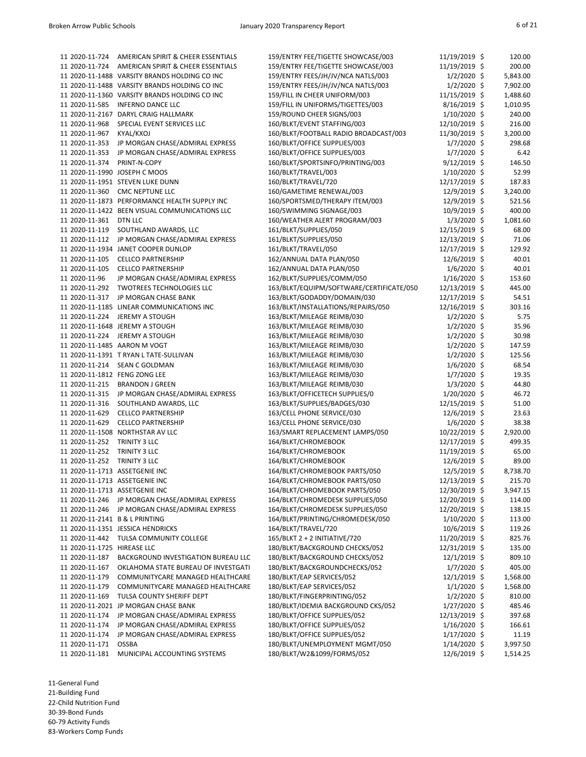| 11 2020-11-724                 | AMERICAN SPIRIT & CHEER ESSENTIALS             | 159/ENTRY FEE/TIGETTE SHOWCASE/003       | 11/19/2019 \$  | 120.00   |
|--------------------------------|------------------------------------------------|------------------------------------------|----------------|----------|
| 11 2020-11-724                 | AMERICAN SPIRIT & CHEER ESSENTIALS             | 159/ENTRY FEE/TIGETTE SHOWCASE/003       | 11/19/2019 \$  | 200.00   |
|                                | 11 2020-11-1488 VARSITY BRANDS HOLDING CO INC  | 159/ENTRY FEES/JH/JV/NCA NATLS/003       | $1/2/2020$ \$  | 5,843.00 |
|                                | 11 2020-11-1488 VARSITY BRANDS HOLDING CO INC  | 159/ENTRY FEES/JH/JV/NCA NATLS/003       | $1/2/2020$ \$  | 7,902.00 |
|                                | 11 2020-11-1360 VARSITY BRANDS HOLDING CO INC  | 159/FILL IN CHEER UNIFORM/003            | 11/15/2019 \$  | 1,488.60 |
| 11 2020-11-585                 | <b>INFERNO DANCE LLC</b>                       | 159/FILL IN UNIFORMS/TIGETTES/003        | 8/16/2019 \$   | 1,010.95 |
|                                | 11 2020-11-2167 DARYL CRAIG HALLMARK           | 159/ROUND CHEER SIGNS/003                | $1/10/2020$ \$ | 240.00   |
| 11 2020-11-968                 | SPECIAL EVENT SERVICES LLC                     | 160/BLKT/EVENT STAFFING/003              | 12/10/2019 \$  | 216.00   |
| 11 2020-11-967                 | KYAL/KXOJ                                      | 160/BLKT/FOOTBALL RADIO BROADCAST/003    | 11/30/2019 \$  | 3,200.00 |
| 11 2020-11-353                 | JP MORGAN CHASE/ADMIRAL EXPRESS                | 160/BLKT/OFFICE SUPPLIES/003             | $1/7/2020$ \$  | 298.68   |
| 11 2020-11-353                 | JP MORGAN CHASE/ADMIRAL EXPRESS                | 160/BLKT/OFFICE SUPPLIES/003             | $1/7/2020$ \$  | 6.42     |
| 11 2020-11-374                 | PRINT-N-COPY                                   | 160/BLKT/SPORTSINFO/PRINTING/003         | $9/12/2019$ \$ | 146.50   |
|                                |                                                |                                          |                |          |
|                                | 11 2020-11-1990 JOSEPH C MOOS                  | 160/BLKT/TRAVEL/003                      | $1/10/2020$ \$ | 52.99    |
|                                | 11 2020-11-1951 STEVEN LUKE DUNN               | 160/BLKT/TRAVEL/720                      | 12/17/2019 \$  | 187.83   |
| 11 2020-11-360                 | <b>CMC NEPTUNE LLC</b>                         | 160/GAMETIME RENEWAL/003                 | 12/9/2019 \$   | 3,240.00 |
|                                | 11 2020-11-1873 PERFORMANCE HEALTH SUPPLY INC  | 160/SPORTSMED/THERAPY ITEM/003           | 12/9/2019 \$   | 521.56   |
|                                | 11 2020-11-1422 BEEN VISUAL COMMUNICATIONS LLC | 160/SWIMMING SIGNAGE/003                 | 10/9/2019 \$   | 400.00   |
| 11 2020-11-361                 | DTN LLC                                        | 160/WEATHER ALERT PROGRAM/003            | $1/3/2020$ \$  | 1,081.60 |
| 11 2020-11-119                 | SOUTHLAND AWARDS, LLC                          | 161/BLKT/SUPPLIES/050                    | 12/15/2019 \$  | 68.00    |
| 11 2020-11-112                 | JP MORGAN CHASE/ADMIRAL EXPRESS                | 161/BLKT/SUPPLIES/050                    | 12/13/2019 \$  | 71.06    |
|                                | 11 2020-11-1934 JANET COOPER DUNLOP            | 161/BLKT/TRAVEL/050                      | 12/17/2019 \$  | 129.92   |
| 11 2020-11-105                 | <b>CELLCO PARTNERSHIP</b>                      | 162/ANNUAL DATA PLAN/050                 | 12/6/2019 \$   | 40.01    |
| 11 2020-11-105                 | <b>CELLCO PARTNERSHIP</b>                      | 162/ANNUAL DATA PLAN/050                 | $1/6/2020$ \$  | 40.01    |
| 11 2020-11-96                  | JP MORGAN CHASE/ADMIRAL EXPRESS                | 162/BLKT/SUPPLIES/COMM/050               | $1/16/2020$ \$ | 153.60   |
| 11 2020-11-292                 | <b>TWOTREES TECHNOLOGIES LLC</b>               | 163/BLKT/EQUIPM/SOFTWARE/CERTIFICATE/050 | 12/13/2019 \$  | 445.00   |
| 11 2020-11-317                 | JP MORGAN CHASE BANK                           | 163/BLKT/GODADDY/DOMAIN/030              | 12/17/2019 \$  | 54.51    |
|                                | 11 2020-11-1185 LINEAR COMMUNICATIONS INC      | 163/BLKT/INSTALLATIONS/REPAIRS/050       | 12/16/2019 \$  | 303.16   |
| 11 2020-11-224                 | <b>JEREMY A STOUGH</b>                         | 163/BLKT/MILEAGE REIMB/030               | $1/2/2020$ \$  | 5.75     |
|                                | 11 2020-11-1648 JEREMY A STOUGH                | 163/BLKT/MILEAGE REIMB/030               | $1/2/2020$ \$  | 35.96    |
| 11 2020-11-224                 | <b>JEREMY A STOUGH</b>                         | 163/BLKT/MILEAGE REIMB/030               | $1/2/2020$ \$  | 30.98    |
|                                | 11 2020-11-1485 AARON M VOGT                   | 163/BLKT/MILEAGE REIMB/030               | $1/2/2020$ \$  | 147.59   |
|                                | 11 2020-11-1391 T RYAN L TATE-SULLIVAN         | 163/BLKT/MILEAGE REIMB/030               | 1/2/2020 \$    | 125.56   |
| 11 2020-11-214                 | <b>SEAN C GOLDMAN</b>                          | 163/BLKT/MILEAGE REIMB/030               | $1/6/2020$ \$  | 68.54    |
| 11 2020-11-1812 FENG ZONG LEE  |                                                | 163/BLKT/MILEAGE REIMB/030               | $1/7/2020$ \$  | 19.35    |
| 11 2020-11-215                 | <b>BRANDON J GREEN</b>                         | 163/BLKT/MILEAGE REIMB/030               | $1/3/2020$ \$  | 44.80    |
| 11 2020-11-315                 | JP MORGAN CHASE/ADMIRAL EXPRESS                | 163/BLKT/OFFICETECH SUPPLIES/0           | 1/20/2020 \$   | 46.72    |
| 11 2020-11-316                 | SOUTHLAND AWARDS, LLC                          | 163/BLKT/SUPPLIES/BADGES/030             | 12/15/2019 \$  | 51.00    |
| 11 2020-11-629                 | <b>CELLCO PARTNERSHIP</b>                      | 163/CELL PHONE SERVICE/030               | 12/6/2019 \$   | 23.63    |
| 11 2020-11-629                 | <b>CELLCO PARTNERSHIP</b>                      | 163/CELL PHONE SERVICE/030               | $1/6/2020$ \$  | 38.38    |
|                                | 11 2020-11-1508 NORTHSTAR AV LLC               | 163/SMART REPLACEMENT LAMPS/050          | 10/22/2019 \$  | 2,920.00 |
| 11 2020-11-252                 | TRINITY 3 LLC                                  | 164/BLKT/CHROMEBOOK                      | 12/17/2019 \$  | 499.35   |
| 11 2020-11-252                 | TRINITY 3 LLC                                  | 164/BLKT/CHROMEBOOK                      | 11/19/2019 \$  | 65.00    |
| 11 2020-11-252                 | TRINITY 3 LLC                                  | 164/BLKT/CHROMEBOOK                      | 12/6/2019 \$   | 89.00    |
|                                | 11 2020-11-1713 ASSETGENIE INC                 | 164/BLKT/CHROMEBOOK PARTS/050            | 12/5/2019 \$   | 8,738.70 |
|                                | 11 2020-11-1713 ASSETGENIE INC                 | 164/BLKT/CHROMEBOOK PARTS/050            | 12/13/2019 \$  | 215.70   |
|                                | 11 2020-11-1713 ASSETGENIE INC                 | 164/BLKT/CHROMEBOOK PARTS/050            | 12/30/2019 \$  | 3,947.15 |
| 11 2020-11-246                 | JP MORGAN CHASE/ADMIRAL EXPRESS                | 164/BLKT/CHROMEDESK SUPPLIES/050         | 12/20/2019 \$  | 114.00   |
| 11 2020-11-246                 | JP MORGAN CHASE/ADMIRAL EXPRESS                | 164/BLKT/CHROMEDESK SUPPLIES/050         | 12/20/2019 \$  |          |
|                                |                                                |                                          |                | 138.15   |
| 11 2020-11-2141 B & L PRINTING |                                                | 164/BLKT/PRINTING/CHROMEDESK/050         | $1/10/2020$ \$ | 113.00   |
|                                | 11 2020-11-1351 JESSICA HENDRICKS              | 164/BLKT/TRAVEL/720                      | 10/6/2019 \$   | 119.26   |
| 11 2020-11-442                 | TULSA COMMUNITY COLLEGE                        | 165/BLKT 2 + 2 INITIATIVE/720            | 11/20/2019 \$  | 825.76   |
| 11 2020-11-1725 HIREASE LLC    |                                                | 180/BLKT/BACKGROUND CHECKS/052           | 12/31/2019 \$  | 135.00   |
| 11 2020-11-187                 | BACKGROUND INVESTIGATION BUREAU LLC            | 180/BLKT/BACKGROUND CHECKS/052           | $12/1/2019$ \$ | 809.10   |
| 11 2020-11-167                 | OKLAHOMA STATE BUREAU OF INVESTGATI            | 180/BLKT/BACKGROUNDCHECKS/052            | $1/7/2020$ \$  | 405.00   |
| 11 2020-11-179                 | COMMUNITYCARE MANAGED HEALTHCARE               | 180/BLKT/EAP SERVICES/052                | 12/1/2019 \$   | 1,568.00 |
| 11 2020-11-179                 | COMMUNITYCARE MANAGED HEALTHCARE               | 180/BLKT/EAP SERVICES/052                | $1/1/2020$ \$  | 1,568.00 |
| 11 2020-11-169                 | TULSA COUNTY SHERIFF DEPT                      | 180/BLKT/FINGERPRINTING/052              | $1/2/2020$ \$  | 810.00   |
|                                | 11 2020-11-2021 JP MORGAN CHASE BANK           | 180/BLKT/IDEMIA BACKGROUND CKS/052       | $1/27/2020$ \$ | 485.46   |
| 11 2020-11-174                 | JP MORGAN CHASE/ADMIRAL EXPRESS                | 180/BLKT/OFFICE SUPPLIES/052             | 12/13/2019 \$  | 397.68   |
| 11 2020-11-174                 | JP MORGAN CHASE/ADMIRAL EXPRESS                | 180/BLKT/OFFICE SUPPLIES/052             | $1/16/2020$ \$ | 166.61   |
| 11 2020-11-174                 | JP MORGAN CHASE/ADMIRAL EXPRESS                | 180/BLKT/OFFICE SUPPLIES/052             | $1/17/2020$ \$ | 11.19    |
| 11 2020-11-171                 | <b>OSSBA</b>                                   | 180/BLKT/UNEMPLOYMENT MGMT/050           | $1/14/2020$ \$ | 3,997.50 |
| 11 2020-11-181                 | MUNICIPAL ACCOUNTING SYSTEMS                   | 180/BLKT/W2&1099/FORMS/052               | 12/6/2019 \$   | 1,514.25 |

11-General Fund 21-Building Fund 22-Child Nutrition Fund 30-39-Bond Funds 60-79 Activity Funds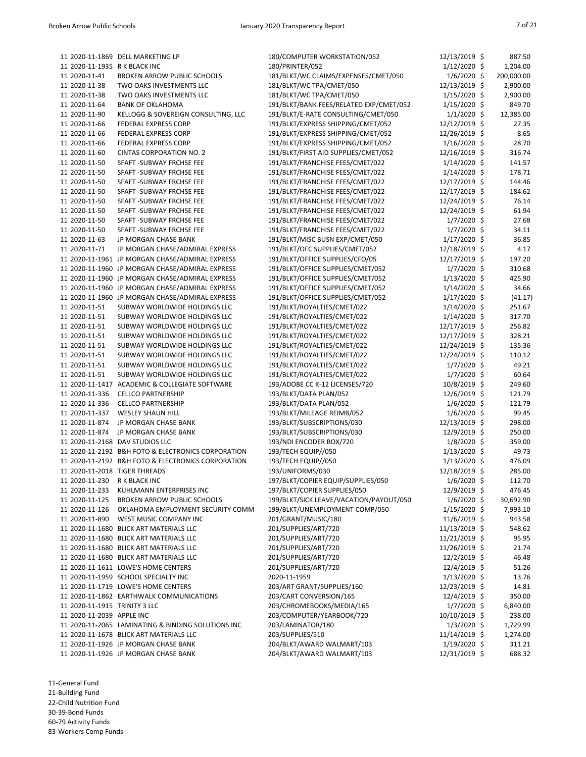|                               | 11 2020-11-1869 DELL MARKETING LP                  | 180/COMPUTER WORKSTATION/052            | 12/13/2019 \$  | 887.50     |
|-------------------------------|----------------------------------------------------|-----------------------------------------|----------------|------------|
| 11 2020-11-1935 R K BLACK INC |                                                    | 180/PRINTER/052                         | $1/12/2020$ \$ | 1,204.00   |
| 11 2020-11-41                 | <b>BROKEN ARROW PUBLIC SCHOOLS</b>                 | 181/BLKT/WC CLAIMS/EXPENSES/CMET/050    | $1/6/2020$ \$  | 200,000.00 |
| 11 2020-11-38                 | TWO OAKS INVESTMENTS LLC                           | 181/BLKT/WC TPA/CMET/050                | 12/13/2019 \$  | 2,900.00   |
| 11 2020-11-38                 | TWO OAKS INVESTMENTS LLC                           | 181/BLKT/WC TPA/CMET/050                | $1/15/2020$ \$ | 2,900.00   |
| 11 2020-11-64                 | <b>BANK OF OKLAHOMA</b>                            | 191/BLKT/BANK FEES/RELATED EXP/CMET/052 | $1/15/2020$ \$ | 849.70     |
| 11 2020-11-90                 | KELLOGG & SOVEREIGN CONSULTING, LLC                | 191/BLKT/E-RATE CONSULTING/CMET/050     | $1/1/2020$ \$  | 12,385.00  |
| 11 2020-11-66                 | FEDERAL EXPRESS CORP                               | 191/BLKT/EXPRESS SHIPPING/CMET/052      | 12/12/2019 \$  | 27.35      |
| 11 2020-11-66                 | FEDERAL EXPRESS CORP                               | 191/BLKT/EXPRESS SHIPPING/CMET/052      | 12/26/2019 \$  | 8.65       |
| 11 2020-11-66                 | FEDERAL EXPRESS CORP                               | 191/BLKT/EXPRESS SHIPPING/CMET/052      | $1/16/2020$ \$ | 28.70      |
| 11 2020-11-60                 | <b>CINTAS CORPORATION NO. 2</b>                    | 191/BLKT/FIRST AID SUPPLIES/CMET/052    | 12/16/2019 \$  | 316.74     |
| 11 2020-11-50                 | SFAFT - SUBWAY FRCHSE FEE                          | 191/BLKT/FRANCHISE FEES/CMET/022        | $1/14/2020$ \$ | 141.57     |
| 11 2020-11-50                 | SFAFT - SUBWAY FRCHSE FEE                          | 191/BLKT/FRANCHISE FEES/CMET/022        | 1/14/2020 \$   | 178.71     |
| 11 2020-11-50                 | SFAFT - SUBWAY FRCHSE FEE                          | 191/BLKT/FRANCHISE FEES/CMET/022        | 12/17/2019 \$  | 144.46     |
| 11 2020-11-50                 | SFAFT - SUBWAY FRCHSE FEE                          | 191/BLKT/FRANCHISE FEES/CMET/022        | 12/17/2019 \$  | 184.62     |
| 11 2020-11-50                 | SFAFT - SUBWAY FRCHSE FEE                          | 191/BLKT/FRANCHISE FEES/CMET/022        | 12/24/2019 \$  | 76.14      |
| 11 2020-11-50                 | SFAFT - SUBWAY FRCHSE FEE                          | 191/BLKT/FRANCHISE FEES/CMET/022        | 12/24/2019 \$  | 61.94      |
| 11 2020-11-50                 | SFAFT - SUBWAY FRCHSE FEE                          | 191/BLKT/FRANCHISE FEES/CMET/022        | $1/7/2020$ \$  | 27.68      |
| 11 2020-11-50                 | SFAFT - SUBWAY FRCHSE FEE                          | 191/BLKT/FRANCHISE FEES/CMET/022        | $1/7/2020$ \$  | 34.11      |
| 11 2020-11-63                 | JP MORGAN CHASE BANK                               | 191/BLKT/MISC BUSN EXP/CMET/050         | $1/17/2020$ \$ | 36.85      |
| 11 2020-11-71                 | JP MORGAN CHASE/ADMIRAL EXPRESS                    | 191/BLKT/OFC SUPPLIES/CMET/052          | 12/18/2019 \$  | 4.17       |
|                               | 11 2020-11-1961 JP MORGAN CHASE/ADMIRAL EXPRESS    | 191/BLKT/OFFICE SUPPLIES/CFO/05         | 12/17/2019 \$  | 197.20     |
|                               | 11 2020-11-1960 JP MORGAN CHASE/ADMIRAL EXPRESS    | 191/BLKT/OFFICE SUPPLIES/CMET/052       | $1/7/2020$ \$  | 310.68     |
|                               | 11 2020-11-1960 JP MORGAN CHASE/ADMIRAL EXPRESS    | 191/BLKT/OFFICE SUPPLIES/CMET/052       | $1/13/2020$ \$ | 425.90     |
|                               | 11 2020-11-1960 JP MORGAN CHASE/ADMIRAL EXPRESS    | 191/BLKT/OFFICE SUPPLIES/CMET/052       | $1/14/2020$ \$ | 34.66      |
|                               | 11 2020-11-1960 JP MORGAN CHASE/ADMIRAL EXPRESS    | 191/BLKT/OFFICE SUPPLIES/CMET/052       | $1/17/2020$ \$ | (41.17)    |
| 11 2020-11-51                 | SUBWAY WORLDWIDE HOLDINGS LLC                      | 191/BLKT/ROYALTIES/CMET/022             | $1/14/2020$ \$ | 251.67     |
| 11 2020-11-51                 | SUBWAY WORLDWIDE HOLDINGS LLC                      | 191/BLKT/ROYALTIES/CMET/022             | 1/14/2020 \$   | 317.70     |
| 11 2020-11-51                 | SUBWAY WORLDWIDE HOLDINGS LLC                      | 191/BLKT/ROYALTIES/CMET/022             | 12/17/2019 \$  | 256.82     |
| 11 2020-11-51                 | SUBWAY WORLDWIDE HOLDINGS LLC                      | 191/BLKT/ROYALTIES/CMET/022             | 12/17/2019 \$  | 328.21     |
| 11 2020-11-51                 |                                                    | 191/BLKT/ROYALTIES/CMET/022             | 12/24/2019 \$  | 135.36     |
|                               | SUBWAY WORLDWIDE HOLDINGS LLC                      |                                         |                |            |
| 11 2020-11-51                 | SUBWAY WORLDWIDE HOLDINGS LLC                      | 191/BLKT/ROYALTIES/CMET/022             | 12/24/2019 \$  | 110.12     |
| 11 2020-11-51                 | SUBWAY WORLDWIDE HOLDINGS LLC                      | 191/BLKT/ROYALTIES/CMET/022             | $1/7/2020$ \$  | 49.21      |
| 11 2020-11-51                 | SUBWAY WORLDWIDE HOLDINGS LLC                      | 191/BLKT/ROYALTIES/CMET/022             | $1/7/2020$ \$  | 60.64      |
| 11 2020-11-1417               | <b>ACADEMIC &amp; COLLEGIATE SOFTWARE</b>          | 193/ADOBE CC K-12 LICENSES/720          | 10/8/2019 \$   | 249.60     |
| 11 2020-11-336                | <b>CELLCO PARTNERSHIP</b>                          | 193/BLKT/DATA PLAN/052                  | 12/6/2019 \$   | 121.79     |
| 11 2020-11-336                | <b>CELLCO PARTNERSHIP</b>                          | 193/BLKT/DATA PLAN/052                  | $1/6/2020$ \$  | 121.79     |
| 11 2020-11-337                | <b>WESLEY SHAUN HILL</b>                           | 193/BLKT/MILEAGE REIMB/052              | $1/6/2020$ \$  | 99.45      |
| 11 2020-11-874                | JP MORGAN CHASE BANK                               | 193/BLKT/SUBSCRIPTIONS/030              | 12/13/2019 \$  | 298.00     |
| 11 2020-11-874                | JP MORGAN CHASE BANK                               | 193/BLKT/SUBSCRIPTIONS/030              | 12/9/2019 \$   | 250.00     |
|                               | 11 2020-11-2168 DAV STUDIOS LLC                    | 193/NDI ENCODER BOX/720                 | $1/8/2020$ \$  | 359.00     |
|                               | 11 2020-11-2192 B&H FOTO & ELECTRONICS CORPORATION | 193/TECH EQUIP//050                     | $1/13/2020$ \$ | 49.73      |
|                               | 11 2020-11-2192 B&H FOTO & ELECTRONICS CORPORATION | 193/TECH EQUIP//050                     | $1/13/2020$ \$ | 476.09     |
| 11 2020-11-2018 TIGER THREADS |                                                    | 193/UNIFORMS/030                        | 12/18/2019 \$  | 285.00     |
| 11 2020-11-230                | R K BLACK INC                                      | 197/BLKT/COPIER EQUIP/SUPPLIES/050      | $1/6/2020$ \$  | 112.70     |
| 11 2020-11-233                | KUHLMANN ENTERPRISES INC                           | 197/BLKT/COPIER SUPPLIES/050            | $12/9/2019$ \$ | 476.45     |
| 11 2020-11-125                | <b>BROKEN ARROW PUBLIC SCHOOLS</b>                 | 199/BLKT/SICK LEAVE/VACATION/PAYOUT/050 | $1/6/2020$ \$  | 30,692.90  |
| 11 2020-11-126                | OKLAHOMA EMPLOYMENT SECURITY COMM                  | 199/BLKT/UNEMPLOYMENT COMP/050          | $1/15/2020$ \$ | 7,993.10   |
| 11 2020-11-890                | WEST MUSIC COMPANY INC                             | 201/GRANT/MUSIC/180                     | 11/6/2019 \$   | 943.58     |
|                               | 11 2020-11-1680 BLICK ART MATERIALS LLC            | 201/SUPPLIES/ART/720                    | 11/13/2019 \$  | 548.62     |
|                               | 11 2020-11-1680 BLICK ART MATERIALS LLC            | 201/SUPPLIES/ART/720                    | 11/21/2019 \$  | 95.95      |
|                               | 11 2020-11-1680 BLICK ART MATERIALS LLC            | 201/SUPPLIES/ART/720                    | 11/26/2019 \$  | 21.74      |
|                               | 11 2020-11-1680 BLICK ART MATERIALS LLC            | 201/SUPPLIES/ART/720                    | 12/2/2019 \$   | 46.48      |
|                               | 11 2020-11-1611 LOWE'S HOME CENTERS                | 201/SUPPLIES/ART/720                    | 12/4/2019 \$   | 51.26      |
|                               | 11 2020-11-1959 SCHOOL SPECIALTY INC               | 2020-11-1959                            | $1/13/2020$ \$ | 13.76      |
|                               | 11 2020-11-1719 LOWE'S HOME CENTERS                | 203/ART GRANT/SUPPLIES/160              | 12/23/2019 \$  | 14.81      |
|                               | 11 2020-11-1862 EARTHWALK COMMUNICATIONS           | 203/CART CONVERSION/165                 | 12/4/2019 \$   | 350.00     |
| 11 2020-11-1915 TRINITY 3 LLC |                                                    | 203/CHROMEBOOKS/MEDIA/165               | $1/7/2020$ \$  | 6,840.00   |
| 11 2020-11-2039 APPLE INC     |                                                    | 203/COMPUTER/YEARBOOK/720               | 10/10/2019 \$  | 238.00     |
|                               | 11 2020-11-2065 LAMINATING & BINDING SOLUTIONS INC | 203/LAMINATOR/180                       | $1/3/2020$ \$  | 1,729.99   |
|                               | 11 2020-11-1678 BLICK ART MATERIALS LLC            | 203/SUPPLIES/510                        | 11/14/2019 \$  | 1,274.00   |
|                               | 11 2020-11-1926 JP MORGAN CHASE BANK               | 204/BLKT/AWARD WALMART/103              | $1/19/2020$ \$ | 311.21     |
|                               | 11 2020-11-1926 JP MORGAN CHASE BANK               | 204/BLKT/AWARD WALMART/103              | 12/31/2019 \$  | 688.32     |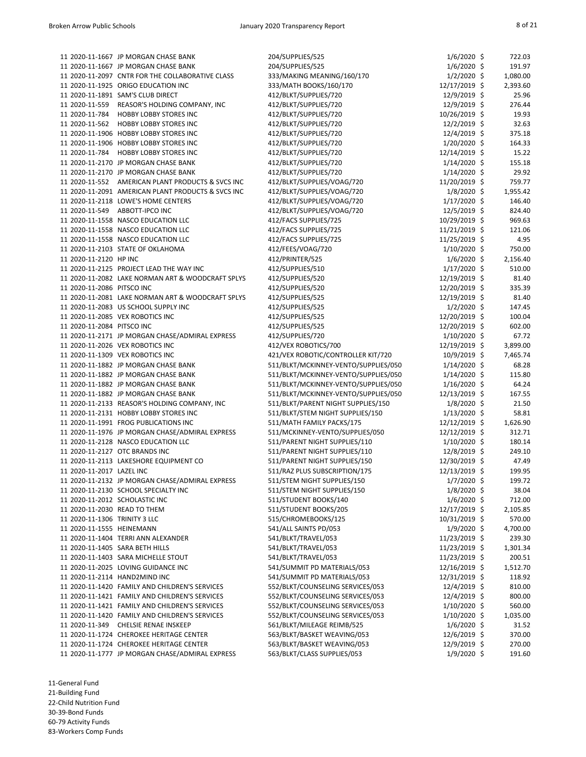|                                | 11 2020-11-1667 JP MORGAN CHASE BANK               | 204/SUPPLIES/525                     | $1/6/2020$ \$   | 722.03   |
|--------------------------------|----------------------------------------------------|--------------------------------------|-----------------|----------|
|                                | 11 2020-11-1667 JP MORGAN CHASE BANK               | 204/SUPPLIES/525                     | $1/6/2020$ \$   | 191.97   |
|                                | 11 2020-11-2097 CNTR FOR THE COLLABORATIVE CLASS   | 333/MAKING MEANING/160/170           | $1/2/2020$ \$   | 1,080.00 |
|                                | 11 2020-11-1925 ORIGO EDUCATION INC                | 333/MATH BOOKS/160/170               | 12/17/2019 \$   | 2,393.60 |
|                                | 11 2020-11-1891 SAM'S CLUB DIRECT                  | 412/BLKT/SUPPLIES/720                | 12/9/2019 \$    | 25.96    |
| 11 2020-11-559                 | REASOR'S HOLDING COMPANY, INC                      | 412/BLKT/SUPPLIES/720                | 12/9/2019 \$    | 276.44   |
| 11 2020-11-784                 | <b>HOBBY LOBBY STORES INC</b>                      | 412/BLKT/SUPPLIES/720                | 10/26/2019 \$   | 19.93    |
| 11 2020-11-562                 | <b>HOBBY LOBBY STORES INC</b>                      | 412/BLKT/SUPPLIES/720                | $12/2/2019$ \$  | 32.63    |
|                                | 11 2020-11-1906 HOBBY LOBBY STORES INC             | 412/BLKT/SUPPLIES/720                | 12/4/2019 \$    | 375.18   |
|                                | 11 2020-11-1906 HOBBY LOBBY STORES INC             | 412/BLKT/SUPPLIES/720                | $1/20/2020$ \$  | 164.33   |
| 11 2020-11-784                 | <b>HOBBY LOBBY STORES INC</b>                      | 412/BLKT/SUPPLIES/720                | 12/14/2019 \$   | 15.22    |
|                                | 11 2020-11-2170 JP MORGAN CHASE BANK               | 412/BLKT/SUPPLIES/720                | $1/14/2020$ \$  | 155.18   |
|                                | 11 2020-11-2170 JP MORGAN CHASE BANK               | 412/BLKT/SUPPLIES/720                | $1/14/2020$ \$  | 29.92    |
|                                | 11 2020-11-552 AMERICAN PLANT PRODUCTS & SVCS INC  | 412/BLKT/SUPPLIES/VOAG/720           | 11/20/2019 \$   | 759.77   |
|                                | 11 2020-11-2091 AMERICAN PLANT PRODUCTS & SVCS INC | 412/BLKT/SUPPLIES/VOAG/720           | $1/8/2020$ \$   | 1,955.42 |
|                                | 11 2020-11-2118 LOWE'S HOME CENTERS                | 412/BLKT/SUPPLIES/VOAG/720           | $1/17/2020$ \$  | 146.40   |
|                                | 11 2020-11-549 ABBOTT-IPCO INC                     | 412/BLKT/SUPPLIES/VOAG/720           | 12/5/2019 \$    | 824.40   |
|                                | 11 2020-11-1558 NASCO EDUCATION LLC                | 412/FACS SUPPLIES/725                | 10/29/2019 \$   | 969.63   |
|                                | 11 2020-11-1558 NASCO EDUCATION LLC                | 412/FACS SUPPLIES/725                | $11/21/2019$ \$ | 121.06   |
|                                | 11 2020-11-1558 NASCO EDUCATION LLC                | 412/FACS SUPPLIES/725                | 11/25/2019 \$   | 4.95     |
|                                | 11 2020-11-2103 STATE OF OKLAHOMA                  | 412/FEES/VOAG/720                    | $1/10/2020$ \$  | 750.00   |
| 11 2020-11-2120 HP INC         |                                                    |                                      | $1/6/2020$ \$   | 2,156.40 |
|                                |                                                    | 412/PRINTER/525                      |                 |          |
|                                | 11 2020-11-2125 PROJECT LEAD THE WAY INC           | 412/SUPPLIES/510                     | $1/17/2020$ \$  | 510.00   |
|                                | 11 2020-11-2082 LAKE NORMAN ART & WOODCRAFT SPLYS  | 412/SUPPLIES/520                     | 12/19/2019 \$   | 81.40    |
| 11 2020-11-2086 PITSCO INC     |                                                    | 412/SUPPLIES/520                     | 12/20/2019 \$   | 335.39   |
|                                | 11 2020-11-2081 LAKE NORMAN ART & WOODCRAFT SPLYS  | 412/SUPPLIES/525                     | 12/19/2019 \$   | 81.40    |
|                                | 11 2020-11-2083 US SCHOOL SUPPLY INC               | 412/SUPPLIES/525                     | $1/2/2020$ \$   | 147.45   |
|                                | 11 2020-11-2085 VEX ROBOTICS INC                   | 412/SUPPLIES/525                     | 12/20/2019 \$   | 100.04   |
| 11 2020-11-2084 PITSCO INC     |                                                    | 412/SUPPLIES/525                     | 12/20/2019 \$   | 602.00   |
|                                | 11 2020-11-2171 JP MORGAN CHASE/ADMIRAL EXPRESS    | 412/SUPPLIES/720                     | $1/10/2020$ \$  | 67.72    |
|                                | 11 2020-11-2026 VEX ROBOTICS INC                   | 412/VEX ROBOTICS/700                 | 12/19/2019 \$   | 3,899.00 |
|                                | 11 2020-11-1309 VEX ROBOTICS INC                   | 421/VEX ROBOTIC/CONTROLLER KIT/720   | 10/9/2019 \$    | 7,465.74 |
|                                | 11 2020-11-1882 JP MORGAN CHASE BANK               | 511/BLKT/MCKINNEY-VENTO/SUPPLIES/050 | $1/14/2020$ \$  | 68.28    |
|                                | 11 2020-11-1882 JP MORGAN CHASE BANK               | 511/BLKT/MCKINNEY-VENTO/SUPPLIES/050 | $1/14/2020$ \$  | 115.80   |
|                                | 11 2020-11-1882 JP MORGAN CHASE BANK               | 511/BLKT/MCKINNEY-VENTO/SUPPLIES/050 | $1/16/2020$ \$  | 64.24    |
|                                | 11 2020-11-1882 JP MORGAN CHASE BANK               | 511/BLKT/MCKINNEY-VENTO/SUPPLIES/050 | 12/13/2019 \$   | 167.55   |
|                                | 11 2020-11-2133 REASOR'S HOLDING COMPANY, INC      | 511/BLKT/PARENT NIGHT SUPPLIES/150   | $1/8/2020$ \$   | 21.50    |
|                                | 11 2020-11-2131 HOBBY LOBBY STORES INC             | 511/BLKT/STEM NIGHT SUPPLIES/150     | $1/13/2020$ \$  | 58.81    |
|                                | 11 2020-11-1991 FROG PUBLICATIONS INC              | 511/MATH FAMILY PACKS/175            | 12/12/2019 \$   | 1,626.90 |
|                                | 11 2020-11-1976 JP MORGAN CHASE/ADMIRAL EXPRESS    | 511/MCKINNEY-VENTO/SUPPLIES/050      | 12/12/2019 \$   | 312.71   |
|                                | 11 2020-11-2128 NASCO EDUCATION LLC                | 511/PARENT NIGHT SUPPLIES/110        | $1/10/2020$ \$  | 180.14   |
|                                | 11 2020-11-2127 OTC BRANDS INC                     | 511/PARENT NIGHT SUPPLIES/110        | 12/8/2019 \$    | 249.10   |
|                                | 11 2020-11-2113 LAKESHORE EQUIPMENT CO             | 511/PARENT NIGHT SUPPLIES/150        | 12/30/2019 \$   | 47.49    |
| 11 2020-11-2017 LAZEL INC      |                                                    | 511/RAZ PLUS SUBSCRIPTION/175        | 12/13/2019 \$   | 199.95   |
|                                | 11 2020-11-2132 JP MORGAN CHASE/ADMIRAL EXPRESS    | 511/STEM NIGHT SUPPLIES/150          | $1/7/2020$ \$   | 199.72   |
|                                | 11 2020-11-2130 SCHOOL SPECIALTY INC               | 511/STEM NIGHT SUPPLIES/150          | $1/8/2020$ \$   | 38.04    |
| 11 2020-11-2012 SCHOLASTIC INC |                                                    | 511/STUDENT BOOKS/140                | $1/6/2020$ \$   | 712.00   |
| 11 2020-11-2030 READ TO THEM   |                                                    | 511/STUDENT BOOKS/205                | 12/17/2019 \$   | 2,105.85 |
| 11 2020-11-1306 TRINITY 3 LLC  |                                                    | 515/CHROMEBOOKS/125                  |                 |          |
|                                |                                                    |                                      | 10/31/2019 \$   | 570.00   |
| 11 2020-11-1555 HEINEMANN      |                                                    | 541/ALL SAINTS PD/053                | $1/9/2020$ \$   | 4,700.00 |
|                                | 11 2020-11-1404 TERRI ANN ALEXANDER                | 541/BLKT/TRAVEL/053                  | 11/23/2019 \$   | 239.30   |
|                                | 11 2020-11-1405 SARA BETH HILLS                    | 541/BLKT/TRAVEL/053                  | 11/23/2019 \$   | 1,301.34 |
|                                | 11 2020-11-1403 SARA MICHELLE STOUT                | 541/BLKT/TRAVEL/053                  | 11/23/2019 \$   | 200.51   |
|                                | 11 2020-11-2025 LOVING GUIDANCE INC                | 541/SUMMIT PD MATERIALS/053          | 12/16/2019 \$   | 1,512.70 |
|                                | 11 2020-11-2114 HAND2MIND INC                      | 541/SUMMIT PD MATERIALS/053          | 12/31/2019 \$   | 118.92   |
|                                | 11 2020-11-1420 FAMILY AND CHILDREN'S SERVICES     | 552/BLKT/COUNSELING SERVICES/053     | 12/4/2019 \$    | 810.00   |
|                                | 11 2020-11-1421 FAMILY AND CHILDREN'S SERVICES     | 552/BLKT/COUNSELING SERVICES/053     | 12/4/2019 \$    | 800.00   |
|                                | 11 2020-11-1421 FAMILY AND CHILDREN'S SERVICES     | 552/BLKT/COUNSELING SERVICES/053     | $1/10/2020$ \$  | 560.00   |
|                                | 11 2020-11-1420 FAMILY AND CHILDREN'S SERVICES     | 552/BLKT/COUNSELING SERVICES/053     | $1/10/2020$ \$  | 1,035.00 |
| 11 2020-11-349                 | CHELSIE RENAE INSKEEP                              | 561/BLKT/MILEAGE REIMB/525           | $1/6/2020$ \$   | 31.52    |
|                                | 11 2020-11-1724 CHEROKEE HERITAGE CENTER           | 563/BLKT/BASKET WEAVING/053          | 12/6/2019 \$    | 370.00   |
|                                | 11 2020-11-1724 CHEROKEE HERITAGE CENTER           | 563/BLKT/BASKET WEAVING/053          | 12/9/2019 \$    | 270.00   |
|                                | 11 2020-11-1777 JP MORGAN CHASE/ADMIRAL EXPRESS    | 563/BLKT/CLASS SUPPLIES/053          | 1/9/2020 \$     | 191.60   |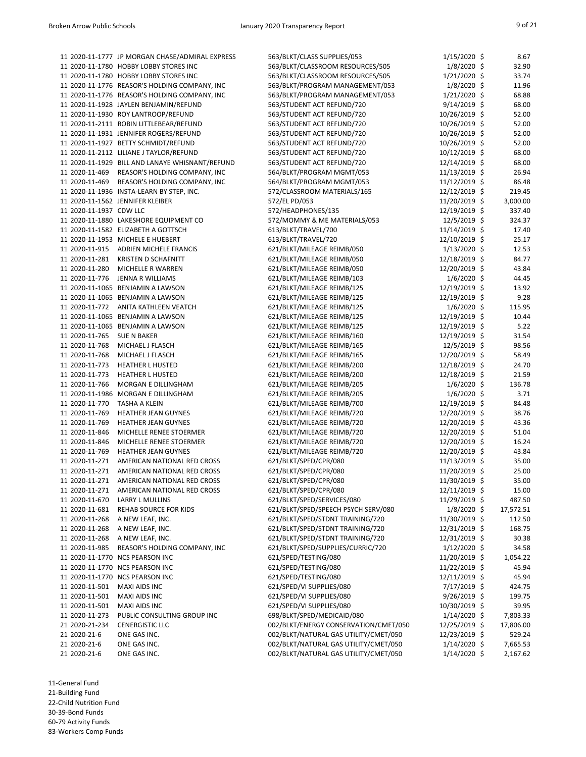|                         | 11 2020-11-1777 JP MORGAN CHASE/ADMIRAL EXPRESS | 563/BLKT/CLASS SUPPLIES/053           | $1/15/2020$ \$ | 8.67      |
|-------------------------|-------------------------------------------------|---------------------------------------|----------------|-----------|
|                         | 11 2020-11-1780 HOBBY LOBBY STORES INC          | 563/BLKT/CLASSROOM RESOURCES/505      | $1/8/2020$ \$  | 32.90     |
|                         | 11 2020-11-1780 HOBBY LOBBY STORES INC          | 563/BLKT/CLASSROOM RESOURCES/505      | $1/21/2020$ \$ | 33.74     |
|                         | 11 2020-11-1776 REASOR'S HOLDING COMPANY, INC   | 563/BLKT/PROGRAM MANAGEMENT/053       | $1/8/2020$ \$  | 11.96     |
|                         | 11 2020-11-1776 REASOR'S HOLDING COMPANY, INC   | 563/BLKT/PROGRAM MANAGEMENT/053       | $1/21/2020$ \$ | 68.88     |
|                         | 11 2020-11-1928 JAYLEN BENJAMIN/REFUND          | 563/STUDENT ACT REFUND/720            | $9/14/2019$ \$ | 68.00     |
|                         | 11 2020-11-1930 ROY LANTROOP/REFUND             | 563/STUDENT ACT REFUND/720            | 10/26/2019 \$  | 52.00     |
|                         | 11 2020-11-2111 ROBIN LITTLEBEAR/REFUND         | 563/STUDENT ACT REFUND/720            | 10/26/2019 \$  | 52.00     |
|                         | 11 2020-11-1931 JENNIFER ROGERS/REFUND          | 563/STUDENT ACT REFUND/720            | 10/26/2019 \$  | 52.00     |
|                         | 11 2020-11-1927 BETTY SCHMIDT/REFUND            | 563/STUDENT ACT REFUND/720            | 10/26/2019 \$  | 52.00     |
|                         | 11 2020-11-2112 LILIANE J TAYLOR/REFUND         | 563/STUDENT ACT REFUND/720            | 10/12/2019 \$  | 68.00     |
|                         | 11 2020-11-1929 BILL AND LANAYE WHISNANT/REFUND | 563/STUDENT ACT REFUND/720            | 12/14/2019 \$  | 68.00     |
|                         | 11 2020-11-469 REASOR'S HOLDING COMPANY, INC    | 564/BLKT/PROGRAM MGMT/053             | 11/13/2019 \$  | 26.94     |
| 11 2020-11-469          | REASOR'S HOLDING COMPANY, INC                   | 564/BLKT/PROGRAM MGMT/053             | 11/12/2019 \$  | 86.48     |
|                         | 11 2020-11-1936 INSTA-LEARN BY STEP, INC.       | 572/CLASSROOM MATERIALS/165           | 12/12/2019 \$  | 219.45    |
|                         | 11 2020-11-1562 JENNIFER KLEIBER                | 572/EL PD/053                         | 11/20/2019 \$  | 3,000.00  |
| 11 2020-11-1937 CDW LLC |                                                 | 572/HEADPHONES/135                    | 12/19/2019 \$  | 337.40    |
|                         | 11 2020-11-1880 LAKESHORE EQUIPMENT CO          | 572/MOMMY & ME MATERIALS/053          | 12/5/2019 \$   | 324.37    |
|                         | 11 2020-11-1582 ELIZABETH A GOTTSCH             | 613/BLKT/TRAVEL/700                   | 11/14/2019 \$  | 17.40     |
|                         | 11 2020-11-1953 MICHELE E HUEBERT               | 613/BLKT/TRAVEL/720                   | 12/10/2019 \$  | 25.17     |
| 11 2020-11-915          | <b>ADRIEN MICHELE FRANCIS</b>                   | 621/BLKT/MILEAGE REIMB/050            | $1/13/2020$ \$ | 12.53     |
| 11 2020-11-281          | <b>KRISTEN D SCHAFNITT</b>                      | 621/BLKT/MILEAGE REIMB/050            | 12/18/2019 \$  | 84.77     |
| 11 2020-11-280          |                                                 |                                       |                |           |
|                         | MICHELLE R WARREN                               | 621/BLKT/MILEAGE REIMB/050            | 12/20/2019 \$  | 43.84     |
| 11 2020-11-776          | JENNA R WILLIAMS                                | 621/BLKT/MILEAGE REIMB/103            | $1/6/2020$ \$  | 44.45     |
|                         | 11 2020-11-1065 BENJAMIN A LAWSON               | 621/BLKT/MILEAGE REIMB/125            | 12/19/2019 \$  | 13.92     |
|                         | 11 2020-11-1065 BENJAMIN A LAWSON               | 621/BLKT/MILEAGE REIMB/125            | 12/19/2019 \$  | 9.28      |
| 11 2020-11-772          | ANITA KATHLEEN VEATCH                           | 621/BLKT/MILEAGE REIMB/125            | $1/6/2020$ \$  | 115.95    |
|                         | 11 2020-11-1065 BENJAMIN A LAWSON               | 621/BLKT/MILEAGE REIMB/125            | 12/19/2019 \$  | 10.44     |
|                         | 11 2020-11-1065 BENJAMIN A LAWSON               | 621/BLKT/MILEAGE REIMB/125            | 12/19/2019 \$  | 5.22      |
| 11 2020-11-765          | <b>SUE N BAKER</b>                              | 621/BLKT/MILEAGE REIMB/160            | 12/19/2019 \$  | 31.54     |
| 11 2020-11-768          | MICHAEL J FLASCH                                | 621/BLKT/MILEAGE REIMB/165            | 12/5/2019 \$   | 98.56     |
| 11 2020-11-768          | MICHAEL J FLASCH                                | 621/BLKT/MILEAGE REIMB/165            | 12/20/2019 \$  | 58.49     |
| 11 2020-11-773          | <b>HEATHER L HUSTED</b>                         | 621/BLKT/MILEAGE REIMB/200            | 12/18/2019 \$  | 24.70     |
| 11 2020-11-773          | <b>HEATHER L HUSTED</b>                         | 621/BLKT/MILEAGE REIMB/200            | 12/18/2019 \$  | 21.59     |
| 11 2020-11-766          | MORGAN E DILLINGHAM                             | 621/BLKT/MILEAGE REIMB/205            | $1/6/2020$ \$  | 136.78    |
|                         | 11 2020-11-1986 MORGAN E DILLINGHAM             | 621/BLKT/MILEAGE REIMB/205            | $1/6/2020$ \$  | 3.71      |
| 11 2020-11-770          | <b>TASHA A KLEIN</b>                            | 621/BLKT/MILEAGE REIMB/700            | 12/19/2019 \$  | 84.48     |
| 11 2020-11-769          | <b>HEATHER JEAN GUYNES</b>                      | 621/BLKT/MILEAGE REIMB/720            | 12/20/2019 \$  | 38.76     |
| 11 2020-11-769          | <b>HEATHER JEAN GUYNES</b>                      | 621/BLKT/MILEAGE REIMB/720            | 12/20/2019 \$  | 43.36     |
| 11 2020-11-846          | MICHELLE RENEE STOERMER                         | 621/BLKT/MILEAGE REIMB/720            | 12/20/2019 \$  | 51.04     |
| 11 2020-11-846          | MICHELLE RENEE STOERMER                         | 621/BLKT/MILEAGE REIMB/720            | 12/20/2019 \$  | 16.24     |
| 11 2020-11-769          | HEATHER JEAN GUYNES                             | 621/BLKT/MILEAGE REIMB/720            | 12/20/2019 \$  | 43.84     |
| 11 2020-11-271          | AMERICAN NATIONAL RED CROSS                     | 621/BLKT/SPED/CPR/080                 | 11/13/2019 \$  | 35.00     |
| 11 2020-11-271          | AMERICAN NATIONAL RED CROSS                     | 621/BLKT/SPED/CPR/080                 | 11/20/2019 \$  | 25.00     |
| 11 2020-11-271          | AMERICAN NATIONAL RED CROSS                     | 621/BLKT/SPED/CPR/080                 | 11/30/2019 \$  | 35.00     |
| 11 2020-11-271          | AMERICAN NATIONAL RED CROSS                     | 621/BLKT/SPED/CPR/080                 | 12/11/2019 \$  | 15.00     |
| 11 2020-11-670          | LARRY L MULLINS                                 | 621/BLKT/SPED/SERVICES/080            | 11/29/2019 \$  | 487.50    |
| 11 2020-11-681          | <b>REHAB SOURCE FOR KIDS</b>                    | 621/BLKT/SPED/SPEECH PSYCH SERV/080   | $1/8/2020$ \$  | 17,572.51 |
| 11 2020-11-268          | A NEW LEAF, INC.                                | 621/BLKT/SPED/STDNT TRAINING/720      | 11/30/2019 \$  | 112.50    |
| 11 2020-11-268          | A NEW LEAF, INC.                                | 621/BLKT/SPED/STDNT TRAINING/720      | 12/31/2019 \$  | 168.75    |
| 11 2020-11-268          | A NEW LEAF, INC.                                | 621/BLKT/SPED/STDNT TRAINING/720      | 12/31/2019 \$  | 30.38     |
| 11 2020-11-985          | REASOR'S HOLDING COMPANY, INC                   | 621/BLKT/SPED/SUPPLIES/CURRIC/720     | $1/12/2020$ \$ | 34.58     |
|                         | 11 2020-11-1770 NCS PEARSON INC                 | 621/SPED/TESTING/080                  | 11/20/2019 \$  | 1,054.22  |
|                         | 11 2020-11-1770 NCS PEARSON INC                 | 621/SPED/TESTING/080                  | 11/22/2019 \$  | 45.94     |
|                         | 11 2020-11-1770 NCS PEARSON INC                 | 621/SPED/TESTING/080                  | 12/11/2019 \$  | 45.94     |
| 11 2020-11-501          | <b>MAXI AIDS INC</b>                            | 621/SPED/VI SUPPLIES/080              | 7/17/2019 \$   | 424.75    |
| 11 2020-11-501          | <b>MAXI AIDS INC</b>                            | 621/SPED/VI SUPPLIES/080              | $9/26/2019$ \$ | 199.75    |
| 11 2020-11-501          | <b>MAXI AIDS INC</b>                            | 621/SPED/VI SUPPLIES/080              | 10/30/2019 \$  | 39.95     |
| 11 2020-11-273          | PUBLIC CONSULTING GROUP INC                     | 698/BLKT/SPED/MEDICAID/080            | $1/14/2020$ \$ | 7,803.33  |
| 21 2020-21-234          | <b>CENERGISTIC LLC</b>                          | 002/BLKT/ENERGY CONSERVATION/CMET/050 | 12/25/2019 \$  | 17,806.00 |
| 21 2020-21-6            | ONE GAS INC.                                    | 002/BLKT/NATURAL GAS UTILITY/CMET/050 | 12/23/2019 \$  | 529.24    |
| 21 2020-21-6            | ONE GAS INC.                                    | 002/BLKT/NATURAL GAS UTILITY/CMET/050 | $1/14/2020$ \$ | 7,665.53  |
| 21 2020-21-6            | ONE GAS INC.                                    | 002/BLKT/NATURAL GAS UTILITY/CMET/050 | $1/14/2020$ \$ | 2,167.62  |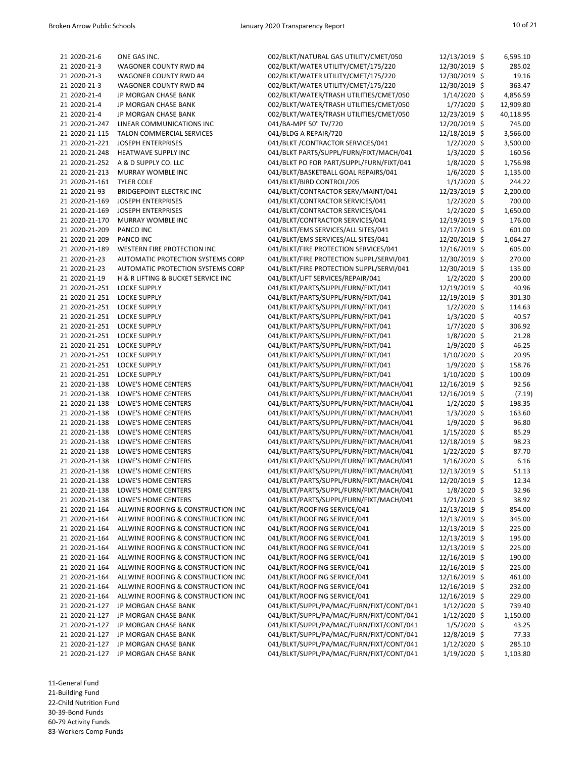| 21 2020-21-6                | ONE GAS INC.                       | 002/BLKT/NATURAL GAS UTILITY/CMET/050    | 12/13/2019 \$  | 6,595.10  |
|-----------------------------|------------------------------------|------------------------------------------|----------------|-----------|
| 21 2020-21-3                | <b>WAGONER COUNTY RWD #4</b>       | 002/BLKT/WATER UTILITY/CMET/175/220      | 12/30/2019 \$  | 285.02    |
| 21 2020-21-3                | <b>WAGONER COUNTY RWD #4</b>       | 002/BLKT/WATER UTILITY/CMET/175/220      | 12/30/2019 \$  | 19.16     |
| 21 2020-21-3                | <b>WAGONER COUNTY RWD #4</b>       | 002/BLKT/WATER UTILITY/CMET/175/220      | 12/30/2019 \$  | 363.47    |
| 21 2020-21-4                | JP MORGAN CHASE BANK               | 002/BLKT/WATER/TRASH UTILITIES/CMET/050  | $1/14/2020$ \$ | 4,856.59  |
| 21 2020-21-4                | JP MORGAN CHASE BANK               | 002/BLKT/WATER/TRASH UTILITIES/CMET/050  | $1/7/2020$ \$  | 12,909.80 |
| 21 2020-21-4                | JP MORGAN CHASE BANK               | 002/BLKT/WATER/TRASH UTILITIES/CMET/050  | 12/23/2019 \$  | 40,118.95 |
|                             |                                    |                                          |                |           |
| 21 2020-21-247              | LINEAR COMMUNICATIONS INC          | 041/BA-MPF 50" TV/720                    | 12/20/2019 \$  | 745.00    |
| 21 2020-21-115              | <b>TALON COMMERCIAL SERVICES</b>   | 041/BLDG A REPAIR/720                    | 12/18/2019 \$  | 3,566.00  |
| 21 2020-21-221              | <b>JOSEPH ENTERPRISES</b>          | 041/BLKT / CONTRACTOR SERVICES/041       | $1/2/2020$ \$  | 3,500.00  |
| 21 2020-21-248              | HEATWAVE SUPPLY INC                | 041/BLKT PARTS/SUPPL/FURN/FIXT/MACH/041  | $1/3/2020$ \$  | 160.56    |
| 21 2020-21-252              | A & D SUPPLY CO. LLC               | 041/BLKT PO FOR PART/SUPPL/FURN/FIXT/041 | $1/8/2020$ \$  | 1,756.98  |
| 21 2020-21-213              | MURRAY WOMBLE INC                  | 041/BLKT/BASKETBALL GOAL REPAIRS/041     | $1/6/2020$ \$  | 1,135.00  |
| 21 2020-21-161              | <b>TYLER COLE</b>                  | 041/BLKT/BIRD CONTROL/205                | $1/1/2020$ \$  | 244.22    |
| 21 2020-21-93               |                                    |                                          | 12/23/2019 \$  |           |
|                             | <b>BRIDGEPOINT ELECTRIC INC</b>    | 041/BLKT/CONTRACTOR SERV/MAINT/041       |                | 2,200.00  |
| 21 2020-21-169              | <b>JOSEPH ENTERPRISES</b>          | 041/BLKT/CONTRACTOR SERVICES/041         | $1/2/2020$ \$  | 700.00    |
| 21 2020-21-169              | <b>JOSEPH ENTERPRISES</b>          | 041/BLKT/CONTRACTOR SERVICES/041         | $1/2/2020$ \$  | 1,650.00  |
| 21 2020-21-170              | MURRAY WOMBLE INC                  | 041/BLKT/CONTRACTOR SERVICES/041         | 12/19/2019 \$  | 176.00    |
| 21 2020-21-209              | PANCO INC                          | 041/BLKT/EMS SERVICES/ALL SITES/041      | 12/17/2019 \$  | 601.00    |
| 21 2020-21-209              | PANCO INC                          | 041/BLKT/EMS SERVICES/ALL SITES/041      | 12/20/2019 \$  | 1,064.27  |
| 21 2020-21-189              | WESTERN FIRE PROTECTION INC        | 041/BLKT/FIRE PROTECTION SERVICES/041    | 12/16/2019 \$  | 605.00    |
| 21 2020-21-23               | AUTOMATIC PROTECTION SYSTEMS CORP  | 041/BLKT/FIRE PROTECTION SUPPL/SERVI/041 | 12/30/2019 \$  | 270.00    |
|                             |                                    |                                          |                |           |
| 21 2020-21-23               | AUTOMATIC PROTECTION SYSTEMS CORP  | 041/BLKT/FIRE PROTECTION SUPPL/SERVI/041 | 12/30/2019 \$  | 135.00    |
| 21 2020-21-19               | H & R LIFTING & BUCKET SERVICE INC | 041/BLKT/LIFT SERVICES/REPAIR/041        | $1/2/2020$ \$  | 200.00    |
| 21 2020-21-251              | <b>LOCKE SUPPLY</b>                | 041/BLKT/PARTS/SUPPL/FURN/FIXT/041       | 12/19/2019 \$  | 40.96     |
| 21 2020-21-251              | <b>LOCKE SUPPLY</b>                | 041/BLKT/PARTS/SUPPL/FURN/FIXT/041       | 12/19/2019 \$  | 301.30    |
| 21 2020-21-251              | <b>LOCKE SUPPLY</b>                | 041/BLKT/PARTS/SUPPL/FURN/FIXT/041       | $1/2/2020$ \$  | 114.63    |
| 21 2020-21-251              | <b>LOCKE SUPPLY</b>                | 041/BLKT/PARTS/SUPPL/FURN/FIXT/041       | 1/3/2020 \$    | 40.57     |
| 21 2020-21-251              | <b>LOCKE SUPPLY</b>                | 041/BLKT/PARTS/SUPPL/FURN/FIXT/041       | $1/7/2020$ \$  | 306.92    |
|                             |                                    |                                          |                |           |
| 21 2020-21-251              | <b>LOCKE SUPPLY</b>                | 041/BLKT/PARTS/SUPPL/FURN/FIXT/041       | $1/8/2020$ \$  | 21.28     |
| 21 2020-21-251              | <b>LOCKE SUPPLY</b>                | 041/BLKT/PARTS/SUPPL/FURN/FIXT/041       | $1/9/2020$ \$  | 46.25     |
| 21 2020-21-251 LOCKE SUPPLY |                                    | 041/BLKT/PARTS/SUPPL/FURN/FIXT/041       | 1/10/2020 \$   | 20.95     |
| 21 2020-21-251              | <b>LOCKE SUPPLY</b>                | 041/BLKT/PARTS/SUPPL/FURN/FIXT/041       | 1/9/2020 \$    | 158.76    |
| 21 2020-21-251              | <b>LOCKE SUPPLY</b>                | 041/BLKT/PARTS/SUPPL/FURN/FIXT/041       | $1/10/2020$ \$ | 100.09    |
| 21 2020-21-138              | LOWE'S HOME CENTERS                | 041/BLKT/PARTS/SUPPL/FURN/FIXT/MACH/041  | 12/16/2019 \$  | 92.56     |
| 21 2020-21-138              | LOWE'S HOME CENTERS                | 041/BLKT/PARTS/SUPPL/FURN/FIXT/MACH/041  | 12/16/2019 \$  | (7.19)    |
| 21 2020-21-138              | LOWE'S HOME CENTERS                | 041/BLKT/PARTS/SUPPL/FURN/FIXT/MACH/041  | $1/2/2020$ \$  | 198.35    |
|                             |                                    |                                          |                |           |
| 21 2020-21-138              | LOWE'S HOME CENTERS                | 041/BLKT/PARTS/SUPPL/FURN/FIXT/MACH/041  | $1/3/2020$ \$  | 163.60    |
| 21 2020-21-138              | LOWE'S HOME CENTERS                | 041/BLKT/PARTS/SUPPL/FURN/FIXT/MACH/041  | $1/9/2020$ \$  | 96.80     |
| 21 2020-21-138              | LOWE'S HOME CENTERS                | 041/BLKT/PARTS/SUPPL/FURN/FIXT/MACH/041  | $1/15/2020$ \$ | 85.29     |
| 21 2020-21-138              | LOWE'S HOME CENTERS                | 041/BLKT/PARTS/SUPPL/FURN/FIXT/MACH/041  | 12/18/2019 \$  | 98.23     |
| 21 2020-21-138              | LOWE'S HOME CENTERS                | 041/BLKT/PARTS/SUPPL/FURN/FIXT/MACH/041  | $1/22/2020$ \$ | 87.70     |
| 21 2020-21-138              | LOWE'S HOME CENTERS                | 041/BLKT/PARTS/SUPPL/FURN/FIXT/MACH/041  | 1/16/2020 \$   | 6.16      |
| 21 2020-21-138              | LOWE'S HOME CENTERS                | 041/BLKT/PARTS/SUPPL/FURN/FIXT/MACH/041  | 12/13/2019 \$  | 51.13     |
| 21 2020-21-138              | LOWE'S HOME CENTERS                | 041/BLKT/PARTS/SUPPL/FURN/FIXT/MACH/041  | 12/20/2019 \$  | 12.34     |
|                             |                                    |                                          |                |           |
| 21 2020-21-138              | LOWE'S HOME CENTERS                | 041/BLKT/PARTS/SUPPL/FURN/FIXT/MACH/041  | $1/8/2020$ \$  | 32.96     |
| 21 2020-21-138              | LOWE'S HOME CENTERS                | 041/BLKT/PARTS/SUPPL/FURN/FIXT/MACH/041  | $1/21/2020$ \$ | 38.92     |
| 21 2020-21-164              | ALLWINE ROOFING & CONSTRUCTION INC | 041/BLKT/ROOFING SERVICE/041             | 12/13/2019 \$  | 854.00    |
| 21 2020-21-164              | ALLWINE ROOFING & CONSTRUCTION INC | 041/BLKT/ROOFING SERVICE/041             | 12/13/2019 \$  | 345.00    |
| 21 2020-21-164              | ALLWINE ROOFING & CONSTRUCTION INC | 041/BLKT/ROOFING SERVICE/041             | 12/13/2019 \$  | 225.00    |
| 21 2020-21-164              | ALLWINE ROOFING & CONSTRUCTION INC | 041/BLKT/ROOFING SERVICE/041             | 12/13/2019 \$  | 195.00    |
| 21 2020-21-164              | ALLWINE ROOFING & CONSTRUCTION INC | 041/BLKT/ROOFING SERVICE/041             | 12/13/2019 \$  | 225.00    |
| 21 2020-21-164              | ALLWINE ROOFING & CONSTRUCTION INC | 041/BLKT/ROOFING SERVICE/041             | 12/16/2019 \$  | 190.00    |
|                             |                                    |                                          |                |           |
| 21 2020-21-164              | ALLWINE ROOFING & CONSTRUCTION INC | 041/BLKT/ROOFING SERVICE/041             | 12/16/2019 \$  | 225.00    |
| 21 2020-21-164              | ALLWINE ROOFING & CONSTRUCTION INC | 041/BLKT/ROOFING SERVICE/041             | 12/16/2019 \$  | 461.00    |
| 21 2020-21-164              | ALLWINE ROOFING & CONSTRUCTION INC | 041/BLKT/ROOFING SERVICE/041             | 12/16/2019 \$  | 232.00    |
| 21 2020-21-164              | ALLWINE ROOFING & CONSTRUCTION INC | 041/BLKT/ROOFING SERVICE/041             | 12/16/2019 \$  | 229.00    |
| 21 2020-21-127              | JP MORGAN CHASE BANK               | 041/BLKT/SUPPL/PA/MAC/FURN/FIXT/CONT/041 | $1/12/2020$ \$ | 739.40    |
| 21 2020-21-127              | JP MORGAN CHASE BANK               | 041/BLKT/SUPPL/PA/MAC/FURN/FIXT/CONT/041 | $1/12/2020$ \$ | 1,150.00  |
| 21 2020-21-127              | JP MORGAN CHASE BANK               | 041/BLKT/SUPPL/PA/MAC/FURN/FIXT/CONT/041 | $1/5/2020$ \$  | 43.25     |
| 21 2020-21-127              | JP MORGAN CHASE BANK               | 041/BLKT/SUPPL/PA/MAC/FURN/FIXT/CONT/041 | 12/8/2019 \$   | 77.33     |
|                             |                                    |                                          |                |           |
| 21 2020-21-127              | JP MORGAN CHASE BANK               | 041/BLKT/SUPPL/PA/MAC/FURN/FIXT/CONT/041 | $1/12/2020$ \$ | 285.10    |
| 21 2020-21-127              | JP MORGAN CHASE BANK               | 041/BLKT/SUPPL/PA/MAC/FURN/FIXT/CONT/041 | 1/19/2020 \$   | 1,103.80  |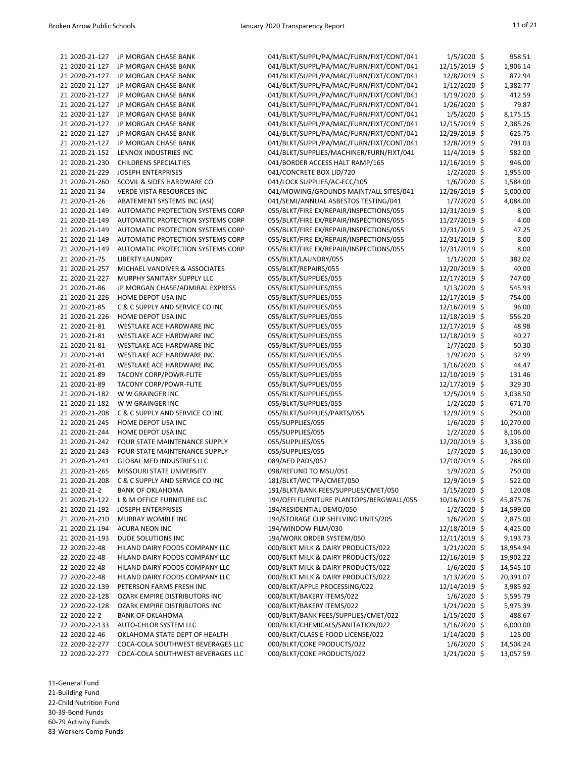| 21 2020-21-127 | JP MORGAN CHASE BANK              | 041/BLKT/SUPPL/PA/MAC/FURN/FIXT/CONT/041 | $1/5/2020$ \$   | 958.51    |
|----------------|-----------------------------------|------------------------------------------|-----------------|-----------|
| 21 2020-21-127 | JP MORGAN CHASE BANK              | 041/BLKT/SUPPL/PA/MAC/FURN/FIXT/CONT/041 | 12/15/2019 \$   | 1,906.14  |
| 21 2020-21-127 | JP MORGAN CHASE BANK              | 041/BLKT/SUPPL/PA/MAC/FURN/FIXT/CONT/041 | 12/8/2019 \$    | 872.94    |
| 21 2020-21-127 | JP MORGAN CHASE BANK              | 041/BLKT/SUPPL/PA/MAC/FURN/FIXT/CONT/041 | $1/12/2020$ \$  | 1,382.77  |
| 21 2020-21-127 | JP MORGAN CHASE BANK              | 041/BLKT/SUPPL/PA/MAC/FURN/FIXT/CONT/041 | 1/19/2020 \$    | 412.59    |
| 21 2020-21-127 | JP MORGAN CHASE BANK              | 041/BLKT/SUPPL/PA/MAC/FURN/FIXT/CONT/041 | $1/26/2020$ \$  | 79.87     |
| 21 2020-21-127 | JP MORGAN CHASE BANK              | 041/BLKT/SUPPL/PA/MAC/FURN/FIXT/CONT/041 | $1/5/2020$ \$   | 8,175.15  |
| 21 2020-21-127 | JP MORGAN CHASE BANK              | 041/BLKT/SUPPL/PA/MAC/FURN/FIXT/CONT/041 | 12/15/2019 \$   | 2,385.26  |
| 21 2020-21-127 | JP MORGAN CHASE BANK              | 041/BLKT/SUPPL/PA/MAC/FURN/FIXT/CONT/041 | 12/29/2019 \$   | 625.75    |
| 21 2020-21-127 | JP MORGAN CHASE BANK              | 041/BLKT/SUPPL/PA/MAC/FURN/FIXT/CONT/041 | 12/8/2019 \$    | 791.03    |
| 21 2020-21-152 | LENNOX INDUSTRIES INC             | 041/BLKT/SUPPLIES/MACHINER/FURN/FIXT/041 | 11/4/2019 \$    | 582.00    |
| 21 2020-21-230 | <b>CHILDRENS SPECIALTIES</b>      | 041/BORDER ACCESS HALT RAMP/165          | 12/16/2019 \$   | 946.00    |
| 21 2020-21-229 | <b>JOSEPH ENTERPRISES</b>         | 041/CONCRETE BOX LID/720                 | $1/2/2020$ \$   | 1,955.00  |
| 21 2020-21-260 | SCOVIL & SIDES HARDWARE CO        | 041/LOCK SUPPLIES/AC-ECC/105             | $1/6/2020$ \$   | 1,584.00  |
| 21 2020-21-34  | <b>VERDE VISTA RESOURCES INC</b>  | 041/MOWING/GROUNDS MAINT/ALL SITES/041   | 12/26/2019 \$   | 5,000.00  |
| 21 2020-21-26  | ABATEMENT SYSTEMS INC (ASI)       | 041/SEMI/ANNUAL ASBESTOS TESTING/041     | $1/7/2020$ \$   | 4,084.00  |
| 21 2020-21-149 | AUTOMATIC PROTECTION SYSTEMS CORP | 055/BLKT/FIRE EX/REPAIR/INSPECTIONS/055  | 12/31/2019 \$   | 8.00      |
| 21 2020-21-149 | AUTOMATIC PROTECTION SYSTEMS CORP | 055/BLKT/FIRE EX/REPAIR/INSPECTIONS/055  | 11/27/2019 \$   | 4.00      |
| 21 2020-21-149 | AUTOMATIC PROTECTION SYSTEMS CORP | 055/BLKT/FIRE EX/REPAIR/INSPECTIONS/055  | 12/31/2019 \$   | 47.25     |
| 21 2020-21-149 | AUTOMATIC PROTECTION SYSTEMS CORP |                                          |                 | 8.00      |
|                |                                   | 055/BLKT/FIRE EX/REPAIR/INSPECTIONS/055  | 12/31/2019 \$   |           |
| 21 2020-21-149 | AUTOMATIC PROTECTION SYSTEMS CORP | 055/BLKT/FIRE EX/REPAIR/INSPECTIONS/055  | 12/31/2019 \$   | 8.00      |
| 21 2020-21-75  | <b>LIBERTY LAUNDRY</b>            | 055/BLKT/LAUNDRY/055                     | $1/1/2020$ \$   | 382.02    |
| 21 2020-21-257 | MICHAEL VANDIVER & ASSOCIATES     | 055/BLKT/REPAIRS/055                     | 12/20/2019 \$   | 40.00     |
| 21 2020-21-227 | MURPHY SANITARY SUPPLY LLC        | 055/BLKT/SUPPLIES/055                    | 12/17/2019 \$   | 747.00    |
| 21 2020-21-86  | JP MORGAN CHASE/ADMIRAL EXPRESS   | 055/BLKT/SUPPLIES/055                    | $1/13/2020$ \$  | 545.93    |
| 21 2020-21-226 | HOME DEPOT USA INC                | 055/BLKT/SUPPLIES/055                    | 12/17/2019 \$   | 754.00    |
| 21 2020-21-85  | C & C SUPPLY AND SERVICE CO INC   | 055/BLKT/SUPPLIES/055                    | 12/16/2019 \$   | 96.00     |
| 21 2020-21-226 | HOME DEPOT USA INC                | 055/BLKT/SUPPLIES/055                    | 12/18/2019 \$   | 556.20    |
| 21 2020-21-81  | WESTLAKE ACE HARDWARE INC         | 055/BLKT/SUPPLIES/055                    | 12/17/2019 \$   | 48.98     |
| 21 2020-21-81  | WESTLAKE ACE HARDWARE INC         | 055/BLKT/SUPPLIES/055                    | 12/18/2019 \$   | 40.27     |
| 21 2020-21-81  | WESTLAKE ACE HARDWARE INC         | 055/BLKT/SUPPLIES/055                    | $1/7/2020$ \$   | 50.30     |
| 21 2020-21-81  | WESTLAKE ACE HARDWARE INC         | 055/BLKT/SUPPLIES/055                    | $1/9/2020$ \$   | 32.99     |
| 21 2020-21-81  | WESTLAKE ACE HARDWARE INC         | 055/BLKT/SUPPLIES/055                    | $1/16/2020$ \$  | 44.47     |
| 21 2020-21-89  | <b>TACONY CORP/POWR-FLITE</b>     | 055/BLKT/SUPPLIES/055                    | 12/10/2019 \$   | 131.46    |
| 21 2020-21-89  | <b>TACONY CORP/POWR-FLITE</b>     | 055/BLKT/SUPPLIES/055                    | 12/17/2019 \$   | 329.30    |
| 21 2020-21-182 | W W GRAINGER INC                  | 055/BLKT/SUPPLIES/055                    | 12/5/2019 \$    | 3,038.50  |
| 21 2020-21-182 | W W GRAINGER INC                  | 055/BLKT/SUPPLIES/055                    | $1/2/2020$ \$   | 671.70    |
| 21 2020-21-208 | C & C SUPPLY AND SERVICE CO INC   | 055/BLKT/SUPPLIES/PARTS/055              | 12/9/2019 \$    | 250.00    |
| 21 2020-21-245 | HOME DEPOT USA INC                | 055/SUPPLIES/055                         | $1/6/2020$ \$   | 10,270.00 |
| 21 2020-21-244 | HOME DEPOT USA INC                | 055/SUPPLIES/055                         | $1/2/2020$ \$   | 8,106.00  |
| 21 2020-21-242 | FOUR STATE MAINTENANCE SUPPLY     | 055/SUPPLIES/055                         | 12/20/2019 \$   | 3,336.00  |
| 21 2020-21-243 | FOUR STATE MAINTENANCE SUPPLY     | 055/SUPPLIES/055                         | $1/7/2020$ \$   | 16,130.00 |
| 21 2020-21-241 | <b>GLOBAL MED INDUSTRIES LLC</b>  | 089/AED PADS/052                         | 12/10/2019 \$   | 788.00    |
| 21 2020-21-265 | MISSOURI STATE UNIVERSITY         | 098/REFUND TO MSU/051                    | $1/9/2020$ \$   | 750.00    |
| 21 2020-21-208 | C & C SUPPLY AND SERVICE CO INC   | 181/BLKT/WC TPA/CMET/050                 | 12/9/2019 \$    | 522.00    |
| 21 2020-21-2   | <b>BANK OF OKLAHOMA</b>           | 191/BLKT/BANK FEES/SUPPLIES/CMET/050     | $1/15/2020$ \$  | 120.08    |
| 21 2020-21-122 | L & M OFFICE FURNITURE LLC        | 194/OFFI FURNITURE PLANTOPS/BERGWALL/055 | $10/16/2019$ \$ | 45,875.76 |
| 21 2020-21-192 | <b>JOSEPH ENTERPRISES</b>         | 194/RESIDENTIAL DEMO/050                 | $1/2/2020$ \$   | 14,599.00 |
| 21 2020-21-210 | MURRAY WOMBLE INC                 | 194/STORAGE CLIP SHELVING UNITS/205      | $1/6/2020$ \$   | 2,875.00  |
| 21 2020-21-194 | <b>ACURA NEON INC</b>             | 194/WINDOW FILM/030                      | 12/18/2019 \$   | 4,425.00  |
| 21 2020-21-193 | DUDE SOLUTIONS INC                | 194/WORK ORDER SYSTEM/050                | $12/11/2019$ \$ | 9,193.73  |
| 22 2020-22-48  | HILAND DAIRY FOODS COMPANY LLC    | 000/BLKT MILK & DAIRY PRODUCTS/022       | $1/21/2020$ \$  | 18,954.94 |
| 22 2020-22-48  | HILAND DAIRY FOODS COMPANY LLC    | 000/BLKT MILK & DAIRY PRODUCTS/022       | 12/16/2019 \$   | 19,902.22 |
| 22 2020-22-48  | HILAND DAIRY FOODS COMPANY LLC    | 000/BLKT MILK & DAIRY PRODUCTS/022       | $1/6/2020$ \$   | 14,545.10 |
| 22 2020-22-48  | HILAND DAIRY FOODS COMPANY LLC    | 000/BLKT MILK & DAIRY PRODUCTS/022       | $1/13/2020$ \$  | 20,391.07 |
| 22 2020-22-139 | PETERSON FARMS FRESH INC          | 000/BLKT/APPLE PROCESSING/022            | 12/14/2019 \$   | 3,985.92  |
| 22 2020-22-128 | OZARK EMPIRE DISTRIBUTORS INC     | 000/BLKT/BAKERY ITEMS/022                | $1/6/2020$ \$   | 5,595.79  |
| 22 2020-22-128 | OZARK EMPIRE DISTRIBUTORS INC     | 000/BLKT/BAKERY ITEMS/022                | $1/21/2020$ \$  | 5,975.39  |
| 22 2020-22-2   | <b>BANK OF OKLAHOMA</b>           | 000/BLKT/BANK FEES/SUPPLIES/CMET/022     | $1/15/2020$ \$  | 488.67    |
| 22 2020-22-133 | AUTO-CHLOR SYSTEM LLC             | 000/BLKT/CHEMICALS/SANITATION/022        | $1/16/2020$ \$  | 6,000.00  |
| 22 2020-22-46  | OKLAHOMA STATE DEPT OF HEALTH     | 000/BLKT/CLASS E FOOD LICENSE/022        | $1/14/2020$ \$  | 125.00    |
| 22 2020-22-277 | COCA-COLA SOUTHWEST BEVERAGES LLC | 000/BLKT/COKE PRODUCTS/022               | $1/6/2020$ \$   | 14,504.24 |
| 22 2020-22-277 | COCA-COLA SOUTHWEST BEVERAGES LLC | 000/BLKT/COKE PRODUCTS/022               | $1/21/2020$ \$  |           |
|                |                                   |                                          |                 | 13,057.59 |

21-Building Fund

22-Child Nutrition Fund

30-39-Bond Funds

60-79 Activity Funds 83-Workers Comp Funds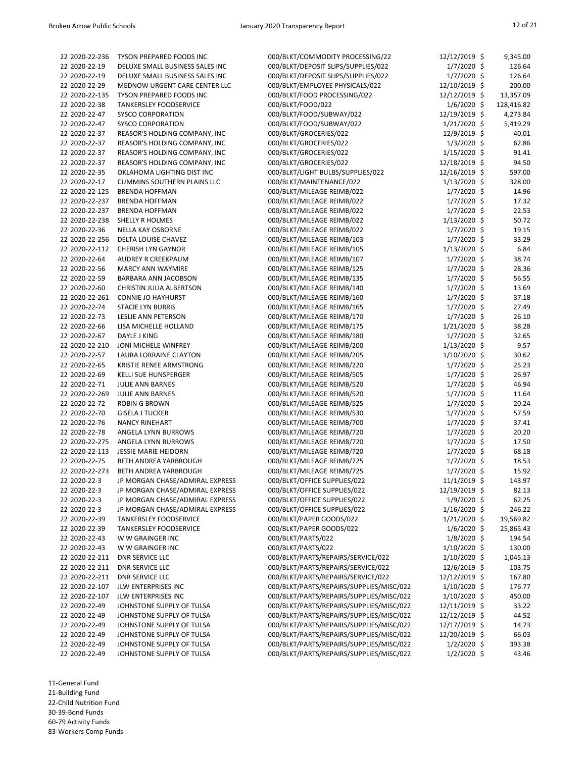| 22 2020-22-236 | TYSON PREPARED FOODS INC           | 000/BLKT/COMMODITY PROCESSING/22         | 12/12/2019 \$  | 9,345.00   |
|----------------|------------------------------------|------------------------------------------|----------------|------------|
| 22 2020-22-19  | DELUXE SMALL BUSINESS SALES INC    | 000/BLKT/DEPOSIT SLIPS/SUPPLIES/022      | $1/7/2020$ \$  | 126.64     |
| 22 2020-22-19  | DELUXE SMALL BUSINESS SALES INC    | 000/BLKT/DEPOSIT SLIPS/SUPPLIES/022      | $1/7/2020$ \$  | 126.64     |
| 22 2020-22-29  | MEDNOW URGENT CARE CENTER LLC      | 000/BLKT/EMPLOYEE PHYSICALS/022          | 12/10/2019 \$  | 200.00     |
| 22 2020-22-135 | TYSON PREPARED FOODS INC           | 000/BLKT/FOOD PROCESSING/022             | 12/12/2019 \$  | 13,357.09  |
| 22 2020-22-38  | <b>TANKERSLEY FOODSERVICE</b>      | 000/BLKT/FOOD/022                        | $1/6/2020$ \$  |            |
|                |                                    |                                          |                | 128,416.82 |
| 22 2020-22-47  | <b>SYSCO CORPORATION</b>           | 000/BLKT/FOOD/SUBWAY/022                 | 12/19/2019 \$  | 4,273.84   |
| 22 2020-22-47  | <b>SYSCO CORPORATION</b>           | 000/BLKT/FOOD/SUBWAY/022                 | $1/21/2020$ \$ | 5,419.29   |
| 22 2020-22-37  | REASOR'S HOLDING COMPANY, INC      | 000/BLKT/GROCERIES/022                   | 12/9/2019 \$   | 40.01      |
| 22 2020-22-37  | REASOR'S HOLDING COMPANY, INC      | 000/BLKT/GROCERIES/022                   | $1/3/2020$ \$  | 62.86      |
| 22 2020-22-37  | REASOR'S HOLDING COMPANY, INC      | 000/BLKT/GROCERIES/022                   | $1/15/2020$ \$ | 91.41      |
| 22 2020-22-37  | REASOR'S HOLDING COMPANY, INC      | 000/BLKT/GROCERIES/022                   | 12/18/2019 \$  | 94.50      |
| 22 2020-22-35  | OKLAHOMA LIGHTING DIST INC         | 000/BLKT/LIGHT BULBS/SUPPLIES/022        | 12/16/2019 \$  | 597.00     |
| 22 2020-22-17  | <b>CUMMINS SOUTHERN PLAINS LLC</b> | 000/BLKT/MAINTENANCE/022                 | $1/13/2020$ \$ | 328.00     |
| 22 2020-22-125 | <b>BRENDA HOFFMAN</b>              | 000/BLKT/MILEAGE REIMB/022               | $1/7/2020$ \$  | 14.96      |
| 22 2020-22-237 | <b>BRENDA HOFFMAN</b>              | 000/BLKT/MILEAGE REIMB/022               | $1/7/2020$ \$  | 17.32      |
| 22 2020-22-237 | <b>BRENDA HOFFMAN</b>              | 000/BLKT/MILEAGE REIMB/022               | $1/7/2020$ \$  | 22.53      |
| 22 2020-22-238 | <b>SHELLY R HOLMES</b>             | 000/BLKT/MILEAGE REIMB/022               | $1/13/2020$ \$ | 50.72      |
| 22 2020-22-36  | NELLA KAY OSBORNE                  | 000/BLKT/MILEAGE REIMB/022               | $1/7/2020$ \$  | 19.15      |
| 22 2020-22-256 | DELTA LOUISE CHAVEZ                | 000/BLKT/MILEAGE REIMB/103               | $1/7/2020$ \$  | 33.29      |
| 22 2020-22-112 | <b>CHERISH LYN GAYNOR</b>          | 000/BLKT/MILEAGE REIMB/105               | $1/13/2020$ \$ | 6.84       |
| 22 2020-22-64  | AUDREY R CREEKPAUM                 | 000/BLKT/MILEAGE REIMB/107               | $1/7/2020$ \$  | 38.74      |
|                |                                    |                                          |                |            |
| 22 2020-22-56  | <b>MARCY ANN WAYMIRE</b>           | 000/BLKT/MILEAGE REIMB/125               | $1/7/2020$ \$  | 28.36      |
| 22 2020-22-59  | BARBARA ANN JACOBSON               | 000/BLKT/MILEAGE REIMB/135               | $1/7/2020$ \$  | 56.55      |
| 22 2020-22-60  | <b>CHRISTIN JULIA ALBERTSON</b>    | 000/BLKT/MILEAGE REIMB/140               | $1/7/2020$ \$  | 13.69      |
| 22 2020-22-261 | <b>CONNIE JO HAYHURST</b>          | 000/BLKT/MILEAGE REIMB/160               | $1/7/2020$ \$  | 37.18      |
| 22 2020-22-74  | <b>STACIE LYN BURRIS</b>           | 000/BLKT/MILEAGE REIMB/165               | $1/7/2020$ \$  | 27.49      |
| 22 2020-22-73  | LESLIE ANN PETERSON                | 000/BLKT/MILEAGE REIMB/170               | $1/7/2020$ \$  | 26.10      |
| 22 2020-22-66  | LISA MICHELLE HOLLAND              | 000/BLKT/MILEAGE REIMB/175               | $1/21/2020$ \$ | 38.28      |
| 22 2020-22-67  | DAYLE J KING                       | 000/BLKT/MILEAGE REIMB/180               | $1/7/2020$ \$  | 32.65      |
| 22 2020-22-210 | JONI MICHELE WINFREY               | 000/BLKT/MILEAGE REIMB/200               | 1/13/2020 \$   | 9.57       |
| 22 2020-22-57  | LAURA LORRAINE CLAYTON             | 000/BLKT/MILEAGE REIMB/205               | 1/10/2020 \$   | 30.62      |
| 22 2020-22-65  | KRISTIE RENEE ARMSTRONG            | 000/BLKT/MILEAGE REIMB/220               | $1/7/2020$ \$  | 25.23      |
| 22 2020-22-69  | <b>KELLI SUE HUNSPERGER</b>        | 000/BLKT/MILEAGE REIMB/505               | $1/7/2020$ \$  | 26.97      |
| 22 2020-22-71  | <b>JULIE ANN BARNES</b>            | 000/BLKT/MILEAGE REIMB/520               | $1/7/2020$ \$  | 46.94      |
| 22 2020-22-269 | <b>JULIE ANN BARNES</b>            | 000/BLKT/MILEAGE REIMB/520               | $1/7/2020$ \$  | 11.64      |
| 22 2020-22-72  | <b>ROBIN G BROWN</b>               | 000/BLKT/MILEAGE REIMB/525               | $1/7/2020$ \$  | 20.24      |
| 22 2020-22-70  | <b>GISELA J TUCKER</b>             | 000/BLKT/MILEAGE REIMB/530               | $1/7/2020$ \$  | 57.59      |
|                |                                    |                                          |                |            |
| 22 2020-22-76  | <b>NANCY RINEHART</b>              | 000/BLKT/MILEAGE REIMB/700               | $1/7/2020$ \$  | 37.41      |
| 22 2020-22-78  | ANGELA LYNN BURROWS                | 000/BLKT/MILEAGE REIMB/720               | $1/7/2020$ \$  | 20.20      |
| 22 2020-22-275 | ANGELA LYNN BURROWS                | 000/BLKT/MILEAGE REIMB/720               | $1/7/2020$ \$  | 17.50      |
| 22 2020-22-113 | <b>JESSIE MARIE HEIDORN</b>        | 000/BLKT/MILEAGE REIMB/720               | $1/7/2020$ \$  | 68.18      |
| 22 2020-22-75  | BETH ANDREA YARBROUGH              | 000/BLKT/MILEAGE REIMB/725               | $1/7/2020$ \$  | 18.53      |
| 22 2020-22-273 | BETH ANDREA YARBROUGH              | 000/BLKT/MILEAGE REIMB/725               | $1/7/2020$ \$  | 15.92      |
| 22 2020-22-3   | JP MORGAN CHASE/ADMIRAL EXPRESS    | 000/BLKT/OFFICE SUPPLIES/022             | $11/1/2019$ \$ | 143.97     |
| 22 2020-22-3   | JP MORGAN CHASE/ADMIRAL EXPRESS    | 000/BLKT/OFFICE SUPPLIES/022             | 12/19/2019 \$  | 82.13      |
| 22 2020-22-3   | JP MORGAN CHASE/ADMIRAL EXPRESS    | 000/BLKT/OFFICE SUPPLIES/022             | $1/9/2020$ \$  | 62.25      |
| 22 2020-22-3   | JP MORGAN CHASE/ADMIRAL EXPRESS    | 000/BLKT/OFFICE SUPPLIES/022             | $1/16/2020$ \$ | 246.22     |
| 22 2020-22-39  | <b>TANKERSLEY FOODSERVICE</b>      | 000/BLKT/PAPER GOODS/022                 | $1/21/2020$ \$ | 19,569.82  |
| 22 2020-22-39  | <b>TANKERSLEY FOODSERVICE</b>      | 000/BLKT/PAPER GOODS/022                 | $1/6/2020$ \$  | 25,865.43  |
| 22 2020-22-43  | W W GRAINGER INC                   | 000/BLKT/PARTS/022                       | $1/8/2020$ \$  | 194.54     |
| 22 2020-22-43  | W W GRAINGER INC                   | 000/BLKT/PARTS/022                       | $1/10/2020$ \$ | 130.00     |
| 22 2020-22-211 | <b>DNR SERVICE LLC</b>             | 000/BLKT/PARTS/REPAIRS/SERVICE/022       | $1/10/2020$ \$ | 1,045.13   |
| 22 2020-22-211 | <b>DNR SERVICE LLC</b>             | 000/BLKT/PARTS/REPAIRS/SERVICE/022       | 12/6/2019 \$   | 103.75     |
| 22 2020-22-211 | <b>DNR SERVICE LLC</b>             |                                          |                |            |
|                |                                    | 000/BLKT/PARTS/REPAIRS/SERVICE/022       | 12/12/2019 \$  | 167.80     |
| 22 2020-22-107 | JLW ENTERPRISES INC                | 000/BLKT/PARTS/REPAIRS/SUPPLIES/MISC/022 | $1/10/2020$ \$ | 176.77     |
| 22 2020-22-107 | <b>JLW ENTERPRISES INC</b>         | 000/BLKT/PARTS/REPAIRS/SUPPLIES/MISC/022 | $1/10/2020$ \$ | 450.00     |
| 22 2020-22-49  | JOHNSTONE SUPPLY OF TULSA          | 000/BLKT/PARTS/REPAIRS/SUPPLIES/MISC/022 | 12/11/2019 \$  | 33.22      |
| 22 2020-22-49  | JOHNSTONE SUPPLY OF TULSA          | 000/BLKT/PARTS/REPAIRS/SUPPLIES/MISC/022 | 12/12/2019 \$  | 44.52      |
| 22 2020-22-49  | JOHNSTONE SUPPLY OF TULSA          | 000/BLKT/PARTS/REPAIRS/SUPPLIES/MISC/022 | 12/17/2019 \$  | 14.73      |
| 22 2020-22-49  | JOHNSTONE SUPPLY OF TULSA          | 000/BLKT/PARTS/REPAIRS/SUPPLIES/MISC/022 | 12/20/2019 \$  | 66.03      |
| 22 2020-22-49  | JOHNSTONE SUPPLY OF TULSA          | 000/BLKT/PARTS/REPAIRS/SUPPLIES/MISC/022 | $1/2/2020$ \$  | 393.38     |
| 22 2020-22-49  | JOHNSTONE SUPPLY OF TULSA          | 000/BLKT/PARTS/REPAIRS/SUPPLIES/MISC/022 | $1/2/2020$ \$  | 43.46      |

21-Building Fund

22-Child Nutrition Fund

30-39-Bond Funds

60-79 Activity Funds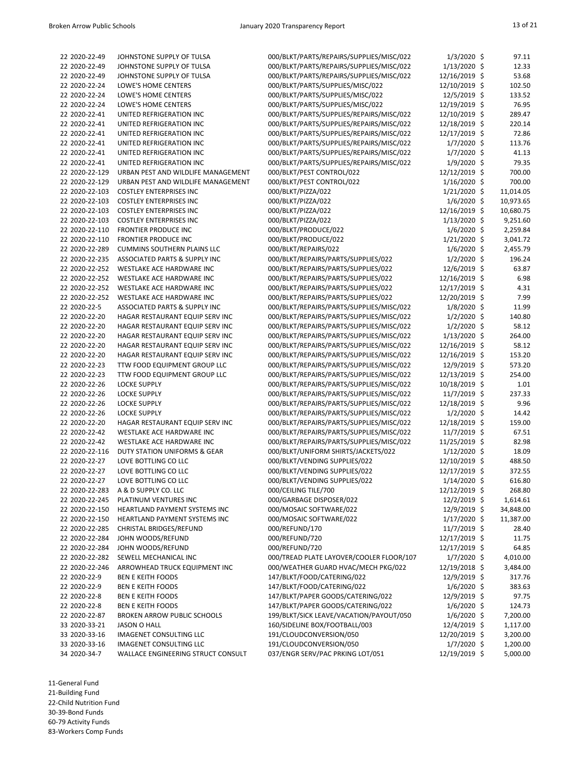| 22 2020-22-49  | JOHNSTONE SUPPLY OF TULSA                 | 000/BLKT/PARTS/REPAIRS/SUPPLIES/MISC/022 | $1/3/2020$ \$  | 97.11     |
|----------------|-------------------------------------------|------------------------------------------|----------------|-----------|
| 22 2020-22-49  | JOHNSTONE SUPPLY OF TULSA                 | 000/BLKT/PARTS/REPAIRS/SUPPLIES/MISC/022 | $1/13/2020$ \$ | 12.33     |
| 22 2020-22-49  | JOHNSTONE SUPPLY OF TULSA                 | 000/BLKT/PARTS/REPAIRS/SUPPLIES/MISC/022 | 12/16/2019 \$  | 53.68     |
|                |                                           |                                          |                |           |
| 22 2020-22-24  | LOWE'S HOME CENTERS                       | 000/BLKT/PARTS/SUPPLIES/MISC/022         | 12/10/2019 \$  | 102.50    |
| 22 2020-22-24  | LOWE'S HOME CENTERS                       | 000/BLKT/PARTS/SUPPLIES/MISC/022         | 12/5/2019 \$   | 133.52    |
| 22 2020-22-24  | LOWE'S HOME CENTERS                       | 000/BLKT/PARTS/SUPPLIES/MISC/022         | 12/19/2019 \$  | 76.95     |
| 22 2020-22-41  | UNITED REFRIGERATION INC                  | 000/BLKT/PARTS/SUPPLIES/REPAIRS/MISC/022 | 12/10/2019 \$  | 289.47    |
|                |                                           |                                          |                |           |
| 22 2020-22-41  | UNITED REFRIGERATION INC                  | 000/BLKT/PARTS/SUPPLIES/REPAIRS/MISC/022 | 12/18/2019 \$  | 220.14    |
| 22 2020-22-41  | UNITED REFRIGERATION INC                  | 000/BLKT/PARTS/SUPPLIES/REPAIRS/MISC/022 | 12/17/2019 \$  | 72.86     |
| 22 2020-22-41  | UNITED REFRIGERATION INC                  | 000/BLKT/PARTS/SUPPLIES/REPAIRS/MISC/022 | $1/7/2020$ \$  | 113.76    |
| 22 2020-22-41  | UNITED REFRIGERATION INC                  |                                          |                | 41.13     |
|                |                                           | 000/BLKT/PARTS/SUPPLIES/REPAIRS/MISC/022 | $1/7/2020$ \$  |           |
| 22 2020-22-41  | UNITED REFRIGERATION INC                  | 000/BLKT/PARTS/SUPPLIES/REPAIRS/MISC/022 | 1/9/2020 \$    | 79.35     |
| 22 2020-22-129 | URBAN PEST AND WILDLIFE MANAGEMENT        | 000/BLKT/PEST CONTROL/022                | 12/12/2019 \$  | 700.00    |
| 22 2020-22-129 | URBAN PEST AND WILDLIFE MANAGEMENT        | 000/BLKT/PEST CONTROL/022                | $1/16/2020$ \$ | 700.00    |
| 22 2020-22-103 |                                           |                                          |                |           |
|                | <b>COSTLEY ENTERPRISES INC</b>            | 000/BLKT/PIZZA/022                       | $1/21/2020$ \$ | 11,014.05 |
| 22 2020-22-103 | <b>COSTLEY ENTERPRISES INC</b>            | 000/BLKT/PIZZA/022                       | $1/6/2020$ \$  | 10,973.65 |
| 22 2020-22-103 | <b>COSTLEY ENTERPRISES INC</b>            | 000/BLKT/PIZZA/022                       | 12/16/2019 \$  | 10,680.75 |
| 22 2020-22-103 | <b>COSTLEY ENTERPRISES INC</b>            | 000/BLKT/PIZZA/022                       | $1/13/2020$ \$ | 9,251.60  |
|                |                                           |                                          |                |           |
| 22 2020-22-110 | <b>FRONTIER PRODUCE INC</b>               | 000/BLKT/PRODUCE/022                     | $1/6/2020$ \$  | 2,259.84  |
| 22 2020-22-110 | <b>FRONTIER PRODUCE INC</b>               | 000/BLKT/PRODUCE/022                     | $1/21/2020$ \$ | 3,041.72  |
| 22 2020-22-289 | <b>CUMMINS SOUTHERN PLAINS LLC</b>        | 000/BLKT/REPAIRS/022                     | $1/6/2020$ \$  | 2,455.79  |
| 22 2020-22-235 | ASSOCIATED PARTS & SUPPLY INC             | 000/BLKT/REPAIRS/PARTS/SUPPLIES/022      | $1/2/2020$ \$  | 196.24    |
|                |                                           |                                          |                |           |
| 22 2020-22-252 | WESTLAKE ACE HARDWARE INC                 | 000/BLKT/REPAIRS/PARTS/SUPPLIES/022      | 12/6/2019 \$   | 63.87     |
| 22 2020-22-252 | WESTLAKE ACE HARDWARE INC                 | 000/BLKT/REPAIRS/PARTS/SUPPLIES/022      | 12/16/2019 \$  | 6.98      |
| 22 2020-22-252 | WESTLAKE ACE HARDWARE INC                 | 000/BLKT/REPAIRS/PARTS/SUPPLIES/022      | 12/17/2019 \$  | 4.31      |
| 22 2020-22-252 | WESTLAKE ACE HARDWARE INC                 | 000/BLKT/REPAIRS/PARTS/SUPPLIES/022      | 12/20/2019 \$  | 7.99      |
|                |                                           |                                          |                |           |
| 22 2020-22-5   | <b>ASSOCIATED PARTS &amp; SUPPLY INC</b>  | 000/BLKT/REPAIRS/PARTS/SUPPLIES/MISC/022 | $1/8/2020$ \$  | 11.99     |
| 22 2020-22-20  | HAGAR RESTAURANT EQUIP SERV INC           | 000/BLKT/REPAIRS/PARTS/SUPPLIES/MISC/022 | $1/2/2020$ \$  | 140.80    |
| 22 2020-22-20  | HAGAR RESTAURANT EQUIP SERV INC           | 000/BLKT/REPAIRS/PARTS/SUPPLIES/MISC/022 | $1/2/2020$ \$  | 58.12     |
| 22 2020-22-20  | HAGAR RESTAURANT EQUIP SERV INC           | 000/BLKT/REPAIRS/PARTS/SUPPLIES/MISC/022 | $1/13/2020$ \$ | 264.00    |
| 22 2020-22-20  | HAGAR RESTAURANT EQUIP SERV INC           | 000/BLKT/REPAIRS/PARTS/SUPPLIES/MISC/022 | 12/16/2019 \$  | 58.12     |
|                |                                           |                                          |                |           |
| 22 2020-22-20  | HAGAR RESTAURANT EQUIP SERV INC           | 000/BLKT/REPAIRS/PARTS/SUPPLIES/MISC/022 | 12/16/2019 \$  | 153.20    |
| 22 2020-22-23  | TTW FOOD EQUIPMENT GROUP LLC              | 000/BLKT/REPAIRS/PARTS/SUPPLIES/MISC/022 | 12/9/2019 \$   | 573.20    |
| 22 2020-22-23  | TTW FOOD EQUIPMENT GROUP LLC              | 000/BLKT/REPAIRS/PARTS/SUPPLIES/MISC/022 | 12/13/2019 \$  | 254.00    |
| 22 2020-22-26  | <b>LOCKE SUPPLY</b>                       | 000/BLKT/REPAIRS/PARTS/SUPPLIES/MISC/022 | 10/18/2019 \$  | 1.01      |
|                |                                           |                                          |                |           |
| 22 2020-22-26  | <b>LOCKE SUPPLY</b>                       | 000/BLKT/REPAIRS/PARTS/SUPPLIES/MISC/022 | $11/7/2019$ \$ | 237.33    |
| 22 2020-22-26  | <b>LOCKE SUPPLY</b>                       | 000/BLKT/REPAIRS/PARTS/SUPPLIES/MISC/022 | 12/18/2019 \$  | 9.96      |
| 22 2020-22-26  | <b>LOCKE SUPPLY</b>                       | 000/BLKT/REPAIRS/PARTS/SUPPLIES/MISC/022 | $1/2/2020$ \$  | 14.42     |
| 22 2020-22-20  | HAGAR RESTAURANT EQUIP SERV INC           | 000/BLKT/REPAIRS/PARTS/SUPPLIES/MISC/022 | 12/18/2019 \$  | 159.00    |
| 22 2020-22-42  | WESTLAKE ACE HARDWARE INC                 | 000/BLKT/REPAIRS/PARTS/SUPPLIES/MISC/022 | $11/7/2019$ \$ | 67.51     |
|                |                                           |                                          |                |           |
| 22 2020-22-42  | WESTLAKE ACE HARDWARE INC                 | 000/BLKT/REPAIRS/PARTS/SUPPLIES/MISC/022 | 11/25/2019 \$  | 82.98     |
| 22 2020-22-116 | DUTY STATION UNIFORMS & GEAR              | 000/BLKT/UNIFORM SHIRTS/JACKETS/022      | $1/12/2020$ \$ | 18.09     |
| 22 2020-22-27  | LOVE BOTTLING CO LLC                      | 000/BLKT/VENDING SUPPLIES/022            | 12/10/2019 \$  | 488.50    |
| 22 2020-22-27  | LOVE BOTTLING CO LLC                      | 000/BLKT/VENDING SUPPLIES/022            | 12/17/2019 \$  | 372.55    |
|                |                                           |                                          |                |           |
| 22 2020-22-27  | LOVE BOTTLING CO LLC                      | 000/BLKT/VENDING SUPPLIES/022            | $1/14/2020$ \$ | 616.80    |
| 22 2020-22-283 | A & D SUPPLY CO. LLC                      | 000/CEILING TILE/700                     | 12/12/2019 \$  | 268.80    |
| 22 2020-22-245 | PLATINUM VENTURES INC                     | 000/GARBAGE DISPOSER/022                 | $12/2/2019$ \$ | 1,614.61  |
| 22 2020-22-150 | HEARTLAND PAYMENT SYSTEMS INC             | 000/MOSAIC SOFTWARE/022                  | 12/9/2019 \$   | 34,848.00 |
|                |                                           |                                          |                |           |
| 22 2020-22-150 | HEARTLAND PAYMENT SYSTEMS INC             | 000/MOSAIC SOFTWARE/022                  | $1/17/2020$ \$ | 11,387.00 |
| 22 2020-22-285 | <b>CHRISTAL BRIDGES/REFUND</b>            | 000/REFUND/170                           | $11/7/2019$ \$ | 28.40     |
| 22 2020-22-284 | JOHN WOODS/REFUND                         | 000/REFUND/720                           | 12/17/2019 \$  | 11.75     |
| 22 2020-22-284 | JOHN WOODS/REFUND                         | 000/REFUND/720                           | 12/17/2019 \$  | 64.85     |
|                |                                           |                                          |                |           |
| 22 2020-22-282 | SEWELL MECHANICAL INC                     | 000/TREAD PLATE LAYOVER/COOLER FLOOR/107 | $1/7/2020$ \$  | 4,010.00  |
| 22 2020-22-246 | ARROWHEAD TRUCK EQUIPMENT INC             | 000/WEATHER GUARD HVAC/MECH PKG/022      | 12/19/2018 \$  | 3,484.00  |
| 22 2020-22-9   | <b>BEN E KEITH FOODS</b>                  | 147/BLKT/FOOD/CATERING/022               | 12/9/2019 \$   | 317.76    |
| 22 2020-22-9   | <b>BEN E KEITH FOODS</b>                  | 147/BLKT/FOOD/CATERING/022               | $1/6/2020$ \$  | 383.63    |
| 22 2020-22-8   | <b>BEN E KEITH FOODS</b>                  | 147/BLKT/PAPER GOODS/CATERING/022        | 12/9/2019 \$   | 97.75     |
|                |                                           |                                          |                |           |
| 22 2020-22-8   | <b>BEN E KEITH FOODS</b>                  | 147/BLKT/PAPER GOODS/CATERING/022        | $1/6/2020$ \$  | 124.73    |
| 22 2020-22-87  | <b>BROKEN ARROW PUBLIC SCHOOLS</b>        | 199/BLKT/SICK LEAVE/VACATION/PAYOUT/050  | $1/6/2020$ \$  | 7,200.00  |
| 33 2020-33-21  | <b>JASON O HALL</b>                       | 160/SIDELINE BOX/FOOTBALL/003            | 12/4/2019 \$   | 1,117.00  |
| 33 2020-33-16  | <b>IMAGENET CONSULTING LLC</b>            | 191/CLOUDCONVERSION/050                  | 12/20/2019 \$  | 3,200.00  |
|                |                                           |                                          |                |           |
| 33 2020-33-16  | <b>IMAGENET CONSULTING LLC</b>            | 191/CLOUDCONVERSION/050                  | $1/7/2020$ \$  | 1,200.00  |
| 34 2020-34-7   | <b>WALLACE ENGINEERING STRUCT CONSULT</b> | 037/ENGR SERV/PAC PRKING LOT/051         | 12/19/2019 \$  | 5,000.00  |

21-Building Fund

22-Child Nutrition Fund

30-39-Bond Funds 60-79 Activity Funds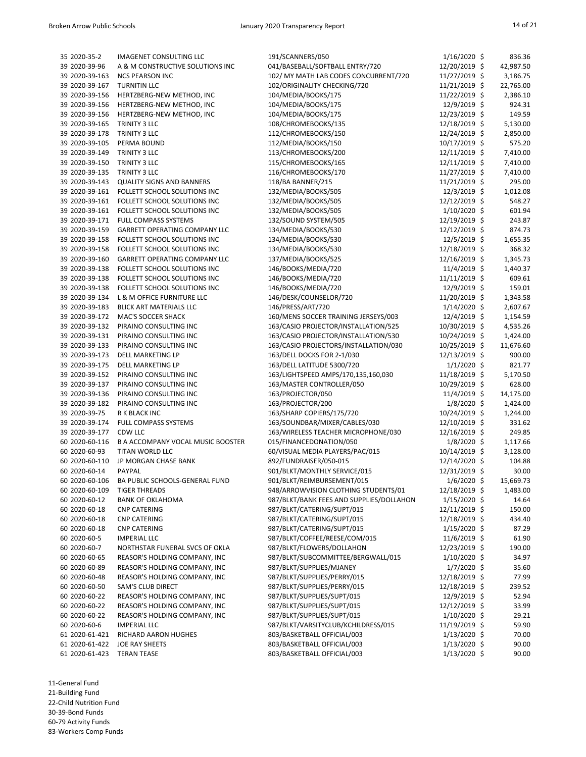| 35 2020-35-2   | <b>IMAGENET CONSULTING LLC</b>       | 191/SCANNERS/050                         | $1/16/2020$ \$  | 836.36               |
|----------------|--------------------------------------|------------------------------------------|-----------------|----------------------|
| 39 2020-39-96  | A & M CONSTRUCTIVE SOLUTIONS INC     | 041/BASEBALL/SOFTBALL ENTRY/720          | 12/20/2019 \$   | 42,987.50            |
| 39 2020-39-163 | <b>NCS PEARSON INC</b>               | 102/ MY MATH LAB CODES CONCURRENT/720    | 11/27/2019 \$   | 3,186.75             |
| 39 2020-39-167 | <b>TURNITIN LLC</b>                  | 102/ORIGINALITY CHECKING/720             | $11/21/2019$ \$ | 22,765.00            |
| 39 2020-39-156 | HERTZBERG-NEW METHOD, INC            | 104/MEDIA/BOOKS/175                      | 11/22/2019 \$   | 2,386.10             |
| 39 2020-39-156 | HERTZBERG-NEW METHOD, INC            | 104/MEDIA/BOOKS/175                      | 12/9/2019 \$    | 924.31               |
| 39 2020-39-156 | HERTZBERG-NEW METHOD, INC            | 104/MEDIA/BOOKS/175                      | 12/23/2019 \$   | 149.59               |
| 39 2020-39-165 | TRINITY 3 LLC                        | 108/CHROMEBOOKS/135                      | 12/18/2019 \$   | 5,130.00             |
| 39 2020-39-178 | TRINITY 3 LLC                        | 112/CHROMEBOOKS/150                      | 12/24/2019 \$   | 2,850.00             |
| 39 2020-39-105 | PERMA BOUND                          | 112/MEDIA/BOOKS/150                      | 10/17/2019 \$   | 575.20               |
| 39 2020-39-149 | TRINITY 3 LLC                        | 113/CHROMEBOOKS/200                      | 12/11/2019 \$   |                      |
| 39 2020-39-150 | TRINITY 3 LLC                        | 115/CHROMEBOOKS/165                      | 12/11/2019 \$   | 7,410.00<br>7,410.00 |
|                |                                      |                                          |                 |                      |
| 39 2020-39-135 | TRINITY 3 LLC                        | 116/CHROMEBOOKS/170                      | 11/27/2019 \$   | 7,410.00             |
| 39 2020-39-143 | <b>QUALITY SIGNS AND BANNERS</b>     | 118/BA BANNER/215                        | 11/21/2019 \$   | 295.00               |
| 39 2020-39-161 | FOLLETT SCHOOL SOLUTIONS INC         | 132/MEDIA/BOOKS/505                      | 12/3/2019 \$    | 1,012.08             |
| 39 2020-39-161 | FOLLETT SCHOOL SOLUTIONS INC         | 132/MEDIA/BOOKS/505                      | 12/12/2019 \$   | 548.27               |
| 39 2020-39-161 | FOLLETT SCHOOL SOLUTIONS INC         | 132/MEDIA/BOOKS/505                      | $1/10/2020$ \$  | 601.94               |
| 39 2020-39-171 | FULL COMPASS SYSTEMS                 | 132/SOUND SYSTEM/505                     | 12/19/2019 \$   | 243.87               |
| 39 2020-39-159 | <b>GARRETT OPERATING COMPANY LLC</b> | 134/MEDIA/BOOKS/530                      | 12/12/2019 \$   | 874.73               |
| 39 2020-39-158 | FOLLETT SCHOOL SOLUTIONS INC         | 134/MEDIA/BOOKS/530                      | 12/5/2019 \$    | 1,655.35             |
| 39 2020-39-158 | FOLLETT SCHOOL SOLUTIONS INC         | 134/MEDIA/BOOKS/530                      | 12/18/2019 \$   | 368.32               |
| 39 2020-39-160 | <b>GARRETT OPERATING COMPANY LLC</b> | 137/MEDIA/BOOKS/525                      | 12/16/2019 \$   | 1,345.73             |
| 39 2020-39-138 | FOLLETT SCHOOL SOLUTIONS INC         | 146/BOOKS/MEDIA/720                      | 11/4/2019 \$    | 1,440.37             |
| 39 2020-39-138 | FOLLETT SCHOOL SOLUTIONS INC         | 146/BOOKS/MEDIA/720                      | $11/11/2019$ \$ | 609.61               |
| 39 2020-39-138 | FOLLETT SCHOOL SOLUTIONS INC         | 146/BOOKS/MEDIA/720                      | 12/9/2019 \$    | 159.01               |
| 39 2020-39-134 | L & M OFFICE FURNITURE LLC           | 146/DESK/COUNSELOR/720                   | 11/20/2019 \$   | 1,343.58             |
| 39 2020-39-183 | <b>BLICK ART MATERIALS LLC</b>       | 146/PRESS/ART/720                        | $1/14/2020$ \$  | 2,607.67             |
| 39 2020-39-172 | MAC'S SOCCER SHACK                   | 160/MENS SOCCER TRAINING JERSEYS/003     | 12/4/2019 \$    | 1,154.59             |
| 39 2020-39-132 | PIRAINO CONSULTING INC               | 163/CASIO PROJECTOR/INSTALLATION/525     | 10/30/2019 \$   | 4,535.26             |
| 39 2020-39-131 | PIRAINO CONSULTING INC               | 163/CASIO PROJECTOR/INSTALLATION/530     | 10/24/2019 \$   | 1,424.00             |
| 39 2020-39-133 | PIRAINO CONSULTING INC               | 163/CASIO PROJECTORS/INSTALLATION/030    | 10/25/2019 \$   | 11,676.60            |
| 39 2020-39-173 | DELL MARKETING LP                    | 163/DELL DOCKS FOR 2-1/030               | 12/13/2019 \$   | 900.00               |
| 39 2020-39-175 | DELL MARKETING LP                    | 163/DELL LATITUDE 5300/720               | $1/1/2020$ \$   | 821.77               |
| 39 2020-39-152 | PIRAINO CONSULTING INC               | 163/LIGHTSPEED AMPS/170,135,160,030      | 11/18/2019 \$   | 5,170.50             |
| 39 2020-39-137 | PIRAINO CONSULTING INC               | 163/MASTER CONTROLLER/050                | 10/29/2019 \$   | 628.00               |
| 39 2020-39-136 | PIRAINO CONSULTING INC               | 163/PROJECTOR/050                        | 11/4/2019 \$    | 14,175.00            |
| 39 2020-39-182 | PIRAINO CONSULTING INC               | 163/PROJECTOR/200                        | $1/8/2020$ \$   | 1,424.00             |
| 39 2020-39-75  | R K BLACK INC                        | 163/SHARP COPIERS/175/720                | 10/24/2019 \$   | 1,244.00             |
| 39 2020-39-174 | <b>FULL COMPASS SYSTEMS</b>          | 163/SOUNDBAR/MIXER/CABLES/030            | 12/10/2019 \$   | 331.62               |
| 39 2020-39-177 | CDW LLC                              | 163/WIRELESS TEACHER MICROPHONE/030      | 12/16/2019 \$   | 249.85               |
| 60 2020-60-116 | B A ACCOMPANY VOCAL MUSIC BOOSTER    | 015/FINANCEDONATION/050                  | $1/8/2020$ \$   | 1,117.66             |
| 60 2020-60-93  | TITAN WORLD LLC                      | 60/VISUAL MEDIA PLAYERS/PAC/015          | 10/14/2019 \$   | 3,128.00             |
| 60 2020-60-110 | JP MORGAN CHASE BANK                 | 892/FUNDRAISER/050-015                   | 12/14/2020 \$   | 104.88               |
| 60 2020-60-14  |                                      |                                          |                 |                      |
| 60 2020-60-106 | PAYPAL                               | 901/BLKT/MONTHLY SERVICE/015             | 12/31/2019 \$   | 30.00                |
|                | BA PUBLIC SCHOOLS-GENERAL FUND       | 901/BLKT/REIMBURSEMENT/015               | $1/6/2020$ \$   | 15,669.73            |
| 60 2020-60-109 | <b>TIGER THREADS</b>                 | 948/ARROWVISION CLOTHING STUDENTS/01     | 12/18/2019 \$   | 1,483.00             |
| 60 2020-60-12  | <b>BANK OF OKLAHOMA</b>              | 987/BLKT/BANK FEES AND SUPPLIES/DOLLAHON | $1/15/2020$ \$  | 14.64                |
| 60 2020-60-18  | <b>CNP CATERING</b>                  | 987/BLKT/CATERING/SUPT/015               | 12/11/2019 \$   | 150.00               |
| 60 2020-60-18  | <b>CNP CATERING</b>                  | 987/BLKT/CATERING/SUPT/015               | 12/18/2019 \$   | 434.40               |
| 60 2020-60-18  | <b>CNP CATERING</b>                  | 987/BLKT/CATERING/SUPT/015               | $1/15/2020$ \$  | 87.29                |
| 60 2020-60-5   | <b>IMPERIAL LLC</b>                  | 987/BLKT/COFFEE/REESE/COM/015            | 11/6/2019 \$    | 61.90                |
| 60 2020-60-7   | NORTHSTAR FUNERAL SVCS OF OKLA       | 987/BLKT/FLOWERS/DOLLAHON                | 12/23/2019 \$   | 190.00               |
| 60 2020-60-65  | REASOR'S HOLDING COMPANY, INC        | 987/BLKT/SUBCOMMITTEE/BERGWALL/015       | $1/10/2020$ \$  | 34.97                |
| 60 2020-60-89  | REASOR'S HOLDING COMPANY, INC        | 987/BLKT/SUPPLIES/MJANEY                 | $1/7/2020$ \$   | 35.60                |
| 60 2020-60-48  | REASOR'S HOLDING COMPANY, INC        | 987/BLKT/SUPPLIES/PERRY/015              | 12/18/2019 \$   | 77.99                |
| 60 2020-60-50  | <b>SAM'S CLUB DIRECT</b>             | 987/BLKT/SUPPLIES/PERRY/015              | 12/18/2019 \$   | 239.52               |
| 60 2020-60-22  | REASOR'S HOLDING COMPANY, INC        | 987/BLKT/SUPPLIES/SUPT/015               | 12/9/2019 \$    | 52.94                |
| 60 2020-60-22  | REASOR'S HOLDING COMPANY, INC        | 987/BLKT/SUPPLIES/SUPT/015               | 12/12/2019 \$   | 33.99                |
| 60 2020-60-22  | REASOR'S HOLDING COMPANY, INC        | 987/BLKT/SUPPLIES/SUPT/015               | $1/10/2020$ \$  | 29.21                |
| 60 2020-60-6   | <b>IMPERIAL LLC</b>                  | 987/BLKT/VARSITYCLUB/KCHILDRESS/015      | 11/19/2019 \$   | 59.90                |
| 61 2020-61-421 | RICHARD AARON HUGHES                 | 803/BASKETBALL OFFICIAL/003              | $1/13/2020$ \$  | 70.00                |
| 61 2020-61-422 | <b>JOE RAY SHEETS</b>                | 803/BASKETBALL OFFICIAL/003              | $1/13/2020$ \$  | 90.00                |
| 61 2020-61-423 | <b>TERAN TEASE</b>                   | 803/BASKETBALL OFFICIAL/003              | $1/13/2020$ \$  | 90.00                |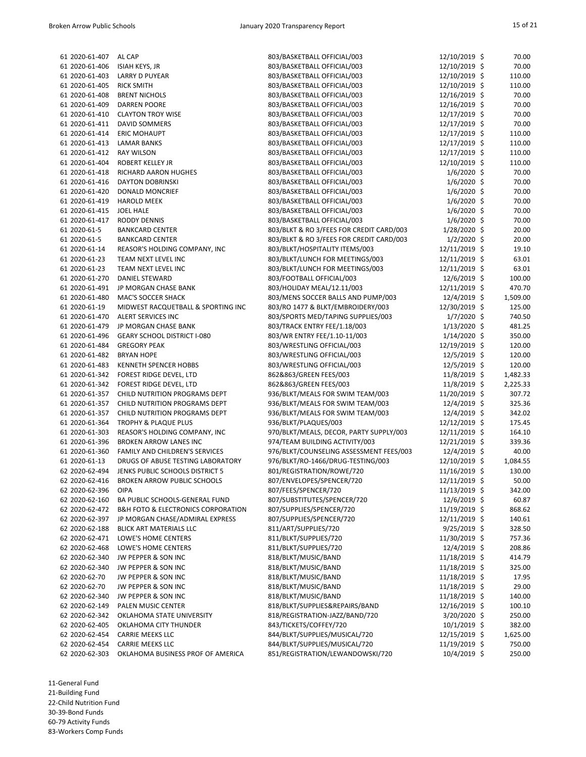| 61 2020-61-407 | AL CAP                                            | 803/BASKETBALL OFFICIAL/003              | 12/10/2019 \$  | 70.00    |
|----------------|---------------------------------------------------|------------------------------------------|----------------|----------|
| 61 2020-61-406 | <b>ISIAH KEYS, JR</b>                             | 803/BASKETBALL OFFICIAL/003              | 12/10/2019 \$  | 70.00    |
| 61 2020-61-403 | <b>LARRY D PUYEAR</b>                             | 803/BASKETBALL OFFICIAL/003              | 12/10/2019 \$  | 110.00   |
| 61 2020-61-405 | <b>RICK SMITH</b>                                 | 803/BASKETBALL OFFICIAL/003              | 12/10/2019 \$  | 110.00   |
| 61 2020-61-408 | <b>BRENT NICHOLS</b>                              | 803/BASKETBALL OFFICIAL/003              | 12/16/2019 \$  | 70.00    |
| 61 2020-61-409 | <b>DARREN POORE</b>                               | 803/BASKETBALL OFFICIAL/003              | 12/16/2019 \$  | 70.00    |
| 61 2020-61-410 | <b>CLAYTON TROY WISE</b>                          | 803/BASKETBALL OFFICIAL/003              | 12/17/2019 \$  | 70.00    |
| 61 2020-61-411 | <b>DAVID SOMMERS</b>                              | 803/BASKETBALL OFFICIAL/003              | 12/17/2019 \$  | 70.00    |
| 61 2020-61-414 | <b>ERIC MOHAUPT</b>                               | 803/BASKETBALL OFFICIAL/003              | 12/17/2019 \$  | 110.00   |
| 61 2020-61-413 | <b>LAMAR BANKS</b>                                | 803/BASKETBALL OFFICIAL/003              | 12/17/2019 \$  | 110.00   |
| 61 2020-61-412 | <b>RAY WILSON</b>                                 | 803/BASKETBALL OFFICIAL/003              | 12/17/2019 \$  | 110.00   |
|                |                                                   |                                          |                |          |
| 61 2020-61-404 | <b>ROBERT KELLEY JR</b>                           | 803/BASKETBALL OFFICIAL/003              | 12/10/2019 \$  | 110.00   |
| 61 2020-61-418 | RICHARD AARON HUGHES                              | 803/BASKETBALL OFFICIAL/003              | $1/6/2020$ \$  | 70.00    |
| 61 2020-61-416 | <b>DAYTON DOBRINSKI</b>                           | 803/BASKETBALL OFFICIAL/003              | $1/6/2020$ \$  | 70.00    |
| 61 2020-61-420 | <b>DONALD MONCRIEF</b>                            | 803/BASKETBALL OFFICIAL/003              | $1/6/2020$ \$  | 70.00    |
| 61 2020-61-419 | <b>HAROLD MEEK</b>                                | 803/BASKETBALL OFFICIAL/003              | $1/6/2020$ \$  | 70.00    |
| 61 2020-61-415 | <b>JOEL HALE</b>                                  | 803/BASKETBALL OFFICIAL/003              | $1/6/2020$ \$  | 70.00    |
| 61 2020-61-417 | <b>RODDY DENNIS</b>                               | 803/BASKETBALL OFFICIAL/003              | $1/6/2020$ \$  | 70.00    |
| 61 2020-61-5   | <b>BANKCARD CENTER</b>                            | 803/BLKT & RO 3/FEES FOR CREDIT CARD/003 | $1/28/2020$ \$ | 20.00    |
| 61 2020-61-5   | <b>BANKCARD CENTER</b>                            | 803/BLKT & RO 3/FEES FOR CREDIT CARD/003 | $1/2/2020$ \$  | 20.00    |
| 61 2020-61-14  | REASOR'S HOLDING COMPANY, INC                     | 803/BLKT/HOSPITALITY ITEMS/003           | 12/11/2019 \$  | 19.10    |
| 61 2020-61-23  | TEAM NEXT LEVEL INC                               | 803/BLKT/LUNCH FOR MEETINGS/003          | 12/11/2019 \$  | 63.01    |
| 61 2020-61-23  | TEAM NEXT LEVEL INC                               | 803/BLKT/LUNCH FOR MEETINGS/003          | 12/11/2019 \$  | 63.01    |
| 61 2020-61-270 | <b>DANIEL STEWARD</b>                             | 803/FOOTBALL OFFICIAL/003                | 12/6/2019 \$   | 100.00   |
| 61 2020-61-491 | JP MORGAN CHASE BANK                              | 803/HOLIDAY MEAL/12.11/003               | 12/11/2019 \$  | 470.70   |
| 61 2020-61-480 | <b>MAC'S SOCCER SHACK</b>                         | 803/MENS SOCCER BALLS AND PUMP/003       | 12/4/2019 \$   | 1,509.00 |
| 61 2020-61-19  | MIDWEST RACQUETBALL & SPORTING INC                | 803/RO 1477 & BLKT/EMBROIDERY/003        | 12/30/2019 \$  | 125.00   |
| 61 2020-61-470 | ALERT SERVICES INC                                | 803/SPORTS MED/TAPING SUPPLIES/003       | $1/7/2020$ \$  | 740.50   |
| 61 2020-61-479 | JP MORGAN CHASE BANK                              | 803/TRACK ENTRY FEE/1.18/003             | $1/13/2020$ \$ | 481.25   |
| 61 2020-61-496 | <b>GEARY SCHOOL DISTRICT I-080</b>                | 803/WR ENTRY FEE/1.10-11/003             | $1/14/2020$ \$ | 350.00   |
| 61 2020-61-484 | <b>GREGORY PEAK</b>                               | 803/WRESTLING OFFICIAL/003               | 12/19/2019 \$  | 120.00   |
| 61 2020-61-482 | <b>BRYAN HOPE</b>                                 | 803/WRESTLING OFFICIAL/003               | 12/5/2019 \$   | 120.00   |
| 61 2020-61-483 | KENNETH SPENCER HOBBS                             | 803/WRESTLING OFFICIAL/003               | $12/5/2019$ \$ | 120.00   |
|                |                                                   |                                          |                |          |
| 61 2020-61-342 | FOREST RIDGE DEVEL, LTD                           | 862&863/GREEN FEES/003                   | 11/8/2019 \$   | 1,482.33 |
| 61 2020-61-342 | FOREST RIDGE DEVEL, LTD                           | 862&863/GREEN FEES/003                   | 11/8/2019 \$   | 2,225.33 |
| 61 2020-61-357 | CHILD NUTRITION PROGRAMS DEPT                     | 936/BLKT/MEALS FOR SWIM TEAM/003         | 11/20/2019 \$  | 307.72   |
| 61 2020-61-357 | CHILD NUTRITION PROGRAMS DEPT                     | 936/BLKT/MEALS FOR SWIM TEAM/003         | 12/4/2019 \$   | 325.36   |
| 61 2020-61-357 | CHILD NUTRITION PROGRAMS DEPT                     | 936/BLKT/MEALS FOR SWIM TEAM/003         | 12/4/2019 \$   | 342.02   |
| 61 2020-61-364 | <b>TROPHY &amp; PLAQUE PLUS</b>                   | 936/BLKT/PLAQUES/003                     | 12/12/2019 \$  | 175.45   |
| 61 2020-61-303 | REASOR'S HOLDING COMPANY, INC                     | 970/BLKT/MEALS, DECOR, PARTY SUPPLY/003  | 12/11/2019 \$  | 164.10   |
| 61 2020-61-396 | <b>BROKEN ARROW LANES INC</b>                     | 974/TEAM BUILDING ACTIVITY/003           | 12/21/2019 \$  | 339.36   |
| 61 2020-61-360 | FAMILY AND CHILDREN'S SERVICES                    | 976/BLKT/COUNSELING ASSESSMENT FEES/003  | 12/4/2019 \$   | 40.00    |
| 61 2020-61-13  | DRUGS OF ABUSE TESTING LABORATORY                 | 976/BLKT/RO-1466/DRUG-TESTING/003        | 12/10/2019 \$  | 1,084.55 |
| 62 2020-62-494 | JENKS PUBLIC SCHOOLS DISTRICT 5                   | 801/REGISTRATION/ROWE/720                | 11/16/2019 \$  | 130.00   |
| 62 2020-62-416 | <b>BROKEN ARROW PUBLIC SCHOOLS</b>                | 807/ENVELOPES/SPENCER/720                | 12/11/2019 \$  | 50.00    |
| 62 2020-62-396 | <b>OIPA</b>                                       | 807/FEES/SPENCER/720                     | 11/13/2019 \$  | 342.00   |
| 62 2020-62-160 | BA PUBLIC SCHOOLS-GENERAL FUND                    | 807/SUBSTITUTES/SPENCER/720              | 12/6/2019 \$   | 60.87    |
| 62 2020-62-472 | <b>B&amp;H FOTO &amp; ELECTRONICS CORPORATION</b> | 807/SUPPLIES/SPENCER/720                 | 11/19/2019 \$  | 868.62   |
| 62 2020-62-397 | JP MORGAN CHASE/ADMIRAL EXPRESS                   | 807/SUPPLIES/SPENCER/720                 | 12/11/2019 \$  | 140.61   |
| 62 2020-62-188 | <b>BLICK ART MATERIALS LLC</b>                    | 811/ART/SUPPLIES/720                     | $9/25/2019$ \$ | 328.50   |
| 62 2020-62-471 | LOWE'S HOME CENTERS                               | 811/BLKT/SUPPLIES/720                    | 11/30/2019 \$  | 757.36   |
| 62 2020-62-468 | LOWE'S HOME CENTERS                               | 811/BLKT/SUPPLIES/720                    | 12/4/2019 \$   | 208.86   |
| 62 2020-62-340 | JW PEPPER & SON INC                               | 818/BLKT/MUSIC/BAND                      | 11/18/2019 \$  | 414.79   |
| 62 2020-62-340 | JW PEPPER & SON INC                               | 818/BLKT/MUSIC/BAND                      | 11/18/2019 \$  | 325.00   |
| 62 2020-62-70  | JW PEPPER & SON INC                               | 818/BLKT/MUSIC/BAND                      | 11/18/2019 \$  | 17.95    |
| 62 2020-62-70  | JW PEPPER & SON INC                               | 818/BLKT/MUSIC/BAND                      | 11/18/2019 \$  | 29.00    |
|                |                                                   |                                          |                |          |
| 62 2020-62-340 | JW PEPPER & SON INC                               | 818/BLKT/MUSIC/BAND                      | 11/18/2019 \$  | 140.00   |
| 62 2020-62-149 | PALEN MUSIC CENTER                                | 818/BLKT/SUPPLIES&REPAIRS/BAND           | 12/16/2019 \$  | 100.10   |
| 62 2020-62-342 | OKLAHOMA STATE UNIVERSITY                         | 818/REGISTRATION-JAZZ/BAND/720           | 3/20/2020 \$   | 250.00   |
| 62 2020-62-405 | OKLAHOMA CITY THUNDER                             | 843/TICKETS/COFFEY/720                   | $10/1/2019$ \$ | 382.00   |
| 62 2020-62-454 | <b>CARRIE MEEKS LLC</b>                           | 844/BLKT/SUPPLIES/MUSICAL/720            | 12/15/2019 \$  | 1,625.00 |
| 62 2020-62-454 | <b>CARRIE MEEKS LLC</b>                           | 844/BLKT/SUPPLIES/MUSICAL/720            | 11/19/2019 \$  | 750.00   |
| 62 2020-62-303 | OKLAHOMA BUSINESS PROF OF AMERICA                 | 851/REGISTRATION/LEWANDOWSKI/720         | 10/4/2019 \$   | 250.00   |

11-General Fund 21-Building Fund 22-Child Nutrition Fund 30-39-Bond Funds

60-79 Activity Funds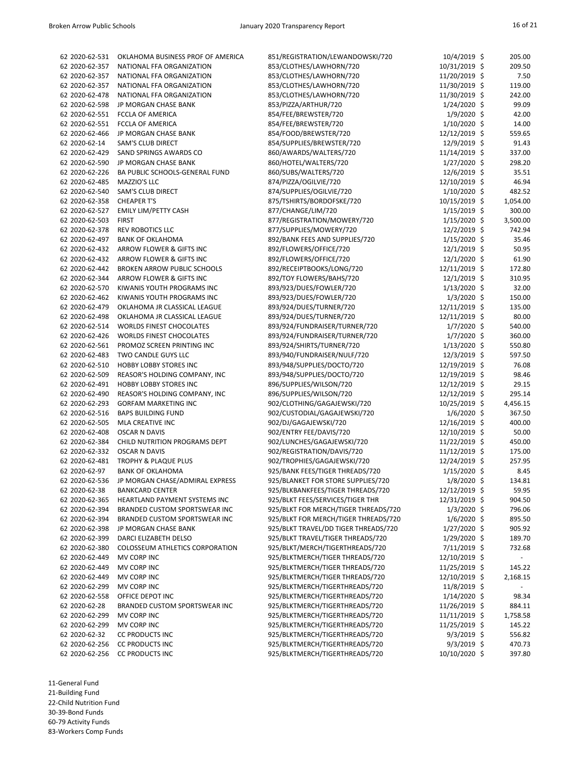| 62 2020-62-531 | OKLAHOMA BUSINESS PROF OF AMERICA  | 851/REGISTRATION/LEWANDOWSKI/720                                             | $10/4/2019$ \$ | 205.00   |
|----------------|------------------------------------|------------------------------------------------------------------------------|----------------|----------|
| 62 2020-62-357 | NATIONAL FFA ORGANIZATION          | 853/CLOTHES/LAWHORN/720                                                      | 10/31/2019 \$  | 209.50   |
| 62 2020-62-357 | NATIONAL FFA ORGANIZATION          | 853/CLOTHES/LAWHORN/720                                                      | 11/20/2019 \$  | 7.50     |
| 62 2020-62-357 | NATIONAL FFA ORGANIZATION          | 853/CLOTHES/LAWHORN/720                                                      | 11/30/2019 \$  | 119.00   |
| 62 2020-62-478 | NATIONAL FFA ORGANIZATION          | 853/CLOTHES/LAWHORN/720                                                      | 11/30/2019 \$  | 242.00   |
| 62 2020-62-598 | JP MORGAN CHASE BANK               | 853/PIZZA/ARTHUR/720                                                         | 1/24/2020 \$   | 99.09    |
| 62 2020-62-551 | <b>FCCLA OF AMERICA</b>            | 854/FEE/BREWSTER/720                                                         | $1/9/2020$ \$  | 42.00    |
| 62 2020-62-551 | <b>FCCLA OF AMERICA</b>            | 854/FEE/BREWSTER/720                                                         | $1/10/2020$ \$ | 14.00    |
| 62 2020-62-466 | JP MORGAN CHASE BANK               | 854/FOOD/BREWSTER/720                                                        | 12/12/2019 \$  | 559.65   |
| 62 2020-62-14  | <b>SAM'S CLUB DIRECT</b>           | 854/SUPPLIES/BREWSTER/720                                                    | 12/9/2019 \$   | 91.43    |
| 62 2020-62-429 | SAND SPRINGS AWARDS CO             | 860/AWARDS/WALTERS/720                                                       | 11/14/2019 \$  | 337.00   |
| 62 2020-62-590 | JP MORGAN CHASE BANK               | 860/HOTEL/WALTERS/720                                                        | $1/27/2020$ \$ | 298.20   |
| 62 2020-62-226 | BA PUBLIC SCHOOLS-GENERAL FUND     | 860/SUBS/WALTERS/720                                                         | 12/6/2019 \$   | 35.51    |
| 62 2020-62-485 | MAZZIO'S LLC                       | 874/PIZZA/OGILVIE/720                                                        | 12/10/2019 \$  | 46.94    |
| 62 2020-62-540 | <b>SAM'S CLUB DIRECT</b>           | 874/SUPPLIES/OGILVIE/720                                                     | $1/10/2020$ \$ | 482.52   |
| 62 2020-62-358 | <b>CHEAPER T'S</b>                 | 875/TSHIRTS/BORDOFSKE/720                                                    | 10/15/2019 \$  | 1,054.00 |
| 62 2020-62-527 | <b>EMILY LIM/PETTY CASH</b>        | 877/CHANGE/LIM/720                                                           | $1/15/2019$ \$ | 300.00   |
| 62 2020-62-503 | <b>FIRST</b>                       | 877/REGISTRATION/MOWERY/720                                                  | $1/15/2020$ \$ | 3,500.00 |
| 62 2020-62-378 | <b>REV ROBOTICS LLC</b>            | 877/SUPPLIES/MOWERY/720                                                      | 12/2/2019 \$   | 742.94   |
| 62 2020-62-497 | <b>BANK OF OKLAHOMA</b>            | 892/BANK FEES AND SUPPLIES/720                                               | $1/15/2020$ \$ | 35.46    |
| 62 2020-62-432 | ARROW FLOWER & GIFTS INC           | 892/FLOWERS/OFFICE/720                                                       | 12/1/2019 \$   | 50.95    |
| 62 2020-62-432 | ARROW FLOWER & GIFTS INC           | 892/FLOWERS/OFFICE/720                                                       | 12/1/2020 \$   | 61.90    |
| 62 2020-62-442 | <b>BROKEN ARROW PUBLIC SCHOOLS</b> | 892/RECEIPTBOOKS/LONG/720                                                    | 12/11/2019 \$  | 172.80   |
| 62 2020-62-344 | ARROW FLOWER & GIFTS INC           | 892/TOY FLOWERS/BAHS/720                                                     | $12/1/2019$ \$ | 310.95   |
| 62 2020-62-570 | KIWANIS YOUTH PROGRAMS INC         | 893/923/DUES/FOWLER/720                                                      | $1/13/2020$ \$ | 32.00    |
| 62 2020-62-462 | KIWANIS YOUTH PROGRAMS INC         | 893/923/DUES/FOWLER/720                                                      | $1/3/2020$ \$  | 150.00   |
| 62 2020-62-479 | OKLAHOMA JR CLASSICAL LEAGUE       | 893/924/DUES/TURNER/720                                                      | 12/11/2019 \$  | 135.00   |
| 62 2020-62-498 | OKLAHOMA JR CLASSICAL LEAGUE       | 893/924/DUES/TURNER/720                                                      | 12/11/2019 \$  | 80.00    |
| 62 2020-62-514 | <b>WORLDS FINEST CHOCOLATES</b>    | 893/924/FUNDRAISER/TURNER/720                                                | $1/7/2020$ \$  | 540.00   |
| 62 2020-62-426 | <b>WORLDS FINEST CHOCOLATES</b>    | 893/924/FUNDRAISER/TURNER/720                                                | $1/7/2020$ \$  | 360.00   |
| 62 2020-62-561 | PROMOZ SCREEN PRINTING INC         | 893/924/SHIRTS/TURNER/720                                                    | $1/13/2020$ \$ | 550.80   |
| 62 2020-62-483 | TWO CANDLE GUYS LLC                | 893/940/FUNDRAISER/NULF/720                                                  | 12/3/2019 \$   | 597.50   |
| 62 2020-62-510 | <b>HOBBY LOBBY STORES INC</b>      | 893/948/SUPPLIES/DOCTO/720                                                   | 12/19/2019 \$  | 76.08    |
| 62 2020-62-509 | REASOR'S HOLDING COMPANY, INC      | 893/948/SUPPLIES/DOCTO/720                                                   | 12/19/2019 \$  | 98.46    |
| 62 2020-62-491 | <b>HOBBY LOBBY STORES INC</b>      | 896/SUPPLIES/WILSON/720                                                      | 12/12/2019 \$  | 29.15    |
| 62 2020-62-490 | REASOR'S HOLDING COMPANY, INC      | 896/SUPPLIES/WILSON/720                                                      | 12/12/2019 \$  | 295.14   |
| 62 2020-62-293 | <b>GORFAM MARKETING INC</b>        | 902/CLOTHING/GAGAJEWSKI/720                                                  | 10/25/2019 \$  | 4,456.15 |
| 62 2020-62-516 | <b>BAPS BUILDING FUND</b>          | 902/CUSTODIAL/GAGAJEWSKI/720                                                 | $1/6/2020$ \$  | 367.50   |
| 62 2020-62-505 | MLA CREATIVE INC                   | 902/DJ/GAGAJEWSKI/720                                                        | 12/16/2019 \$  | 400.00   |
| 62 2020-62-408 | <b>OSCAR N DAVIS</b>               | 902/ENTRY FEE/DAVIS/720                                                      | 12/10/2019 \$  | 50.00    |
| 62 2020-62-384 | CHILD NUTRITION PROGRAMS DEPT      | 902/LUNCHES/GAGAJEWSKI/720                                                   | 11/22/2019 \$  | 450.00   |
| 62 2020-62-332 | <b>OSCAR N DAVIS</b>               | 902/REGISTRATION/DAVIS/720                                                   | 11/12/2019 \$  | 175.00   |
| 62 2020-62-481 | TROPHY & PLAQUE PLUS               | 902/TROPHIES/GAGAJEWSKI/720                                                  | 12/24/2019 \$  | 257.95   |
| 62 2020-62-97  | <b>BANK OF OKLAHOMA</b>            | 925/BANK FEES/TIGER THREADS/720                                              | $1/15/2020$ \$ | 8.45     |
| 62 2020-62-536 | JP MORGAN CHASE/ADMIRAL EXPRESS    | 925/BLANKET FOR STORE SUPPLIES/720                                           | $1/8/2020$ \$  | 134.81   |
| 62 2020-62-38  | <b>BANKCARD CENTER</b>             | 925/BLKBANKFEES/TIGER THREADS/720                                            | 12/12/2019 \$  | 59.95    |
| 62 2020-62-365 | HEARTLAND PAYMENT SYSTEMS INC      | 925/BLKT FEES/SERVICES/TIGER THR                                             | 12/31/2019 \$  | 904.50   |
| 62 2020-62-394 | BRANDED CUSTOM SPORTSWEAR INC      |                                                                              | $1/3/2020$ \$  | 796.06   |
| 62 2020-62-394 | BRANDED CUSTOM SPORTSWEAR INC      | 925/BLKT FOR MERCH/TIGER THREADS/720<br>925/BLKT FOR MERCH/TIGER THREADS/720 |                | 895.50   |
| 62 2020-62-398 | JP MORGAN CHASE BANK               |                                                                              | $1/6/2020$ \$  | 905.92   |
| 62 2020-62-399 | DARCI ELIZABETH DELSO              | 925/BLKT TRAVEL/DD TIGER THREADS/720                                         | $1/27/2020$ \$ |          |
|                |                                    | 925/BLKT TRAVEL/TIGER THREADS/720                                            | 1/29/2020 \$   | 189.70   |
| 62 2020-62-380 | COLOSSEUM ATHLETICS CORPORATION    | 925/BLKT/MERCH/TIGERTHREADS/720                                              | 7/11/2019 \$   | 732.68   |
| 62 2020-62-449 | MV CORP INC                        | 925/BLKTMERCH/TIGER THREADS/720                                              | 12/10/2019 \$  |          |
| 62 2020-62-449 | MV CORP INC                        | 925/BLKTMERCH/TIGER THREADS/720                                              | 11/25/2019 \$  | 145.22   |
| 62 2020-62-449 | MV CORP INC                        | 925/BLKTMERCH/TIGER THREADS/720                                              | 12/10/2019 \$  | 2,168.15 |
| 62 2020-62-299 | MV CORP INC                        | 925/BLKTMERCH/TIGERTHREADS/720                                               | 11/8/2019 \$   |          |
| 62 2020-62-558 | OFFICE DEPOT INC                   | 925/BLKTMERCH/TIGERTHREADS/720                                               | $1/14/2020$ \$ | 98.34    |
| 62 2020-62-28  | BRANDED CUSTOM SPORTSWEAR INC      | 925/BLKTMERCH/TIGERTHREADS/720                                               | 11/26/2019 \$  | 884.11   |
| 62 2020-62-299 | MV CORP INC                        | 925/BLKTMERCH/TIGERTHREADS/720                                               | 11/11/2019 \$  | 1,758.58 |
| 62 2020-62-299 | MV CORP INC                        | 925/BLKTMERCH/TIGERTHREADS/720                                               | 11/25/2019 \$  | 145.22   |
| 62 2020-62-32  | <b>CC PRODUCTS INC</b>             | 925/BLKTMERCH/TIGERTHREADS/720                                               | $9/3/2019$ \$  | 556.82   |
| 62 2020-62-256 | CC PRODUCTS INC                    | 925/BLKTMERCH/TIGERTHREADS/720                                               | $9/3/2019$ \$  | 470.73   |
| 62 2020-62-256 | <b>CC PRODUCTS INC</b>             | 925/BLKTMERCH/TIGERTHREADS/720                                               | 10/10/2020 \$  | 397.80   |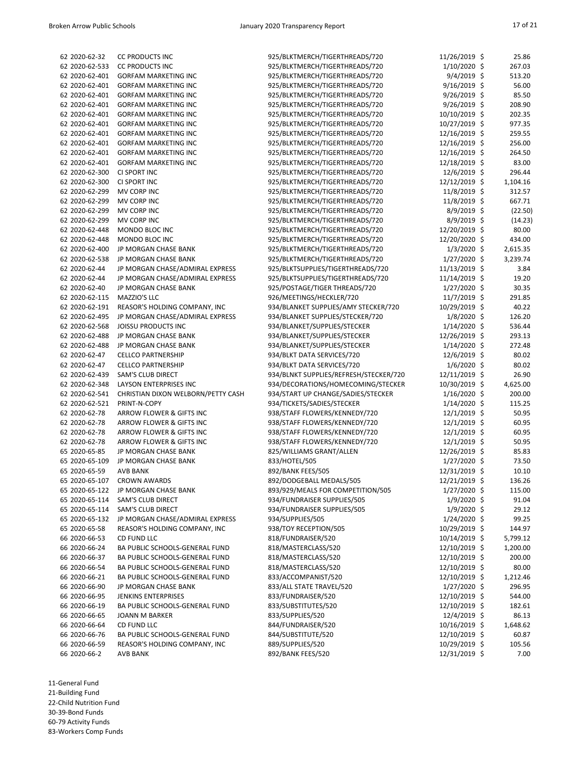| 62 2020-62-32  | <b>CC PRODUCTS INC</b>             | 925/BLKTMERCH/TIGERTHREADS/720         | 11/26/2019 \$  | 25.86    |
|----------------|------------------------------------|----------------------------------------|----------------|----------|
| 62 2020-62-533 | <b>CC PRODUCTS INC</b>             | 925/BLKTMERCH/TIGERTHREADS/720         | 1/10/2020 \$   | 267.03   |
| 62 2020-62-401 | <b>GORFAM MARKETING INC</b>        | 925/BLKTMERCH/TIGERTHREADS/720         | 9/4/2019 \$    | 513.20   |
| 62 2020-62-401 | <b>GORFAM MARKETING INC</b>        | 925/BLKTMERCH/TIGERTHREADS/720         | $9/16/2019$ \$ | 56.00    |
| 62 2020-62-401 | <b>GORFAM MARKETING INC</b>        | 925/BLKTMERCH/TIGERTHREADS/720         | $9/26/2019$ \$ | 85.50    |
| 62 2020-62-401 | <b>GORFAM MARKETING INC</b>        | 925/BLKTMERCH/TIGERTHREADS/720         | 9/26/2019 \$   | 208.90   |
| 62 2020-62-401 | <b>GORFAM MARKETING INC</b>        | 925/BLKTMERCH/TIGERTHREADS/720         | 10/10/2019 \$  | 202.35   |
| 62 2020-62-401 | <b>GORFAM MARKETING INC</b>        | 925/BLKTMERCH/TIGERTHREADS/720         | 10/27/2019 \$  | 977.35   |
| 62 2020-62-401 | <b>GORFAM MARKETING INC</b>        | 925/BLKTMERCH/TIGERTHREADS/720         | 12/16/2019 \$  | 259.55   |
| 62 2020-62-401 | <b>GORFAM MARKETING INC</b>        | 925/BLKTMERCH/TIGERTHREADS/720         | 12/16/2019 \$  | 256.00   |
| 62 2020-62-401 | <b>GORFAM MARKETING INC</b>        | 925/BLKTMERCH/TIGERTHREADS/720         | 12/16/2019 \$  | 264.50   |
| 62 2020-62-401 | <b>GORFAM MARKETING INC</b>        | 925/BLKTMERCH/TIGERTHREADS/720         | 12/18/2019 \$  | 83.00    |
| 62 2020-62-300 | CI SPORT INC                       | 925/BLKTMERCH/TIGERTHREADS/720         | 12/6/2019 \$   | 296.44   |
| 62 2020-62-300 | CI SPORT INC                       | 925/BLKTMERCH/TIGERTHREADS/720         | 12/12/2019 \$  | 1,104.16 |
| 62 2020-62-299 | MV CORP INC                        | 925/BLKTMERCH/TIGERTHREADS/720         | 11/8/2019 \$   | 312.57   |
| 62 2020-62-299 | MV CORP INC                        | 925/BLKTMERCH/TIGERTHREADS/720         | 11/8/2019 \$   | 667.71   |
| 62 2020-62-299 | MV CORP INC                        | 925/BLKTMERCH/TIGERTHREADS/720         | $8/9/2019$ \$  | (22.50)  |
| 62 2020-62-299 | MV CORP INC                        | 925/BLKTMERCH/TIGERTHREADS/720         | $8/9/2019$ \$  | (14.23)  |
| 62 2020-62-448 | MONDO BLOC INC                     | 925/BLKTMERCH/TIGERTHREADS/720         | 12/20/2019 \$  | 80.00    |
| 62 2020-62-448 | MONDO BLOC INC                     | 925/BLKTMERCH/TIGERTHREADS/720         | 12/20/2020 \$  | 434.00   |
| 62 2020-62-400 | JP MORGAN CHASE BANK               | 925/BLKTMERCH/TIGERTHREADS/720         | $1/3/2020$ \$  | 2,615.35 |
| 62 2020-62-538 | JP MORGAN CHASE BANK               | 925/BLKTMERCH/TIGERTHREADS/720         | $1/27/2020$ \$ | 3,239.74 |
| 62 2020-62-44  | JP MORGAN CHASE/ADMIRAL EXPRESS    | 925/BLKTSUPPLIES/TIGERTHREADS/720      | 11/13/2019 \$  | 3.84     |
| 62 2020-62-44  |                                    |                                        |                | 19.20    |
|                | JP MORGAN CHASE/ADMIRAL EXPRESS    | 925/BLKTSUPPLIES/TIGERTHREADS/720      | 11/14/2019 \$  |          |
| 62 2020-62-40  | JP MORGAN CHASE BANK               | 925/POSTAGE/TIGER THREADS/720          | $1/27/2020$ \$ | 30.35    |
| 62 2020-62-115 | MAZZIO'S LLC                       | 926/MEETINGS/HECKLER/720               | 11/7/2019 \$   | 291.85   |
| 62 2020-62-191 | REASOR'S HOLDING COMPANY, INC      | 934/BLANKET SUPPLIES/AMY STECKER/720   | 10/29/2019 \$  | 40.22    |
| 62 2020-62-495 | JP MORGAN CHASE/ADMIRAL EXPRESS    | 934/BLANKET SUPPLIES/STECKER/720       | $1/8/2020$ \$  | 126.20   |
| 62 2020-62-568 | <b>JOISSU PRODUCTS INC</b>         | 934/BLANKET/SUPPLIES/STECKER           | $1/14/2020$ \$ | 536.44   |
| 62 2020-62-488 | JP MORGAN CHASE BANK               | 934/BLANKET/SUPPLIES/STECKER           | 12/26/2019 \$  | 293.13   |
| 62 2020-62-488 | JP MORGAN CHASE BANK               | 934/BLANKET/SUPPLIES/STECKER           | 1/14/2020 \$   | 272.48   |
| 62 2020-62-47  | <b>CELLCO PARTNERSHIP</b>          | 934/BLKT DATA SERVICES/720             | 12/6/2019 \$   | 80.02    |
| 62 2020-62-47  | <b>CELLCO PARTNERSHIP</b>          | 934/BLKT DATA SERVICES/720             | $1/6/2020$ \$  | 80.02    |
| 62 2020-62-439 | <b>SAM'S CLUB DIRECT</b>           | 934/BLNKT SUPPLIES/REFRESH/STECKER/720 | 12/11/2019 \$  | 26.90    |
| 62 2020-62-348 | LAYSON ENTERPRISES INC             | 934/DECORATIONS/HOMECOMING/STECKER     | 10/30/2019 \$  | 4,625.00 |
| 62 2020-62-541 | CHRISTIAN DIXON WELBORN/PETTY CASH | 934/START UP CHANGE/SADIES/STECKER     | $1/16/2020$ \$ | 200.00   |
| 62 2020-62-521 | PRINT-N-COPY                       | 934/TICKETS/SADIES/STECKER             | $1/14/2020$ \$ | 115.25   |
| 62 2020-62-78  | ARROW FLOWER & GIFTS INC           | 938/STAFF FLOWERS/KENNEDY/720          | $12/1/2019$ \$ | 50.95    |
| 62 2020-62-78  | ARROW FLOWER & GIFTS INC           | 938/STAFF FLOWERS/KENNEDY/720          | $12/1/2019$ \$ | 60.95    |
| 62 2020-62-78  | ARROW FLOWER & GIFTS INC           | 938/STAFF FLOWERS/KENNEDY/720          | $12/1/2019$ \$ | 60.95    |
| 62 2020-62-78  | ARROW FLOWER & GIFTS INC           | 938/STAFF FLOWERS/KENNEDY/720          | $12/1/2019$ \$ | 50.95    |
| 65 2020-65-85  | JP MORGAN CHASE BANK               | 825/WILLIAMS GRANT/ALLEN               | 12/26/2019 \$  | 85.83    |
| 65 2020-65-109 | JP MORGAN CHASE BANK               | 833/HOTEL/505                          | $1/27/2020$ \$ | 73.50    |
| 65 2020-65-59  | <b>AVB BANK</b>                    | 892/BANK FEES/505                      | 12/31/2019 \$  | 10.10    |
| 65 2020-65-107 | <b>CROWN AWARDS</b>                | 892/DODGEBALL MEDALS/505               | 12/21/2019 \$  | 136.26   |
| 65 2020-65-122 | JP MORGAN CHASE BANK               | 893/929/MEALS FOR COMPETITION/505      | $1/27/2020$ \$ | 115.00   |
| 65 2020-65-114 | <b>SAM'S CLUB DIRECT</b>           | 934/FUNDRAISER SUPPLIES/505            | $1/9/2020$ \$  | 91.04    |
| 65 2020-65-114 | <b>SAM'S CLUB DIRECT</b>           | 934/FUNDRAISER SUPPLIES/505            | $1/9/2020$ \$  | 29.12    |
| 65 2020-65-132 | JP MORGAN CHASE/ADMIRAL EXPRESS    | 934/SUPPLIES/505                       | $1/24/2020$ \$ | 99.25    |
| 65 2020-65-58  | REASOR'S HOLDING COMPANY, INC      | 938/TOY RECEPTION/505                  | 10/29/2019 \$  | 144.97   |
| 66 2020-66-53  | CD FUND LLC                        | 818/FUNDRAISER/520                     | 10/14/2019 \$  | 5,799.12 |
| 66 2020-66-24  | BA PUBLIC SCHOOLS-GENERAL FUND     | 818/MASTERCLASS/520                    | 12/10/2019 \$  | 1,200.00 |
| 66 2020-66-37  | BA PUBLIC SCHOOLS-GENERAL FUND     | 818/MASTERCLASS/520                    | 12/10/2019 \$  | 200.00   |
| 66 2020-66-54  | BA PUBLIC SCHOOLS-GENERAL FUND     | 818/MASTERCLASS/520                    | 12/10/2019 \$  | 80.00    |
| 66 2020-66-21  | BA PUBLIC SCHOOLS-GENERAL FUND     | 833/ACCOMPANIST/520                    | 12/10/2019 \$  | 1,212.46 |
| 66 2020-66-90  | JP MORGAN CHASE BANK               | 833/ALL STATE TRAVEL/520               | $1/27/2020$ \$ | 296.95   |
| 66 2020-66-95  | <b>JENKINS ENTERPRISES</b>         | 833/FUNDRAISER/520                     | 12/10/2019 \$  | 544.00   |
| 66 2020-66-19  | BA PUBLIC SCHOOLS-GENERAL FUND     | 833/SUBSTITUTES/520                    | 12/10/2019 \$  | 182.61   |
| 66 2020-66-65  | <b>JOANN M BARKER</b>              | 833/SUPPLIES/520                       | 12/4/2019 \$   | 86.13    |
| 66 2020-66-64  | CD FUND LLC                        | 844/FUNDRAISER/520                     | 10/16/2019 \$  | 1,648.62 |
| 66 2020-66-76  | BA PUBLIC SCHOOLS-GENERAL FUND     | 844/SUBSTITUTE/520                     | 12/10/2019 \$  | 60.87    |
| 66 2020-66-59  | REASOR'S HOLDING COMPANY, INC      | 889/SUPPLIES/520                       | 10/29/2019 \$  | 105.56   |
| 66 2020-66-2   | <b>AVB BANK</b>                    | 892/BANK FEES/520                      | 12/31/2019 \$  | 7.00     |

11-General Fund 21-Building Fund 22-Child Nutrition Fund

30-39-Bond Funds 60-79 Activity Funds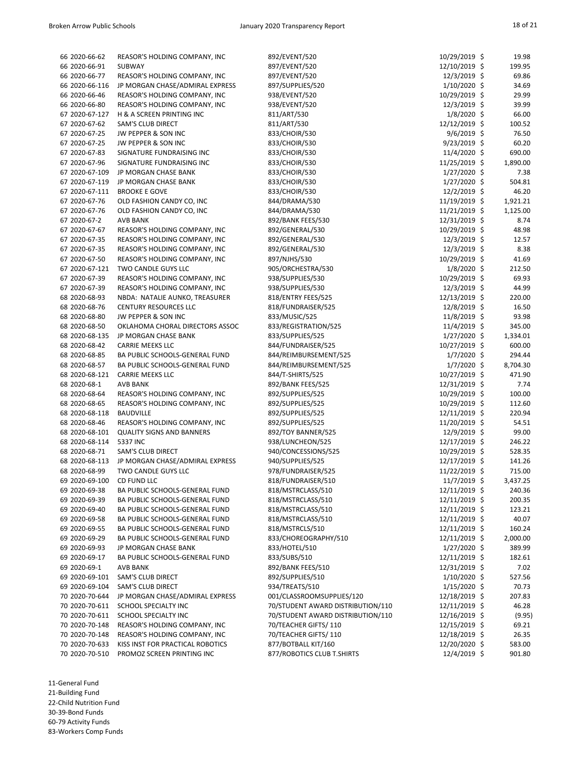| 66 2020-66-62  | REASOR'S HOLDING COMPANY, INC    | 892/EVENT/520                     | 10/29/2019 \$  | 19.98    |
|----------------|----------------------------------|-----------------------------------|----------------|----------|
|                |                                  |                                   |                |          |
| 66 2020-66-91  | <b>SUBWAY</b>                    | 897/EVENT/520                     | 12/10/2019 \$  | 199.95   |
| 66 2020-66-77  | REASOR'S HOLDING COMPANY, INC    | 897/EVENT/520                     | 12/3/2019 \$   | 69.86    |
| 66 2020-66-116 | JP MORGAN CHASE/ADMIRAL EXPRESS  | 897/SUPPLIES/520                  | $1/10/2020$ \$ | 34.69    |
| 66 2020-66-46  | REASOR'S HOLDING COMPANY, INC    | 938/EVENT/520                     | 10/29/2019 \$  | 29.99    |
| 66 2020-66-80  | REASOR'S HOLDING COMPANY, INC    | 938/EVENT/520                     | 12/3/2019 \$   | 39.99    |
| 67 2020-67-127 | H & A SCREEN PRINTING INC        | 811/ART/530                       | $1/8/2020$ \$  | 66.00    |
| 67 2020-67-62  | <b>SAM'S CLUB DIRECT</b>         | 811/ART/530                       | 12/12/2019 \$  | 100.52   |
| 67 2020-67-25  | JW PEPPER & SON INC              | 833/CHOIR/530                     | $9/6/2019$ \$  | 76.50    |
| 67 2020-67-25  | JW PEPPER & SON INC              | 833/CHOIR/530                     | $9/23/2019$ \$ | 60.20    |
| 67 2020-67-83  | SIGNATURE FUNDRAISING INC        | 833/CHOIR/530                     | 11/4/2020 \$   | 690.00   |
| 67 2020-67-96  | SIGNATURE FUNDRAISING INC        | 833/CHOIR/530                     | 11/25/2019 \$  | 1,890.00 |
| 67 2020-67-109 | JP MORGAN CHASE BANK             | 833/CHOIR/530                     | $1/27/2020$ \$ | 7.38     |
|                |                                  |                                   |                |          |
| 67 2020-67-119 | JP MORGAN CHASE BANK             | 833/CHOIR/530                     | $1/27/2020$ \$ | 504.81   |
| 67 2020-67-111 | <b>BROOKE E GOVE</b>             | 833/CHOIR/530                     | $12/2/2019$ \$ | 46.20    |
| 67 2020-67-76  | OLD FASHION CANDY CO, INC        | 844/DRAMA/530                     | 11/19/2019 \$  | 1,921.21 |
| 67 2020-67-76  | OLD FASHION CANDY CO, INC        | 844/DRAMA/530                     | 11/21/2019 \$  | 1,125.00 |
| 67 2020-67-2   | <b>AVB BANK</b>                  | 892/BANK FEES/530                 | 12/31/2019 \$  | 8.74     |
| 67 2020-67-67  | REASOR'S HOLDING COMPANY, INC    | 892/GENERAL/530                   | 10/29/2019 \$  | 48.98    |
| 67 2020-67-35  | REASOR'S HOLDING COMPANY, INC    | 892/GENERAL/530                   | 12/3/2019 \$   | 12.57    |
| 67 2020-67-35  | REASOR'S HOLDING COMPANY, INC    | 892/GENERAL/530                   | $12/3/2019$ \$ | 8.38     |
| 67 2020-67-50  | REASOR'S HOLDING COMPANY, INC    | 897/NJHS/530                      | 10/29/2019 \$  | 41.69    |
| 67 2020-67-121 | TWO CANDLE GUYS LLC              | 905/ORCHESTRA/530                 | $1/8/2020$ \$  | 212.50   |
| 67 2020-67-39  | REASOR'S HOLDING COMPANY, INC    | 938/SUPPLIES/530                  | 10/29/2019 \$  | 69.93    |
| 67 2020-67-39  | REASOR'S HOLDING COMPANY, INC    | 938/SUPPLIES/530                  | $12/3/2019$ \$ | 44.99    |
| 68 2020-68-93  | NBDA: NATALIE AUNKO, TREASURER   | 818/ENTRY FEES/525                | 12/13/2019 \$  | 220.00   |
| 68 2020-68-76  | <b>CENTURY RESOURCES LLC</b>     | 818/FUNDRAISER/525                | 12/8/2019 \$   | 16.50    |
| 68 2020-68-80  | JW PEPPER & SON INC              | 833/MUSIC/525                     | 11/8/2019 \$   | 93.98    |
| 68 2020-68-50  | OKLAHOMA CHORAL DIRECTORS ASSOC  | 833/REGISTRATION/525              | $11/4/2019$ \$ | 345.00   |
| 68 2020-68-135 | JP MORGAN CHASE BANK             | 833/SUPPLIES/525                  | $1/27/2020$ \$ |          |
|                |                                  |                                   |                | 1,334.01 |
| 68 2020-68-42  | <b>CARRIE MEEKS LLC</b>          | 844/FUNDRAISER/525                | 10/27/2019 \$  | 600.00   |
| 68 2020-68-85  | BA PUBLIC SCHOOLS-GENERAL FUND   | 844/REIMBURSEMENT/525             | $1/7/2020$ \$  | 294.44   |
| 68 2020-68-57  | BA PUBLIC SCHOOLS-GENERAL FUND   | 844/REIMBURSEMENT/525             | $1/7/2020$ \$  | 8,704.30 |
| 68 2020-68-121 | <b>CARRIE MEEKS LLC</b>          | 844/T-SHIRTS/525                  | 10/27/2019 \$  | 471.90   |
| 68 2020-68-1   | <b>AVB BANK</b>                  | 892/BANK FEES/525                 | 12/31/2019 \$  | 7.74     |
| 68 2020-68-64  | REASOR'S HOLDING COMPANY, INC    | 892/SUPPLIES/525                  | 10/29/2019 \$  | 100.00   |
| 68 2020-68-65  | REASOR'S HOLDING COMPANY, INC    | 892/SUPPLIES/525                  | 10/29/2019 \$  | 112.60   |
| 68 2020-68-118 | <b>BAUDVILLE</b>                 | 892/SUPPLIES/525                  | 12/11/2019 \$  | 220.94   |
| 68 2020-68-46  | REASOR'S HOLDING COMPANY, INC    | 892/SUPPLIES/525                  | 11/20/2019 \$  | 54.51    |
| 68 2020-68-101 | <b>QUALITY SIGNS AND BANNERS</b> | 892/TOY BANNER/525                | 12/9/2019 \$   | 99.00    |
| 68 2020-68-114 | 5337 INC                         | 938/LUNCHEON/525                  | 12/17/2019 \$  | 246.22   |
| 68 2020-68-71  | <b>SAM'S CLUB DIRECT</b>         | 940/CONCESSIONS/525               | 10/29/2019 \$  | 528.35   |
| 68 2020-68-113 | JP MORGAN CHASE/ADMIRAL EXPRESS  | 940/SUPPLIES/525                  | 12/17/2019 \$  | 141.26   |
| 68 2020-68-99  | TWO CANDLE GUYS LLC              | 978/FUNDRAISER/525                | 11/22/2019 \$  | 715.00   |
| 69 2020-69-100 | CD FUND LLC                      | 818/FUNDRAISER/510                | $11/7/2019$ \$ | 3,437.25 |
| 69 2020-69-38  | BA PUBLIC SCHOOLS-GENERAL FUND   | 818/MSTRCLASS/510                 | 12/11/2019 \$  | 240.36   |
| 69 2020-69-39  | BA PUBLIC SCHOOLS-GENERAL FUND   | 818/MSTRCLASS/510                 | 12/11/2019 \$  | 200.35   |
| 69 2020-69-40  | BA PUBLIC SCHOOLS-GENERAL FUND   | 818/MSTRCLASS/510                 | 12/11/2019 \$  | 123.21   |
| 69 2020-69-58  |                                  |                                   |                | 40.07    |
|                | BA PUBLIC SCHOOLS-GENERAL FUND   | 818/MSTRCLASS/510                 | 12/11/2019 \$  |          |
| 69 2020-69-55  | BA PUBLIC SCHOOLS-GENERAL FUND   | 818/MSTRCLS/510                   | 12/11/2019 \$  | 160.24   |
| 69 2020-69-29  | BA PUBLIC SCHOOLS-GENERAL FUND   | 833/CHOREOGRAPHY/510              | 12/11/2019 \$  | 2,000.00 |
| 69 2020-69-93  | JP MORGAN CHASE BANK             | 833/HOTEL/510                     | $1/27/2020$ \$ | 389.99   |
| 69 2020-69-17  | BA PUBLIC SCHOOLS-GENERAL FUND   | 833/SUBS/510                      | 12/11/2019 \$  | 182.61   |
| 69 2020-69-1   | <b>AVB BANK</b>                  | 892/BANK FEES/510                 | 12/31/2019 \$  | 7.02     |
| 69 2020-69-101 | <b>SAM'S CLUB DIRECT</b>         | 892/SUPPLIES/510                  | 1/10/2020 \$   | 527.56   |
| 69 2020-69-104 | <b>SAM'S CLUB DIRECT</b>         | 934/TREATS/510                    | $1/15/2020$ \$ | 70.73    |
| 70 2020-70-644 | JP MORGAN CHASE/ADMIRAL EXPRESS  | 001/CLASSROOMSUPPLIES/120         | 12/18/2019 \$  | 207.83   |
| 70 2020-70-611 | SCHOOL SPECIALTY INC             | 70/STUDENT AWARD DISTRIBUTION/110 | 12/11/2019 \$  | 46.28    |
| 70 2020-70-611 | SCHOOL SPECIALTY INC             | 70/STUDENT AWARD DISTRIBUTION/110 | 12/16/2019 \$  | (9.95)   |
| 70 2020-70-148 | REASOR'S HOLDING COMPANY, INC    | 70/TEACHER GIFTS/110              | 12/15/2019 \$  | 69.21    |
| 70 2020-70-148 | REASOR'S HOLDING COMPANY, INC    | 70/TEACHER GIFTS/110              | 12/18/2019 \$  | 26.35    |
| 70 2020-70-633 | KISS INST FOR PRACTICAL ROBOTICS | 877/BOTBALL KIT/160               | 12/20/2020 \$  | 583.00   |
| 70 2020-70-510 | PROMOZ SCREEN PRINTING INC       | 877/ROBOTICS CLUB T.SHIRTS        | 12/4/2019 \$   | 901.80   |

11-General Fund 21-Building Fund 22-Child Nutrition Fund

30-39-Bond Funds

60-79 Activity Funds 83-Workers Comp Funds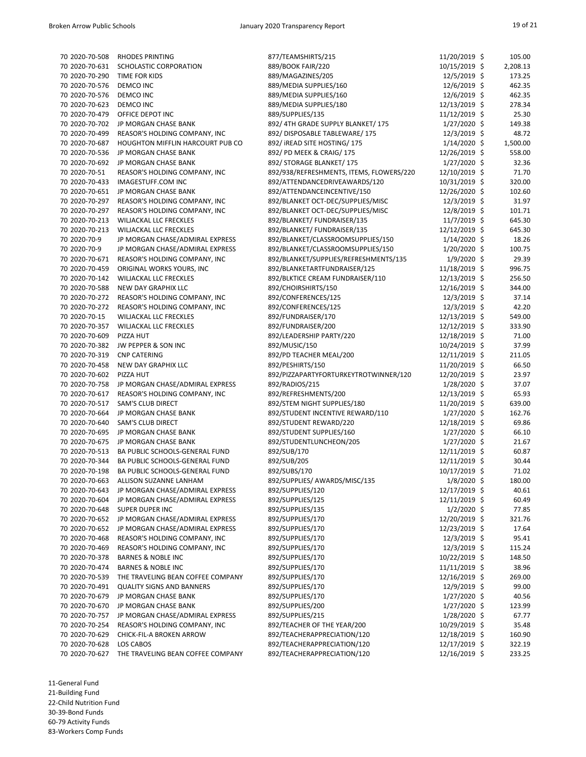| 70 2020-70-508              | <b>RHODES PRINTING</b>            | 877/TEAMSHIRTS/215                       | 11/20/2019 \$   | 105.00   |
|-----------------------------|-----------------------------------|------------------------------------------|-----------------|----------|
| 70 2020-70-631              | SCHOLASTIC CORPORATION            | 889/BOOK FAIR/220                        | 10/15/2019 \$   | 2,208.13 |
| 70 2020-70-290              | TIME FOR KIDS                     | 889/MAGAZINES/205                        | 12/5/2019 \$    | 173.25   |
| 70 2020-70-576              | DEMCO INC                         | 889/MEDIA SUPPLIES/160                   | 12/6/2019 \$    | 462.35   |
| 70 2020-70-576              | DEMCO INC                         | 889/MEDIA SUPPLIES/160                   | 12/6/2019 \$    | 462.35   |
| 70 2020-70-623              | <b>DEMCO INC</b>                  | 889/MEDIA SUPPLIES/180                   | 12/13/2019 \$   | 278.34   |
| 70 2020-70-479              | OFFICE DEPOT INC                  | 889/SUPPLIES/135                         | $11/12/2019$ \$ | 25.30    |
| 70 2020-70-702              | JP MORGAN CHASE BANK              | 892/ 4TH GRADE SUPPLY BLANKET/ 175       | $1/27/2020$ \$  | 149.38   |
| 70 2020-70-499              | REASOR'S HOLDING COMPANY, INC     | 892/ DISPOSABLE TABLEWARE/ 175           | 12/3/2019 \$    | 48.72    |
| 70 2020-70-687              | HOUGHTON MIFFLIN HARCOURT PUB CO  | 892/ iREAD SITE HOSTING/ 175             | $1/14/2020$ \$  | 1,500.00 |
| 70 2020-70-536              | JP MORGAN CHASE BANK              | 892/ PD MEEK & CRAIG/ 175                | 12/26/2019 \$   | 558.00   |
| 70 2020-70-692              | JP MORGAN CHASE BANK              | 892/ STORAGE BLANKET/175                 | $1/27/2020$ \$  | 32.36    |
| 70 2020-70-51               | REASOR'S HOLDING COMPANY, INC     | 892/938/REFRESHMENTS, ITEMS, FLOWERS/220 | 12/10/2019 \$   | 71.70    |
| 70 2020-70-433              | IMAGESTUFF.COM INC                | 892/ATTENDANCEDRIVEAWARDS/120            | 10/31/2019 \$   | 320.00   |
| 70 2020-70-651              | JP MORGAN CHASE BANK              | 892/ATTENDANCEINCENTIVE/150              | 12/26/2020 \$   | 102.60   |
| 70 2020-70-297              | REASOR'S HOLDING COMPANY, INC     | 892/BLANKET OCT-DEC/SUPPLIES/MISC        | 12/3/2019 \$    | 31.97    |
| 70 2020-70-297              | REASOR'S HOLDING COMPANY, INC     | 892/BLANKET OCT-DEC/SUPPLIES/MISC        | 12/8/2019 \$    | 101.71   |
| 70 2020-70-213              | WILJACKAL LLC FRECKLES            | 892/BLANKET/ FUNDRAISER/135              | $11/7/2019$ \$  | 645.30   |
| 70 2020-70-213              | WILJACKAL LLC FRECKLES            | 892/BLANKET/ FUNDRAISER/135              | 12/12/2019 \$   | 645.30   |
| 70 2020-70-9                | JP MORGAN CHASE/ADMIRAL EXPRESS   | 892/BLANKET/CLASSROOMSUPPLIES/150        | $1/14/2020$ \$  | 18.26    |
| 70 2020-70-9                | JP MORGAN CHASE/ADMIRAL EXPRESS   | 892/BLANKET/CLASSROOMSUPPLIES/150        | $1/20/2020$ \$  | 100.75   |
| 70 2020-70-671              | REASOR'S HOLDING COMPANY, INC     | 892/BLANKET/SUPPLIES/REFRESHMENTS/135    | $1/9/2020$ \$   | 29.39    |
| 70 2020-70-459              | ORIGINAL WORKS YOURS, INC         | 892/BLANKETARTFUNDRAISER/125             | 11/18/2019 \$   | 996.75   |
| 70 2020-70-142              | WILJACKAL LLC FRECKLES            | 892/BLKTICE CREAM FUNDRAISER/110         | 12/13/2019 \$   | 256.50   |
| 70 2020-70-588              | NEW DAY GRAPHIX LLC               | 892/CHOIRSHIRTS/150                      | 12/16/2019 \$   | 344.00   |
| 70 2020-70-272              | REASOR'S HOLDING COMPANY, INC     | 892/CONFERENCES/125                      | $12/3/2019$ \$  | 37.14    |
| 70 2020-70-272              | REASOR'S HOLDING COMPANY, INC     | 892/CONFERENCES/125                      | 12/3/2019 \$    | 42.20    |
| 70 2020-70-15               | <b>WILJACKAL LLC FRECKLES</b>     | 892/FUNDRAISER/170                       | 12/13/2019 \$   | 549.00   |
| 70 2020-70-357              | WILJACKAL LLC FRECKLES            | 892/FUNDRAISER/200                       | 12/12/2019 \$   | 333.90   |
| 70 2020-70-609              | PIZZA HUT                         | 892/LEADERSHIP PARTY/220                 | 12/18/2019 \$   | 71.00    |
| 70 2020-70-382              | JW PEPPER & SON INC               | 892/MUSIC/150                            | 10/24/2019 \$   | 37.99    |
| 70 2020-70-319 CNP CATERING |                                   | 892/PD TEACHER MEAL/200                  | 12/11/2019 \$   | 211.05   |
| 70 2020-70-458              | NEW DAY GRAPHIX LLC               | 892/PESHIRTS/150                         | 11/20/2019 \$   | 66.50    |
| 70 2020-70-602              | PIZZA HUT                         | 892/PIZZAPARTYFORTURKEYTROTWINNER/120    | 12/20/2019 \$   | 23.97    |
| 70 2020-70-758              | JP MORGAN CHASE/ADMIRAL EXPRESS   | 892/RADIOS/215                           | 1/28/2020 \$    | 37.07    |
| 70 2020-70-617              | REASOR'S HOLDING COMPANY, INC     | 892/REFRESHMENTS/200                     | 12/13/2019 \$   | 65.93    |
| 70 2020-70-517              | <b>SAM'S CLUB DIRECT</b>          | 892/STEM NIGHT SUPPLIES/180              | 11/20/2019 \$   | 639.00   |
| 70 2020-70-664              | JP MORGAN CHASE BANK              | 892/STUDENT INCENTIVE REWARD/110         | $1/27/2020$ \$  | 162.76   |
| 70 2020-70-640              | <b>SAM'S CLUB DIRECT</b>          | 892/STUDENT REWARD/220                   | 12/18/2019 \$   | 69.86    |
| 70 2020-70-695              | JP MORGAN CHASE BANK              | 892/STUDENT SUPPLIES/160                 | $1/27/2020$ \$  | 66.10    |
| 70 2020-70-675              | JP MORGAN CHASE BANK              | 892/STUDENTLUNCHEON/205                  | $1/27/2020$ \$  | 21.67    |
| 70 2020-70-513              | BA PUBLIC SCHOOLS-GENERAL FUND    | 892/SUB/170                              | 12/11/2019 \$   | 60.87    |
| 70 2020-70-344              | BA PUBLIC SCHOOLS-GENERAL FUND    | 892/SUB/205                              | 12/11/2019 \$   | 30.44    |
| 70 2020-70-198              | BA PUBLIC SCHOOLS-GENERAL FUND    | 892/SUBS/170                             | 10/17/2019 \$   | 71.02    |
| 70 2020-70-663              | ALLISON SUZANNE LANHAM            | 892/SUPPLIES/ AWARDS/MISC/135            | $1/8/2020$ \$   | 180.00   |
| 70 2020-70-643              | JP MORGAN CHASE/ADMIRAL EXPRESS   | 892/SUPPLIES/120                         | 12/17/2019 \$   | 40.61    |
| 70 2020-70-604              | JP MORGAN CHASE/ADMIRAL EXPRESS   | 892/SUPPLIES/125                         | 12/11/2019 \$   | 60.49    |
| 70 2020-70-648              | <b>SUPER DUPER INC</b>            | 892/SUPPLIES/135                         | $1/2/2020$ \$   | 77.85    |
| 70 2020-70-652              | JP MORGAN CHASE/ADMIRAL EXPRESS   | 892/SUPPLIES/170                         | 12/20/2019 \$   | 321.76   |
| 70 2020-70-652              | JP MORGAN CHASE/ADMIRAL EXPRESS   | 892/SUPPLIES/170                         | 12/23/2019 \$   | 17.64    |
| 70 2020-70-468              | REASOR'S HOLDING COMPANY, INC     | 892/SUPPLIES/170                         | 12/3/2019 \$    | 95.41    |
| 70 2020-70-469              | REASOR'S HOLDING COMPANY, INC     | 892/SUPPLIES/170                         | 12/3/2019 \$    | 115.24   |
| 70 2020-70-378              | <b>BARNES &amp; NOBLE INC</b>     | 892/SUPPLIES/170                         | 10/22/2019 \$   | 148.50   |
| 70 2020-70-474              | <b>BARNES &amp; NOBLE INC</b>     | 892/SUPPLIES/170                         | $11/11/2019$ \$ | 38.96    |
| 70 2020-70-539              | THE TRAVELING BEAN COFFEE COMPANY | 892/SUPPLIES/170                         | 12/16/2019 \$   | 269.00   |
| 70 2020-70-491              | <b>QUALITY SIGNS AND BANNERS</b>  | 892/SUPPLIES/170                         | 12/9/2019 \$    | 99.00    |
| 70 2020-70-679              | JP MORGAN CHASE BANK              | 892/SUPPLIES/170                         | $1/27/2020$ \$  | 40.56    |
| 70 2020-70-670              | JP MORGAN CHASE BANK              | 892/SUPPLIES/200                         | $1/27/2020$ \$  | 123.99   |
| 70 2020-70-757              | JP MORGAN CHASE/ADMIRAL EXPRESS   | 892/SUPPLIES/215                         | 1/28/2020 \$    | 67.77    |
| 70 2020-70-254              | REASOR'S HOLDING COMPANY, INC     | 892/TEACHER OF THE YEAR/200              | 10/29/2019 \$   | 35.48    |
| 70 2020-70-629              | CHICK-FIL-A BROKEN ARROW          | 892/TEACHERAPPRECIATION/120              | 12/18/2019 \$   | 160.90   |
| 70 2020-70-628              | LOS CABOS                         | 892/TEACHERAPPRECIATION/120              | 12/17/2019 \$   | 322.19   |
| 70 2020-70-627              | THE TRAVELING BEAN COFFEE COMPANY | 892/TEACHERAPPRECIATION/120              | 12/16/2019 \$   | 233.25   |

21-Building Fund

22-Child Nutrition Fund

30-39-Bond Funds 60-79 Activity Funds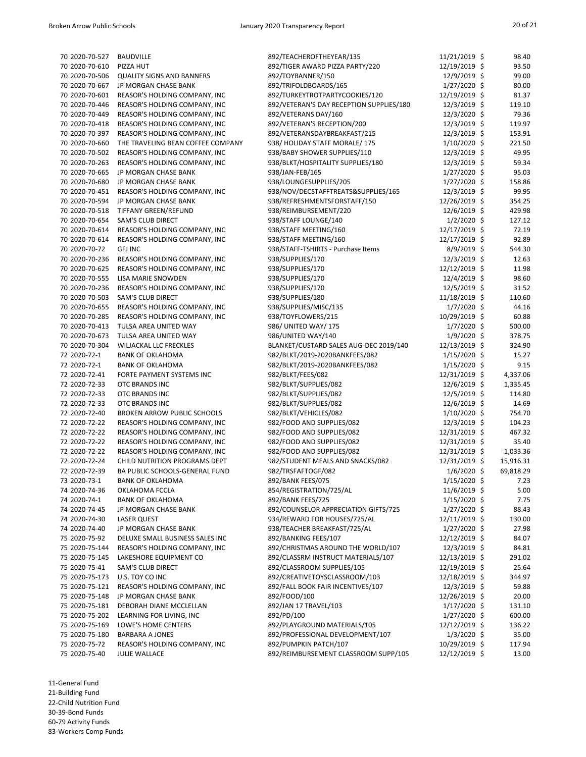| 70 2020-70-527 | <b>BAUDVILLE</b>                   | 892/TEACHEROFTHEYEAR/135                 | $11/21/2019$ \$ | 98.40     |
|----------------|------------------------------------|------------------------------------------|-----------------|-----------|
| 70 2020-70-610 | PIZZA HUT                          | 892/TIGER AWARD PIZZA PARTY/220          | 12/19/2019 \$   | 93.50     |
| 70 2020-70-506 | <b>QUALITY SIGNS AND BANNERS</b>   | 892/TOYBANNER/150                        | 12/9/2019 \$    | 99.00     |
| 70 2020-70-667 | JP MORGAN CHASE BANK               | 892/TRIFOLDBOARDS/165                    | $1/27/2020$ \$  | 80.00     |
| 70 2020-70-601 | REASOR'S HOLDING COMPANY, INC      | 892/TURKEYTROTPARTYCOOKIES/120           | 12/19/2019 \$   | 81.37     |
| 70 2020-70-446 | REASOR'S HOLDING COMPANY, INC      | 892/VETERAN'S DAY RECEPTION SUPPLIES/180 | 12/3/2019 \$    | 119.10    |
| 70 2020-70-449 | REASOR'S HOLDING COMPANY, INC      | 892/VETERANS DAY/160                     | $12/3/2020$ \$  | 79.36     |
| 70 2020-70-418 | REASOR'S HOLDING COMPANY, INC      | 892/VETERAN'S RECEPTION/200              | 12/3/2019 \$    | 119.97    |
| 70 2020-70-397 | REASOR'S HOLDING COMPANY, INC      | 892/VETERANSDAYBREAKFAST/215             | 12/3/2019 \$    | 153.91    |
| 70 2020-70-660 | THE TRAVELING BEAN COFFEE COMPANY  | 938/ HOLIDAY STAFF MORALE/ 175           | $1/10/2020$ \$  | 221.50    |
| 70 2020-70-502 | REASOR'S HOLDING COMPANY, INC      | 938/BABY SHOWER SUPPLIES/110             | 12/3/2019 \$    | 49.95     |
| 70 2020-70-263 | REASOR'S HOLDING COMPANY, INC      | 938/BLKT/HOSPITALITY SUPPLIES/180        | 12/3/2019 \$    | 59.34     |
| 70 2020-70-665 | JP MORGAN CHASE BANK               | 938/JAN-FEB/165                          | $1/27/2020$ \$  | 95.03     |
| 70 2020-70-680 |                                    |                                          |                 |           |
|                | JP MORGAN CHASE BANK               | 938/LOUNGESUPPLIES/205                   | $1/27/2020$ \$  | 158.86    |
| 70 2020-70-451 | REASOR'S HOLDING COMPANY, INC      | 938/NOV/DECSTAFFTREATS&SUPPLIES/165      | $12/3/2019$ \$  | 99.95     |
| 70 2020-70-594 | JP MORGAN CHASE BANK               | 938/REFRESHMENTSFORSTAFF/150             | 12/26/2019 \$   | 354.25    |
| 70 2020-70-518 | TIFFANY GREEN/REFUND               | 938/REIMBURSEMENT/220                    | 12/6/2019 \$    | 429.98    |
| 70 2020-70-654 | <b>SAM'S CLUB DIRECT</b>           | 938/STAFF LOUNGE/140                     | $1/2/2020$ \$   | 127.12    |
| 70 2020-70-614 | REASOR'S HOLDING COMPANY, INC      | 938/STAFF MEETING/160                    | 12/17/2019 \$   | 72.19     |
| 70 2020-70-614 | REASOR'S HOLDING COMPANY, INC      | 938/STAFF MEETING/160                    | 12/17/2019 \$   | 92.89     |
| 70 2020-70-72  | <b>GFJ INC</b>                     | 938/STAFF-TSHIRTS - Purchase Items       | $8/9/2019$ \$   | 544.30    |
| 70 2020-70-236 | REASOR'S HOLDING COMPANY, INC      | 938/SUPPLIES/170                         | 12/3/2019 \$    | 12.63     |
| 70 2020-70-625 | REASOR'S HOLDING COMPANY, INC      | 938/SUPPLIES/170                         | 12/12/2019 \$   | 11.98     |
| 70 2020-70-555 | LISA MARIE SNOWDEN                 | 938/SUPPLIES/170                         | 12/4/2019 \$    | 98.60     |
| 70 2020-70-236 | REASOR'S HOLDING COMPANY, INC      | 938/SUPPLIES/170                         | $12/5/2019$ \$  | 31.52     |
| 70 2020-70-503 | <b>SAM'S CLUB DIRECT</b>           | 938/SUPPLIES/180                         | 11/18/2019 \$   | 110.60    |
| 70 2020-70-655 | REASOR'S HOLDING COMPANY, INC      | 938/SUPPLIES/MISC/135                    | $1/7/2020$ \$   | 44.16     |
| 70 2020-70-285 | REASOR'S HOLDING COMPANY, INC      | 938/TOYFLOWERS/215                       | 10/29/2019 \$   | 60.88     |
| 70 2020-70-413 | TULSA AREA UNITED WAY              | 986/ UNITED WAY/ 175                     | $1/7/2020$ \$   | 500.00    |
| 70 2020-70-673 | TULSA AREA UNITED WAY              | 986/UNITED WAY/140                       | $1/9/2020$ \$   | 378.75    |
| 70 2020-70-304 | <b>WILJACKAL LLC FRECKLES</b>      | BLANKET/CUSTARD SALES AUG-DEC 2019/140   | 12/13/2019 \$   | 324.90    |
| 72 2020-72-1   | <b>BANK OF OKLAHOMA</b>            | 982/BLKT/2019-2020BANKFEES/082           | 1/15/2020 \$    | 15.27     |
| 72 2020-72-1   | <b>BANK OF OKLAHOMA</b>            | 982/BLKT/2019-2020BANKFEES/082           | $1/15/2020$ \$  | 9.15      |
| 72 2020-72-41  | FORTE PAYMENT SYSTEMS INC          | 982/BLKT/FEES/082                        |                 | 4,337.06  |
|                |                                    |                                          | 12/31/2019 \$   |           |
| 72 2020-72-33  | OTC BRANDS INC                     | 982/BLKT/SUPPLIES/082                    | 12/6/2019 \$    | 1,335.45  |
| 72 2020-72-33  | OTC BRANDS INC                     | 982/BLKT/SUPPLIES/082                    | 12/5/2019 \$    | 114.80    |
| 72 2020-72-33  | OTC BRANDS INC                     | 982/BLKT/SUPPLIES/082                    | 12/6/2019 \$    | 14.69     |
| 72 2020-72-40  | <b>BROKEN ARROW PUBLIC SCHOOLS</b> | 982/BLKT/VEHICLES/082                    | 1/10/2020 \$    | 754.70    |
| 72 2020-72-22  | REASOR'S HOLDING COMPANY, INC      | 982/FOOD AND SUPPLIES/082                | 12/3/2019 \$    | 104.23    |
| 72 2020-72-22  | REASOR'S HOLDING COMPANY, INC      | 982/FOOD AND SUPPLIES/082                | 12/31/2019 \$   | 467.32    |
| 72 2020-72-22  | REASOR'S HOLDING COMPANY, INC      | 982/FOOD AND SUPPLIES/082                | 12/31/2019 \$   | 35.40     |
| 72 2020-72-22  | REASOR'S HOLDING COMPANY, INC      | 982/FOOD AND SUPPLIES/082                | 12/31/2019 \$   | 1,033.36  |
| 72 2020-72-24  | CHILD NUTRITION PROGRAMS DEPT      | 982/STUDENT MEALS AND SNACKS/082         | 12/31/2019 \$   | 15,916.31 |
| 72 2020-72-39  | BA PUBLIC SCHOOLS-GENERAL FUND     | 982/TRSFAFTOGF/082                       | $1/6/2020$ \$   | 69,818.29 |
| 73 2020-73-1   | <b>BANK OF OKLAHOMA</b>            | 892/BANK FEES/075                        | $1/15/2020$ \$  | 7.23      |
| 74 2020-74-36  | OKLAHOMA FCCLA                     | 854/REGISTRATION/725/AL                  | 11/6/2019 \$    | 5.00      |
| 74 2020-74-1   | <b>BANK OF OKLAHOMA</b>            | 892/BANK FEES/725                        | $1/15/2020$ \$  | 7.75      |
| 74 2020-74-45  | JP MORGAN CHASE BANK               | 892/COUNSELOR APPRECIATION GIFTS/725     | $1/27/2020$ \$  | 88.43     |
| 74 2020-74-30  | <b>LASER QUEST</b>                 | 934/REWARD FOR HOUSES/725/AL             | 12/11/2019 \$   | 130.00    |
| 74 2020-74-40  | JP MORGAN CHASE BANK               | 938/TEACHER BREAKFAST/725/AL             | $1/27/2020$ \$  | 27.98     |
| 75 2020-75-92  | DELUXE SMALL BUSINESS SALES INC    | 892/BANKING FEES/107                     | 12/12/2019 \$   | 84.07     |
| 75 2020-75-144 | REASOR'S HOLDING COMPANY, INC      | 892/CHRISTMAS AROUND THE WORLD/107       | 12/3/2019 \$    | 84.81     |
| 75 2020-75-145 | LAKESHORE EQUIPMENT CO             | 892/CLASSRM INSTRUCT MATERIALS/107       | 12/13/2019 \$   | 291.02    |
| 75 2020-75-41  | <b>SAM'S CLUB DIRECT</b>           | 892/CLASSROOM SUPPLIES/105               | 12/19/2019 \$   | 25.64     |
| 75 2020-75-173 | U.S. TOY CO INC                    | 892/CREATIVETOYSCLASSROOM/103            | 12/18/2019 \$   | 344.97    |
| 75 2020-75-121 | REASOR'S HOLDING COMPANY, INC      | 892/FALL BOOK FAIR INCENTIVES/107        | 12/3/2019 \$    | 59.88     |
| 75 2020-75-148 | JP MORGAN CHASE BANK               | 892/FOOD/100                             |                 | 20.00     |
|                |                                    |                                          | 12/26/2019 \$   |           |
| 75 2020-75-181 | DEBORAH DIANE MCCLELLAN            | 892/JAN 17 TRAVEL/103                    | $1/17/2020$ \$  | 131.10    |
| 75 2020-75-202 | LEARNING FOR LIVING, INC           | 892/PD/100                               | $1/27/2020$ \$  | 600.00    |
| 75 2020-75-169 | LOWE'S HOME CENTERS                | 892/PLAYGROUND MATERIALS/105             | 12/12/2019 \$   | 136.22    |
| 75 2020-75-180 | <b>BARBARA A JONES</b>             | 892/PROFESSIONAL DEVELOPMENT/107         | $1/3/2020$ \$   | 35.00     |
| 75 2020-75-72  | REASOR'S HOLDING COMPANY, INC      | 892/PUMPKIN PATCH/107                    | 10/29/2019 \$   | 117.94    |
| 75 2020-75-40  | JULIE WALLACE                      | 892/REIMBURSEMENT CLASSROOM SUPP/105     | 12/12/2019 \$   | 13.00     |

21-Building Fund

22-Child Nutrition Fund

30-39-Bond Funds

60-79 Activity Funds 83-Workers Comp Funds